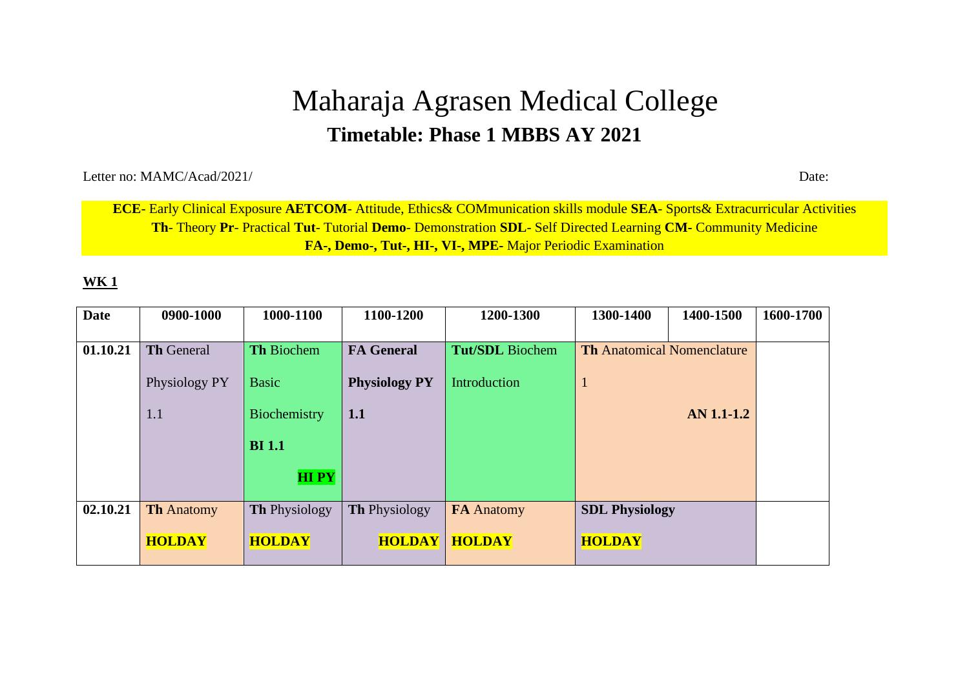# Maharaja Agrasen Medical College **Timetable: Phase 1 MBBS AY 2021**

Letter no: MAMC/Acad/2021/ Date:

**ECE**- Early Clinical Exposure **AETCOM**- Attitude, Ethics& COMmunication skills module **SEA**- Sports& Extracurricular Activities **Th**- Theory **Pr**- Practical **Tut**- Tutorial **Demo**- Demonstration **SDL**- Self Directed Learning **CM-** Community Medicine **FA-, Demo-, Tut-, HI-, VI-, MPE-** Major Periodic Examination

| <b>Date</b> | 0900-1000         | 1000-1100            | 1100-1200            | 1200-1300              | 1300-1400                         | 1400-1500  | 1600-1700 |
|-------------|-------------------|----------------------|----------------------|------------------------|-----------------------------------|------------|-----------|
|             |                   |                      |                      |                        |                                   |            |           |
| 01.10.21    | <b>Th General</b> | <b>Th Biochem</b>    | <b>FA</b> General    | <b>Tut/SDL</b> Biochem | <b>Th</b> Anatomical Nomenclature |            |           |
|             | Physiology PY     | <b>Basic</b>         | <b>Physiology PY</b> | Introduction           | $\mathbf{1}$                      |            |           |
|             | 1.1               | Biochemistry         | 1.1                  |                        |                                   | AN 1.1-1.2 |           |
|             |                   | <b>BI</b> 1.1        |                      |                        |                                   |            |           |
|             |                   | <b>HIPY</b>          |                      |                        |                                   |            |           |
| 02.10.21    | <b>Th Anatomy</b> | <b>Th Physiology</b> | <b>Th Physiology</b> | <b>FA</b> Anatomy      | <b>SDL Physiology</b>             |            |           |
|             |                   |                      |                      |                        |                                   |            |           |
|             | <b>HOLDAY</b>     | <b>HOLDAY</b>        | <b>HOLDAY</b>        | <b>HOLDAY</b>          | <b>HOLDAY</b>                     |            |           |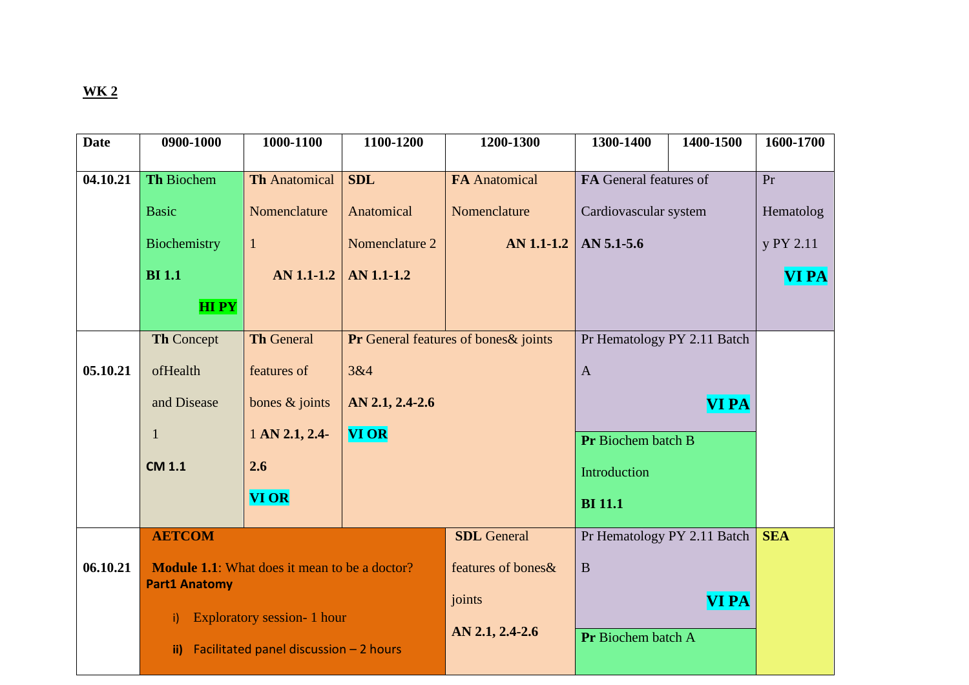| <b>Date</b> | 0900-1000                                                                    | 1000-1100                               | 1100-1200                             | 1200-1300            | 1300-1400                   | 1400-1500                   | 1600-1700    |
|-------------|------------------------------------------------------------------------------|-----------------------------------------|---------------------------------------|----------------------|-----------------------------|-----------------------------|--------------|
|             |                                                                              |                                         |                                       |                      |                             |                             |              |
| 04.10.21    | Th Biochem                                                                   | <b>Th Anatomical</b>                    | <b>SDL</b>                            | <b>FA</b> Anatomical | FA General features of      |                             | Pr           |
|             | <b>Basic</b>                                                                 | Nomenclature                            | Anatomical                            | Nomenclature         | Cardiovascular system       |                             | Hematolog    |
|             | Biochemistry                                                                 | $\mathbf{1}$                            | Nomenclature 2<br>AN 1.1-1.2          |                      | AN 5.1-5.6                  |                             | y PY 2.11    |
|             | <b>BI</b> 1.1                                                                | AN 1.1-1.2                              | AN 1.1-1.2                            |                      |                             |                             | <b>VI PA</b> |
|             | <b>HIPY</b>                                                                  |                                         |                                       |                      |                             |                             |              |
|             | <b>Th Concept</b>                                                            | <b>Th General</b>                       | Pr General features of bones & joints |                      | Pr Hematology PY 2.11 Batch |                             |              |
| 05.10.21    | ofHealth                                                                     | features of                             | 3&4                                   |                      | $\mathbf{A}$                |                             |              |
|             | and Disease                                                                  | bones $&$ joints                        | AN 2.1, 2.4-2.6                       |                      |                             | <b>VI PA</b>                |              |
|             | $\mathbf{1}$                                                                 | $1$ AN 2.1, 2.4-                        | <b>VI OR</b>                          |                      | Pr Biochem batch B          |                             |              |
|             | <b>CM 1.1</b>                                                                | 2.6                                     |                                       |                      | Introduction                |                             |              |
|             |                                                                              | <b>VI OR</b>                            |                                       |                      | <b>BI</b> 11.1              |                             |              |
|             | <b>AETCOM</b>                                                                |                                         |                                       | <b>SDL</b> General   |                             | Pr Hematology PY 2.11 Batch | <b>SEA</b>   |
| 06.10.21    | <b>Module 1.1:</b> What does it mean to be a doctor?<br><b>Part1 Anatomy</b> |                                         |                                       | features of bones &  | $\bf{B}$                    |                             |              |
|             |                                                                              |                                         |                                       |                      |                             | <b>VI PA</b>                |              |
|             | i)                                                                           | <b>Exploratory session- 1 hour</b>      |                                       | AN 2.1, 2.4-2.6      |                             |                             |              |
|             | $\mathbf{ii}$                                                                | Facilitated panel discussion $-2$ hours |                                       |                      | Pr Biochem batch A          |                             |              |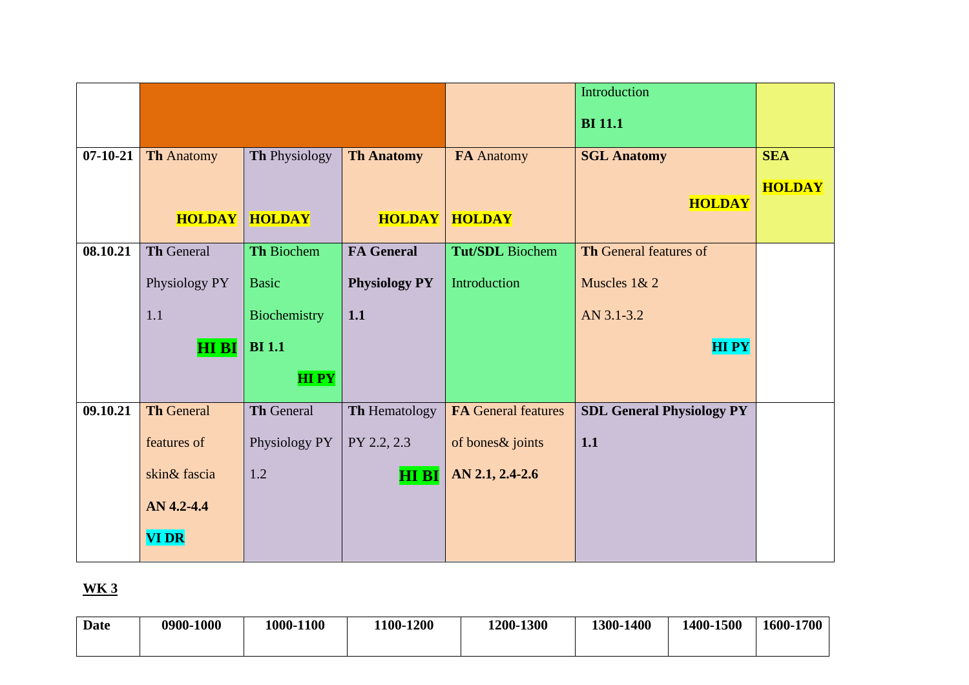|                |                   |                   |                      |                            | Introduction                     |               |
|----------------|-------------------|-------------------|----------------------|----------------------------|----------------------------------|---------------|
|                |                   |                   |                      |                            | <b>BI</b> 11.1                   |               |
| $07 - 10 - 21$ | <b>Th Anatomy</b> | Th Physiology     | <b>Th Anatomy</b>    | FA Anatomy                 | <b>SGL Anatomy</b>               | <b>SEA</b>    |
|                |                   |                   |                      |                            |                                  | <b>HOLDAY</b> |
|                | <b>HOLDAY</b>     | <b>HOLDAY</b>     | <b>HOLDAY</b>        | <b>HOLDAY</b>              | <b>HOLDAY</b>                    |               |
|                |                   |                   |                      |                            |                                  |               |
| 08.10.21       | <b>Th General</b> | Th Biochem        | <b>FA General</b>    | <b>Tut/SDL</b> Biochem     | Th General features of           |               |
|                | Physiology PY     | <b>Basic</b>      | <b>Physiology PY</b> | Introduction               | Muscles 1& 2                     |               |
|                | 1.1               | Biochemistry      | 1.1                  |                            | AN 3.1-3.2                       |               |
|                | <b>HI BI</b>      | <b>BI</b> 1.1     |                      |                            | <b>HIPY</b>                      |               |
|                |                   | <b>HIPY</b>       |                      |                            |                                  |               |
|                |                   |                   |                      |                            |                                  |               |
| 09.10.21       | <b>Th General</b> | <b>Th General</b> | Th Hematology        | <b>FA General features</b> | <b>SDL General Physiology PY</b> |               |
|                | features of       | Physiology PY     | PY 2.2, 2.3          | of bones & joints          | 1.1                              |               |
|                | skin& fascia      | 1.2               | <b>HI BI</b>         | AN 2.1, 2.4-2.6            |                                  |               |
|                | AN 4.2-4.4        |                   |                      |                            |                                  |               |
|                | <b>VI DR</b>      |                   |                      |                            |                                  |               |
|                |                   |                   |                      |                            |                                  |               |

| Date | 0900-1000 | 1000-1100 | 100-1200 | 1200-1300 | 1300-1400 | 1400-1500 | 1600-1700 |
|------|-----------|-----------|----------|-----------|-----------|-----------|-----------|
|      |           |           |          |           |           |           |           |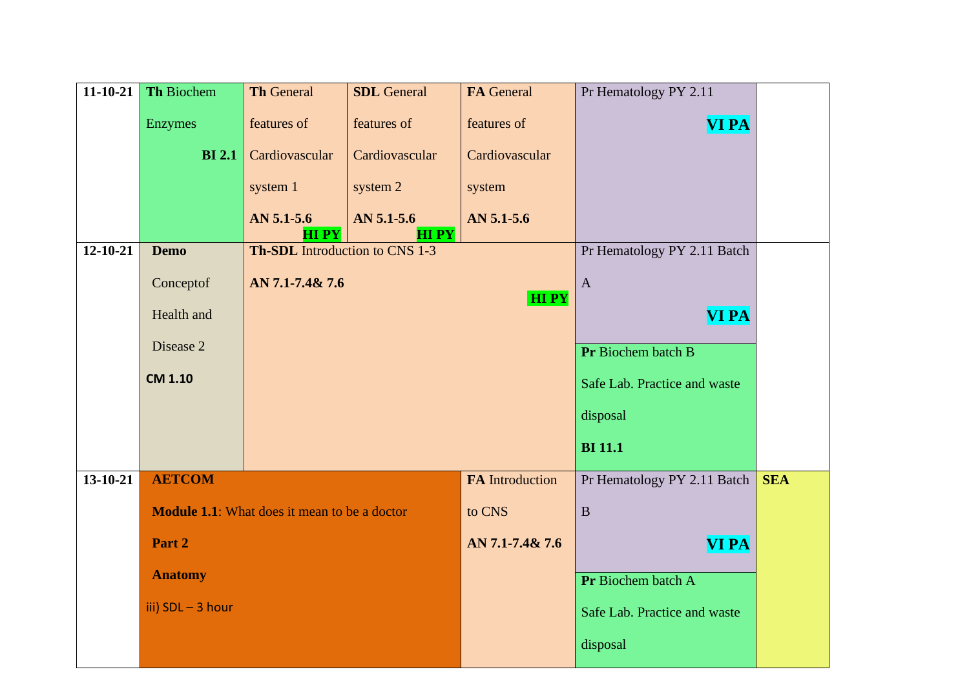| $11 - 10 - 21$ | Th Biochem        | <b>Th General</b>                                    | <b>SDL</b> General | FA General                   | Pr Hematology PY 2.11        |            |
|----------------|-------------------|------------------------------------------------------|--------------------|------------------------------|------------------------------|------------|
|                | Enzymes           | features of                                          | features of        | features of                  | <b>VI PA</b>                 |            |
|                | <b>BI</b> 2.1     | Cardiovascular                                       | Cardiovascular     | Cardiovascular               |                              |            |
|                |                   | system 1                                             | system 2           | system                       |                              |            |
|                |                   | $AN 5.1 - 5.6$                                       | $AN 5.1 - 5.6$     | AN 5.1-5.6                   |                              |            |
| $12 - 10 - 21$ | <b>Demo</b>       | <b>HIPY</b><br><b>Th-SDL</b> Introduction to CNS 1-3 | <b>HIPY</b>        |                              | Pr Hematology PY 2.11 Batch  |            |
|                | Conceptof         | AN 7.1-7.4& 7.6                                      |                    |                              | $\mathbf{A}$                 |            |
|                |                   |                                                      |                    |                              |                              |            |
|                | Health and        |                                                      |                    | <b>VI PA</b>                 |                              |            |
|                | Disease 2         |                                                      |                    | Pr Biochem batch B           |                              |            |
|                | <b>CM 1.10</b>    |                                                      |                    | Safe Lab. Practice and waste |                              |            |
|                |                   |                                                      |                    | disposal                     |                              |            |
|                |                   |                                                      |                    |                              | <b>BI</b> 11.1               |            |
| $13 - 10 - 21$ | <b>AETCOM</b>     |                                                      |                    | <b>FA</b> Introduction       | Pr Hematology PY 2.11 Batch  | <b>SEA</b> |
|                |                   | <b>Module 1.1:</b> What does it mean to be a doctor  |                    | to CNS                       | $\overline{B}$               |            |
|                | Part 2            |                                                      |                    | AN 7.1-7.4& 7.6              | <b>VI PA</b>                 |            |
|                | <b>Anatomy</b>    |                                                      |                    |                              | Pr Biochem batch A           |            |
|                | iii) SDL - 3 hour |                                                      |                    |                              | Safe Lab. Practice and waste |            |
|                |                   |                                                      |                    |                              |                              |            |
|                |                   |                                                      |                    |                              | disposal                     |            |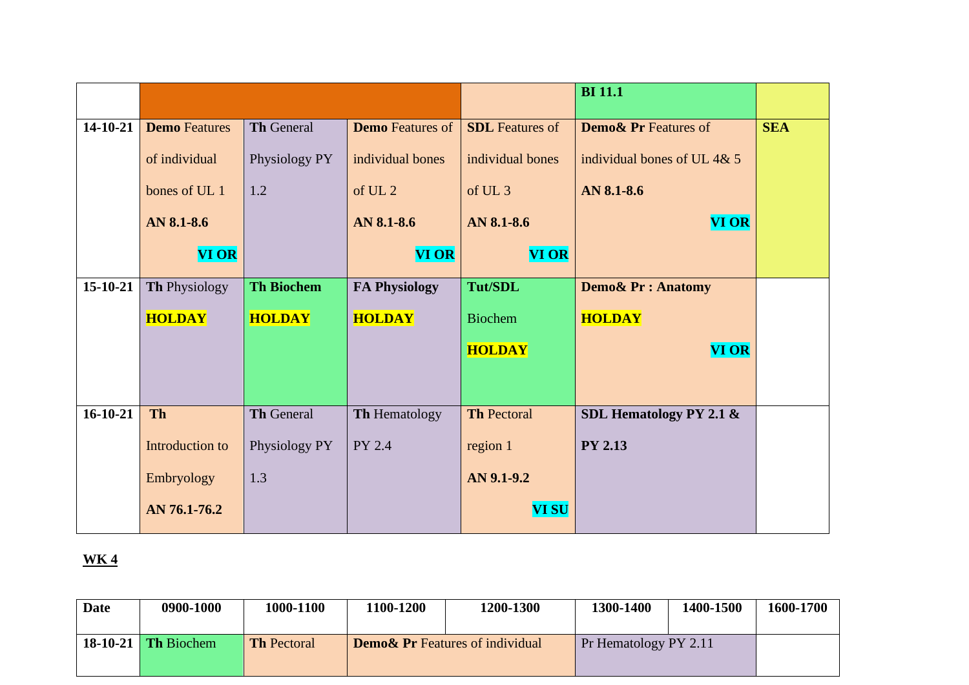|                |                      |                   |                         |                        | <b>BI</b> 11.1                  |            |
|----------------|----------------------|-------------------|-------------------------|------------------------|---------------------------------|------------|
| 14-10-21       | <b>Demo</b> Features | <b>Th General</b> | <b>Demo</b> Features of | <b>SDL</b> Features of | <b>Demo&amp; Pr Features of</b> | <b>SEA</b> |
|                | of individual        | Physiology PY     | individual bones        | individual bones       | individual bones of UL 4& 5     |            |
|                | bones of UL 1        | 1.2               | of UL <sub>2</sub>      | of UL <sub>3</sub>     | AN 8.1-8.6                      |            |
|                | AN 8.1-8.6           |                   | AN 8.1-8.6              | AN 8.1-8.6             | <b>VI OR</b>                    |            |
|                | <b>VI OR</b>         |                   | <b>VI OR</b>            | <b>VI OR</b>           |                                 |            |
| 15-10-21       | Th Physiology        | <b>Th Biochem</b> | <b>FA Physiology</b>    | <b>Tut/SDL</b>         | <b>Demo&amp; Pr: Anatomy</b>    |            |
|                | <b>HOLDAY</b>        | <b>HOLDAY</b>     | <b>HOLDAY</b>           | <b>Biochem</b>         | <b>HOLDAY</b>                   |            |
|                |                      |                   |                         | <b>HOLDAY</b>          | <b>VI OR</b>                    |            |
|                |                      |                   |                         |                        |                                 |            |
| $16 - 10 - 21$ | <b>Th</b>            | <b>Th General</b> | <b>Th Hematology</b>    | <b>Th Pectoral</b>     | SDL Hematology PY 2.1 $\&$      |            |
|                | Introduction to      | Physiology PY     | PY 2.4                  | region 1               | <b>PY 2.13</b>                  |            |
|                | Embryology           | 1.3               |                         | AN 9.1-9.2             |                                 |            |
|                | AN 76.1-76.2         |                   |                         | <b>VI SU</b>           |                                 |            |

| Date | 0900-1000           | 1000-1100          | 1100-1200 | 1200-1300                                  | 1300-1400                     | 1400-1500 | 1600-1700 |
|------|---------------------|--------------------|-----------|--------------------------------------------|-------------------------------|-----------|-----------|
|      | 18-10-21 Th Biochem | <b>Th Pectoral</b> |           | <b>Demo&amp; Pr</b> Features of individual | $\vert$ Pr Hematology PY 2.11 |           |           |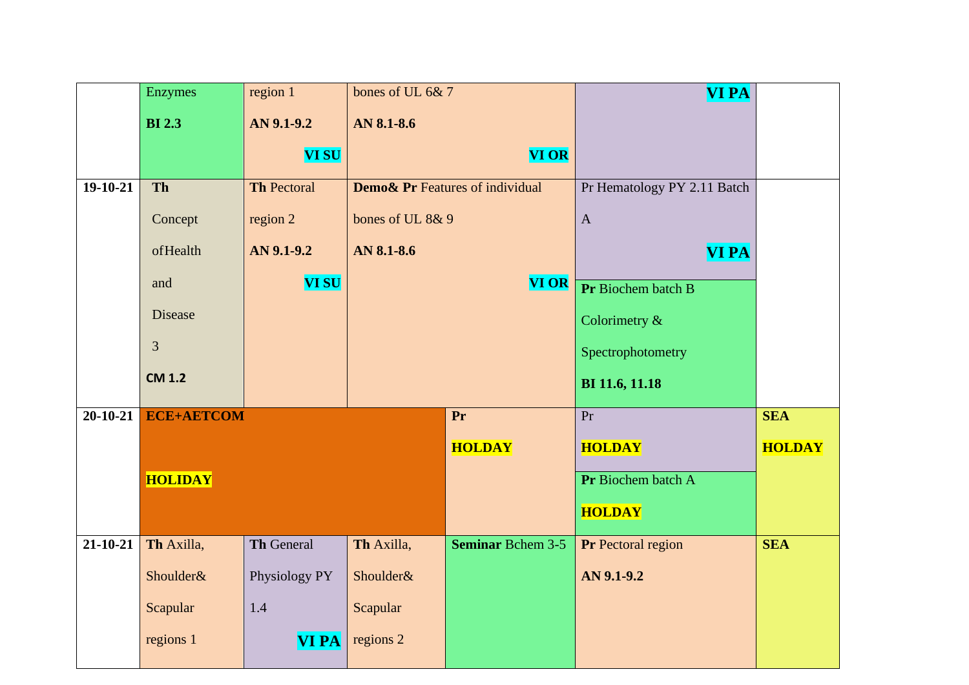|                | <b>Enzymes</b>    | region 1           | bones of UL 6&7  |                                            | <b>VI PA</b>                |               |
|----------------|-------------------|--------------------|------------------|--------------------------------------------|-----------------------------|---------------|
|                | <b>BI2.3</b>      | AN 9.1-9.2         | AN 8.1-8.6       |                                            |                             |               |
|                |                   | <b>VI SU</b>       |                  | <b>VI OR</b>                               |                             |               |
| $19-10-21$     | Th                | <b>Th Pectoral</b> |                  | <b>Demo&amp; Pr</b> Features of individual | Pr Hematology PY 2.11 Batch |               |
|                | Concept           | region 2           | bones of UL 8& 9 |                                            | $\mathbf A$                 |               |
|                | ofHealth          | AN 9.1-9.2         | AN 8.1-8.6       |                                            | <b>VI PA</b>                |               |
|                | and               | <b>VI SU</b>       |                  | <b>VI OR</b>                               | Pr Biochem batch B          |               |
|                | Disease           |                    |                  |                                            | Colorimetry &               |               |
|                | 3                 |                    |                  |                                            | Spectrophotometry           |               |
|                | <b>CM 1.2</b>     |                    |                  |                                            | BI 11.6, 11.18              |               |
| $20 - 10 - 21$ | <b>ECE+AETCOM</b> |                    |                  | Pr                                         | Pr                          | <b>SEA</b>    |
|                |                   |                    |                  | <b>HOLDAY</b>                              | <b>HOLDAY</b>               | <b>HOLDAY</b> |
|                | <b>HOLIDAY</b>    |                    |                  |                                            | Pr Biochem batch A          |               |
|                |                   |                    |                  |                                            | <b>HOLDAY</b>               |               |
| $21 - 10 - 21$ | Th Axilla,        | Th General         | Th Axilla,       | <b>Seminar Bchem 3-5</b>                   | <b>Pr</b> Pectoral region   | <b>SEA</b>    |
|                | Shoulder&         | Physiology PY      | Shoulder&        |                                            | AN 9.1-9.2                  |               |
|                | Scapular          | 1.4                | Scapular         |                                            |                             |               |
|                | regions 1         | <b>VIPA</b>        | regions 2        |                                            |                             |               |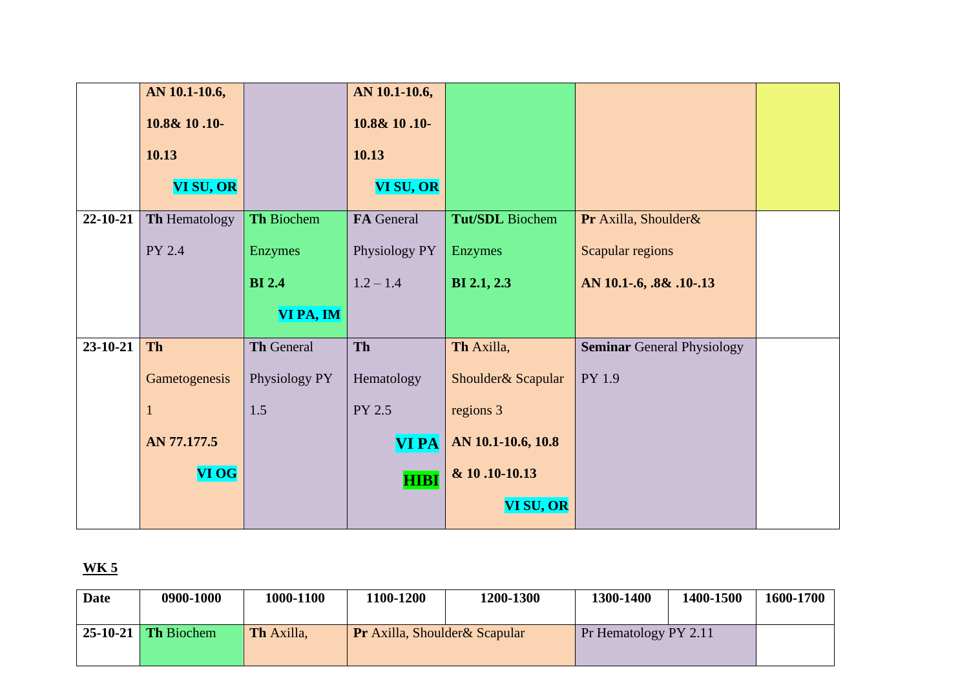|                | AN 10.1-10.6, |                   | AN 10.1-10.6, |                     |                                   |  |
|----------------|---------------|-------------------|---------------|---------------------|-----------------------------------|--|
|                | 10.8& 10.10-  |                   | 10.8& 10.10-  |                     |                                   |  |
|                | 10.13         |                   | 10.13         |                     |                                   |  |
|                | VI SU, OR     |                   | VI SU, OR     |                     |                                   |  |
| 22-10-21       | Th Hematology | Th Biochem        | FA General    | Tut/SDL Biochem     | Pr Axilla, Shoulder&              |  |
|                | PY 2.4        | <b>Enzymes</b>    | Physiology PY | Enzymes             | Scapular regions                  |  |
|                |               | <b>BI</b> 2.4     | $1.2 - 1.4$   | <b>BI</b> 2.1, 2.3  | AN 10.1-.6, .8& .10-.13           |  |
|                |               | VI PA, IM         |               |                     |                                   |  |
| $23 - 10 - 21$ | <b>Th</b>     | <b>Th General</b> | Th            | Th Axilla,          | <b>Seminar General Physiology</b> |  |
|                | Gametogenesis | Physiology PY     | Hematology    | Shoulder & Scapular | PY 1.9                            |  |
|                | 1             | 1.5               | PY 2.5        | regions 3           |                                   |  |
|                | AN 77.177.5   |                   | <b>VIPA</b>   | AN 10.1-10.6, 10.8  |                                   |  |
|                | <b>VI OG</b>  |                   | <b>HIBI</b>   | & 10.10-10.13       |                                   |  |
|                |               |                   |               | VI SU, OR           |                                   |  |

| <b>Date</b> | 0900-1000                   | 1000-1100         | 1100-1200                             | 1200-1300 | 1300-1400             | 1400-1500 | 1600-1700 |
|-------------|-----------------------------|-------------------|---------------------------------------|-----------|-----------------------|-----------|-----------|
|             | $\vert$ 25-10-21 Th Biochem | <b>Th Axilla,</b> | <b>Pr</b> Axilla, Shoulder & Scapular |           | Pr Hematology PY 2.11 |           |           |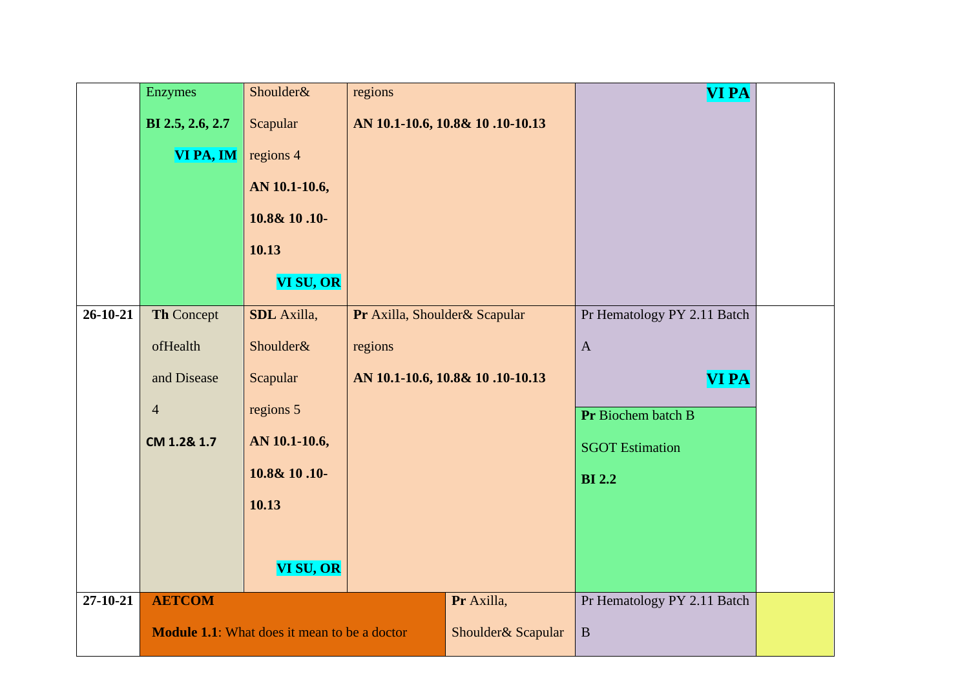|                | Enzymes          | Shoulder&                                           | regions                         |                                 | <b>VI PA</b>                |  |
|----------------|------------------|-----------------------------------------------------|---------------------------------|---------------------------------|-----------------------------|--|
|                | BI 2.5, 2.6, 2.7 | Scapular                                            |                                 | AN 10.1-10.6, 10.8& 10.10-10.13 |                             |  |
|                | VI PA, IM        | regions 4                                           |                                 |                                 |                             |  |
|                |                  | AN 10.1-10.6,                                       |                                 |                                 |                             |  |
|                |                  | 10.8& 10.10-                                        |                                 |                                 |                             |  |
|                |                  | 10.13                                               |                                 |                                 |                             |  |
|                |                  | VI SU, OR                                           |                                 |                                 |                             |  |
| 26-10-21       | Th Concept       | <b>SDL</b> Axilla,                                  | Pr Axilla, Shoulder& Scapular   |                                 | Pr Hematology PY 2.11 Batch |  |
|                | ofHealth         | Shoulder&                                           | regions                         |                                 | $\mathbf{A}$                |  |
|                | and Disease      | Scapular                                            | AN 10.1-10.6, 10.8& 10.10-10.13 |                                 | <b>VI PA</b>                |  |
|                | $\overline{4}$   | regions 5                                           |                                 |                                 | Pr Biochem batch B          |  |
|                | CM 1.2& 1.7      | AN 10.1-10.6,                                       |                                 |                                 | <b>SGOT Estimation</b>      |  |
|                |                  | 10.8& 10.10-                                        |                                 |                                 | <b>BI2.2</b>                |  |
|                |                  | 10.13                                               |                                 |                                 |                             |  |
|                |                  |                                                     |                                 |                                 |                             |  |
|                |                  | VI SU, OR                                           |                                 |                                 |                             |  |
| $27 - 10 - 21$ | <b>AETCOM</b>    |                                                     |                                 | Pr Axilla,                      | Pr Hematology PY 2.11 Batch |  |
|                |                  | <b>Module 1.1:</b> What does it mean to be a doctor |                                 | Shoulder& Scapular              | $\, {\bf B}$                |  |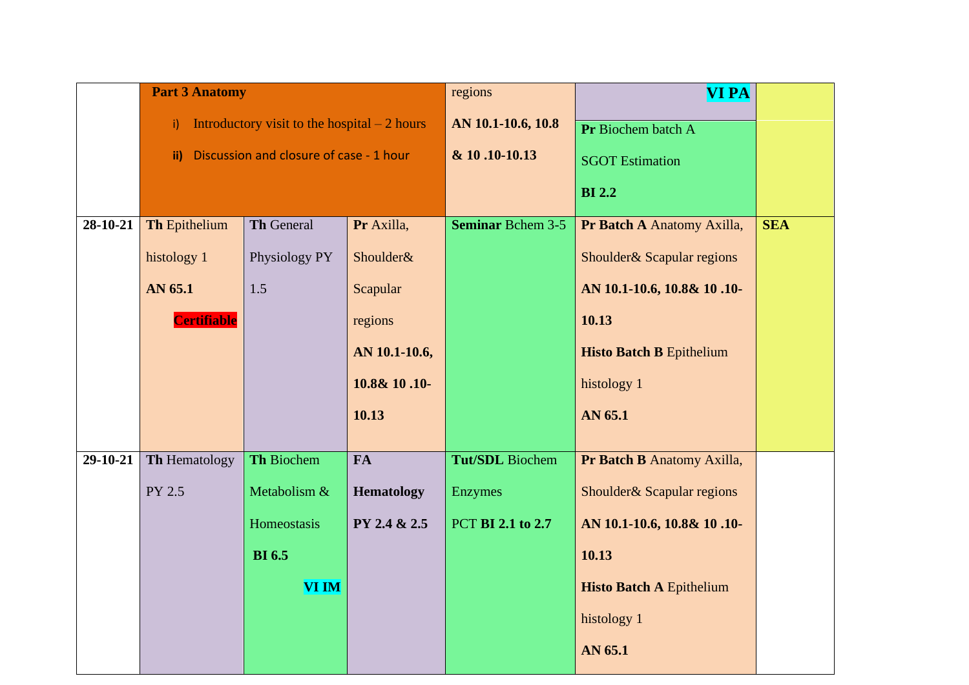|            | <b>Part 3 Anatomy</b> |                                               |                   | regions                  | <b>VI PA</b>                    |            |
|------------|-----------------------|-----------------------------------------------|-------------------|--------------------------|---------------------------------|------------|
|            | i).                   | Introductory visit to the hospital $-2$ hours |                   | AN 10.1-10.6, 10.8       | Pr Biochem batch A              |            |
|            | $\mathbf{ii}$         | Discussion and closure of case - 1 hour       |                   | & 10.10-10.13            | <b>SGOT Estimation</b>          |            |
|            |                       |                                               |                   |                          | <b>BI2.2</b>                    |            |
| 28-10-21   | <b>Th Epithelium</b>  | Th General                                    | Pr Axilla,        | <b>Seminar Bchem 3-5</b> | Pr Batch A Anatomy Axilla,      | <b>SEA</b> |
|            | histology 1           | Physiology PY                                 | Shoulder&         |                          | Shoulder& Scapular regions      |            |
|            | AN 65.1               | 1.5                                           | Scapular          |                          | AN 10.1-10.6, 10.8& 10.10-      |            |
|            | <b>Certifiable</b>    |                                               | regions           |                          | 10.13                           |            |
|            |                       |                                               | AN 10.1-10.6,     |                          | <b>Histo Batch B Epithelium</b> |            |
|            |                       |                                               | 10.8& 10.10-      |                          | histology 1                     |            |
|            |                       |                                               | 10.13             |                          | AN 65.1                         |            |
|            |                       |                                               |                   |                          |                                 |            |
| $29-10-21$ | <b>Th Hematology</b>  | Th Biochem                                    | <b>FA</b>         | <b>Tut/SDL</b> Biochem   | Pr Batch B Anatomy Axilla,      |            |
|            | PY 2.5                | Metabolism &                                  | <b>Hematology</b> | <b>Enzymes</b>           | Shoulder& Scapular regions      |            |
|            |                       | Homeostasis                                   | PY 2.4 & 2.5      | PCT BI 2.1 to 2.7        | AN 10.1-10.6, 10.8& 10.10-      |            |
|            |                       | <b>BI</b> 6.5                                 |                   |                          | 10.13                           |            |
|            |                       | VI IM                                         |                   |                          | <b>Histo Batch A Epithelium</b> |            |
|            |                       |                                               |                   |                          | histology 1                     |            |
|            |                       |                                               |                   |                          | AN 65.1                         |            |
|            |                       |                                               |                   |                          |                                 |            |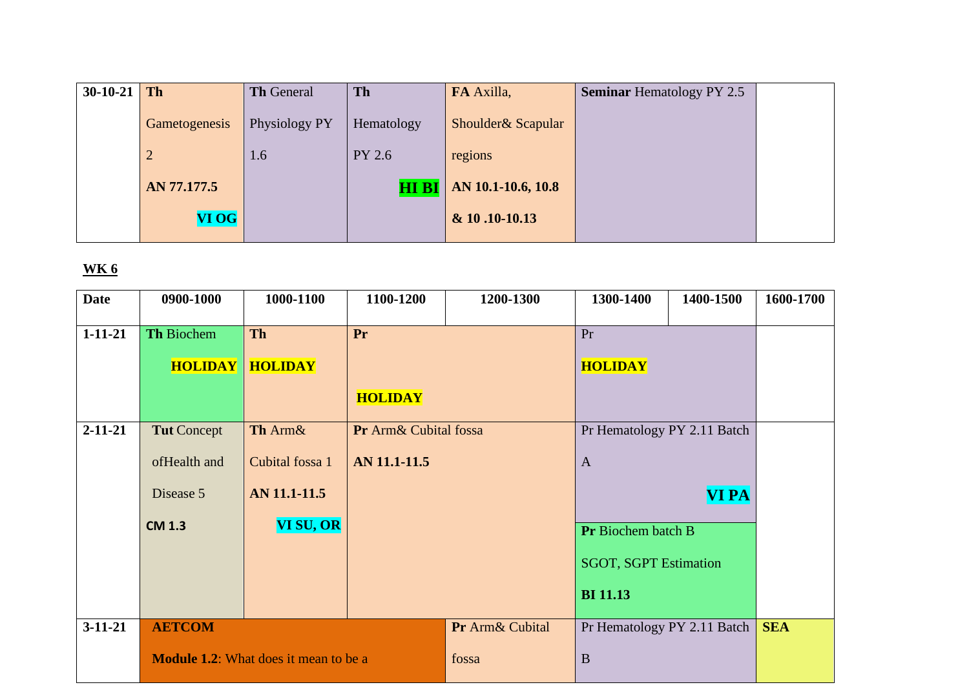| $30-10-21$ | Th             | <b>Th General</b> | <b>Th</b>    | FA Axilla,          | <b>Seminar Hematology PY 2.5</b> |  |
|------------|----------------|-------------------|--------------|---------------------|----------------------------------|--|
|            | Gametogenesis  | Physiology PY     | Hematology   | Shoulder & Scapular |                                  |  |
|            | $\overline{2}$ | 1.6               | PY 2.6       | regions             |                                  |  |
|            | AN 77.177.5    |                   | <b>HI BI</b> | AN 10.1-10.6, 10.8  |                                  |  |
|            | <b>VI OG</b>   |                   |              | & 10.10-10.13       |                                  |  |

| <b>Date</b>   | 0900-1000                                    | 1000-1100       | 1100-1200             | 1200-1300       | 1300-1400                    | 1400-1500                           | 1600-1700  |
|---------------|----------------------------------------------|-----------------|-----------------------|-----------------|------------------------------|-------------------------------------|------------|
| $1 - 11 - 21$ | Th Biochem                                   | <b>Th</b>       | Pr                    |                 | Pr                           |                                     |            |
|               | <b>HOLIDAY</b>                               | <b>HOLIDAY</b>  |                       |                 | <b>HOLIDAY</b>               |                                     |            |
|               |                                              |                 | <b>HOLIDAY</b>        |                 |                              |                                     |            |
| $2 - 11 - 21$ | <b>Tut</b> Concept                           | Th Arm&         | Pr Arm& Cubital fossa |                 | Pr Hematology PY 2.11 Batch  |                                     |            |
|               | ofHealth and                                 | Cubital fossa 1 | AN 11.1-11.5          |                 | $\mathbf{A}$                 |                                     |            |
|               | Disease 5                                    | AN 11.1-11.5    |                       |                 |                              | <b>VI PA</b>                        |            |
|               | <b>CM 1.3</b>                                | VI SU, OR       |                       |                 | Pr Biochem batch B           |                                     |            |
|               |                                              |                 |                       |                 | <b>SGOT, SGPT Estimation</b> |                                     |            |
|               |                                              |                 |                       |                 | <b>BI</b> 11.13              |                                     |            |
| $3-11-21$     | <b>AETCOM</b>                                |                 |                       | Pr Arm& Cubital |                              | Pr Hematology PY 2.11 Batch $\vert$ | <b>SEA</b> |
|               | <b>Module 1.2:</b> What does it mean to be a |                 | fossa                 | $\mathbf{B}$    |                              |                                     |            |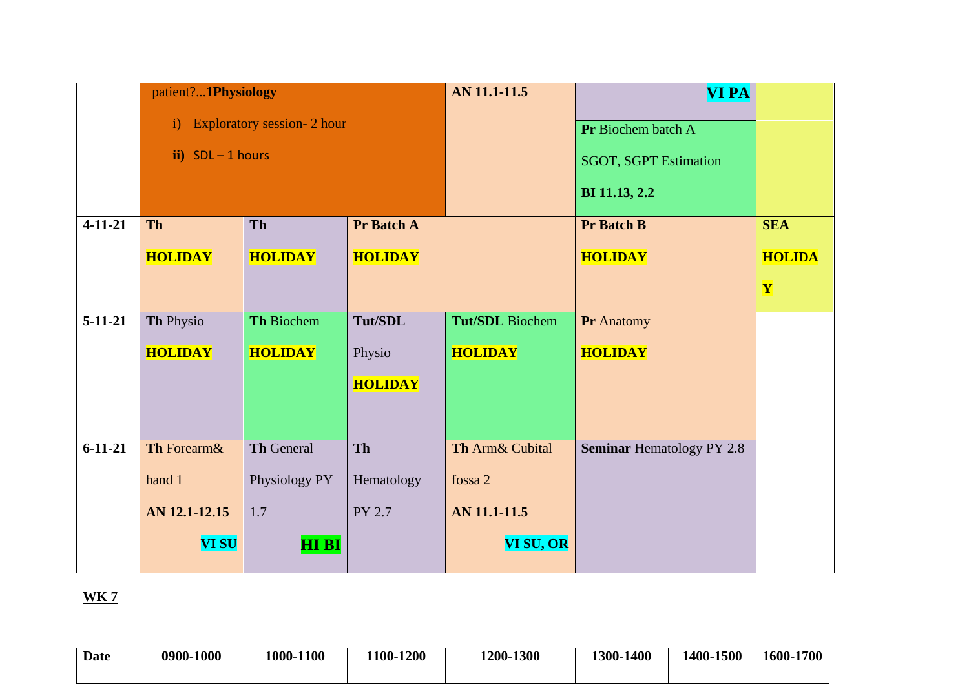|               | patient?1Physiology |                                   |                | AN 11.1-11.5    | <b>VI PA</b>                     |               |
|---------------|---------------------|-----------------------------------|----------------|-----------------|----------------------------------|---------------|
|               | $\mathbf{i}$        | <b>Exploratory session-2 hour</b> |                |                 | Pr Biochem batch A               |               |
|               | $ii)$ SDL - 1 hours |                                   |                |                 | <b>SGOT, SGPT Estimation</b>     |               |
|               |                     |                                   |                |                 | BI 11.13, 2.2                    |               |
| $4 - 11 - 21$ | <b>Th</b>           | Th                                | Pr Batch A     |                 | <b>Pr Batch B</b>                | <b>SEA</b>    |
|               | <b>HOLIDAY</b>      | <b>HOLIDAY</b>                    | <b>HOLIDAY</b> |                 | <b>HOLIDAY</b>                   | <b>HOLIDA</b> |
|               |                     |                                   |                |                 |                                  | Y             |
| $5-11-21$     | Th Physio           | Th Biochem                        | Tut/SDL        | Tut/SDL Biochem | Pr Anatomy                       |               |
|               | <b>HOLIDAY</b>      | <b>HOLIDAY</b>                    | Physio         | <b>HOLIDAY</b>  | <b>HOLIDAY</b>                   |               |
|               |                     |                                   | <b>HOLIDAY</b> |                 |                                  |               |
|               |                     |                                   |                |                 |                                  |               |
|               |                     |                                   |                |                 |                                  |               |
| $6 - 11 - 21$ | Th Forearm&         | Th General                        | Th             | Th Arm& Cubital | <b>Seminar Hematology PY 2.8</b> |               |
|               | hand 1              | Physiology PY                     | Hematology     | fossa 2         |                                  |               |
|               | AN 12.1-12.15       | 1.7                               | PY 2.7         | AN 11.1-11.5    |                                  |               |
|               | <b>VI SU</b>        | <b>HIBI</b>                       |                | VI SU, OR       |                                  |               |

| <b>Date</b> | 0900-1000 | 1000-1100 | 1100-1200 | 1200-1300 | 1300-1400 | 1400-1500 | -1700<br>1600- |
|-------------|-----------|-----------|-----------|-----------|-----------|-----------|----------------|
|             |           |           |           |           |           |           |                |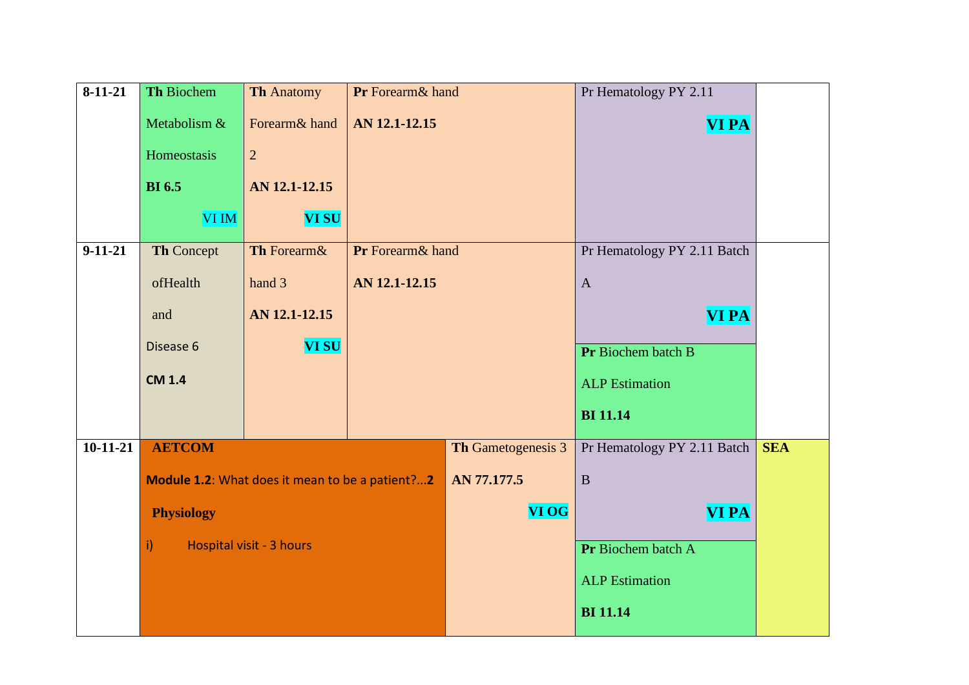| $8-11-21$     | Th Biochem        | <b>Th Anatomy</b>                               | Pr Forearm& hand |                    | Pr Hematology PY 2.11       |            |
|---------------|-------------------|-------------------------------------------------|------------------|--------------------|-----------------------------|------------|
|               | Metabolism &      | Forearm& hand                                   | AN 12.1-12.15    |                    | <b>VI PA</b>                |            |
|               | Homeostasis       | $\overline{2}$                                  |                  |                    |                             |            |
|               | <b>BI</b> 6.5     | AN 12.1-12.15                                   |                  |                    |                             |            |
|               | <b>VI IM</b>      | <b>VI SU</b>                                    |                  |                    |                             |            |
| $9 - 11 - 21$ | Th Concept        | Th Forearm&                                     | Pr Forearm& hand |                    | Pr Hematology PY 2.11 Batch |            |
|               | ofHealth          | hand 3                                          | AN 12.1-12.15    |                    | $\overline{A}$              |            |
|               | and               | AN 12.1-12.15                                   |                  |                    | <b>VI PA</b>                |            |
|               | Disease 6         | <b>VI SU</b>                                    |                  |                    | Pr Biochem batch B          |            |
|               | <b>CM 1.4</b>     |                                                 |                  |                    | <b>ALP</b> Estimation       |            |
|               |                   |                                                 |                  |                    | <b>BI</b> 11.14             |            |
| $10-11-21$    | <b>AETCOM</b>     |                                                 |                  | Th Gametogenesis 3 | Pr Hematology PY 2.11 Batch | <b>SEA</b> |
|               |                   | Module 1.2: What does it mean to be a patient?2 |                  | AN 77.177.5        | $\mathbf{B}$                |            |
|               | <b>Physiology</b> |                                                 |                  | <b>VI OG</b>       | <b>VI PA</b>                |            |
|               | i)                | Hospital visit - 3 hours                        |                  |                    | Pr Biochem batch A          |            |
|               |                   |                                                 |                  |                    | <b>ALP</b> Estimation       |            |
|               |                   |                                                 |                  |                    | <b>BI</b> 11.14             |            |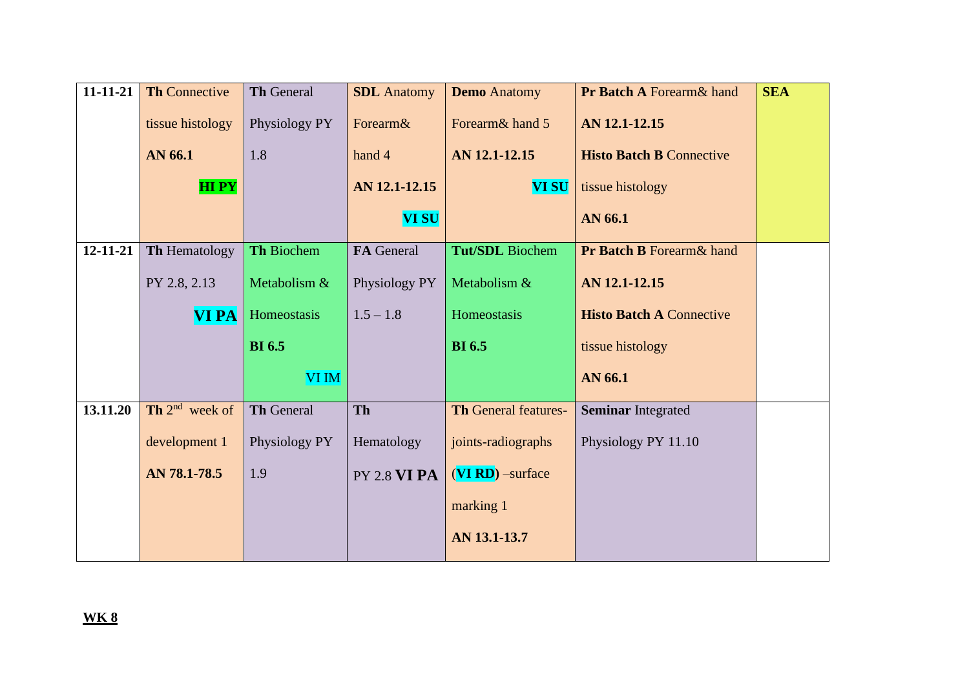| $11 - 11 - 21$ | <b>Th Connective</b> | Th General    | <b>SDL</b> Anatomy  | <b>Demo</b> Anatomy         | Pr Batch A Forearm& hand             | <b>SEA</b> |
|----------------|----------------------|---------------|---------------------|-----------------------------|--------------------------------------|------------|
|                | tissue histology     | Physiology PY | Forearm&            | Forearm& hand 5             | AN 12.1-12.15                        |            |
|                | AN 66.1              | 1.8           | hand 4              | AN 12.1-12.15               | <b>Histo Batch B Connective</b>      |            |
|                | <b>HIPY</b>          |               | AN 12.1-12.15       | <b>VI SU</b>                | tissue histology                     |            |
|                |                      |               | <b>VI SU</b>        |                             | AN 66.1                              |            |
| 12-11-21       | Th Hematology        | Th Biochem    | FA General          | <b>Tut/SDL</b> Biochem      | <b>Pr Batch B Forearm &amp; hand</b> |            |
|                | PY 2.8, 2.13         | Metabolism &  | Physiology PY       | Metabolism &                | AN 12.1-12.15                        |            |
|                | <b>VIPA</b>          | Homeostasis   | $1.5 - 1.8$         | Homeostasis                 | <b>Histo Batch A Connective</b>      |            |
|                |                      | <b>BI</b> 6.5 |                     | <b>BI</b> 6.5               | tissue histology                     |            |
|                |                      | <b>VI IM</b>  |                     |                             | AN 66.1                              |            |
| 13.11.20       | Th $2^{nd}$ week of  | Th General    | <b>Th</b>           | <b>Th General features-</b> | <b>Seminar Integrated</b>            |            |
|                | development 1        | Physiology PY | Hematology          | joints-radiographs          | Physiology PY 11.10                  |            |
|                | AN 78.1-78.5         | 1.9           | <b>PY 2.8 VI PA</b> | $(VI RD)$ -surface          |                                      |            |
|                |                      |               |                     | marking 1                   |                                      |            |
|                |                      |               |                     | AN 13.1-13.7                |                                      |            |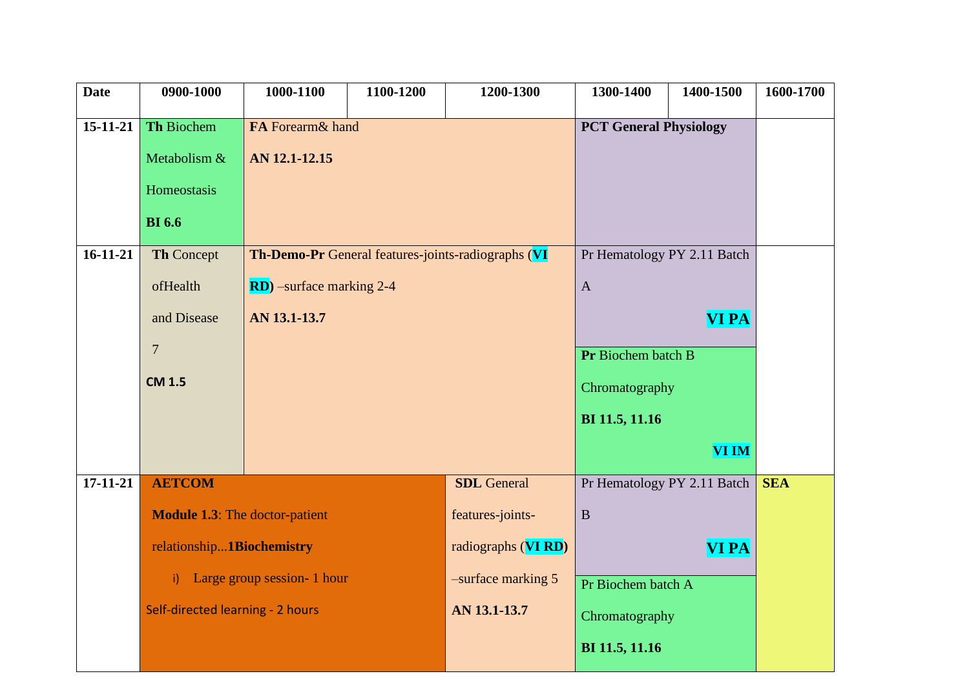| <b>PCT General Physiology</b><br>15-11-21<br>Th Biochem<br>FA Forearm& hand<br>Metabolism &<br>AN 12.1-12.15<br>Homeostasis |            |
|-----------------------------------------------------------------------------------------------------------------------------|------------|
|                                                                                                                             |            |
|                                                                                                                             |            |
|                                                                                                                             |            |
| <b>BI</b> 6.6                                                                                                               |            |
| $16 - 11 - 21$<br>Th-Demo-Pr General features-joints-radiographs (VI<br>Th Concept<br>Pr Hematology PY 2.11 Batch           |            |
|                                                                                                                             |            |
| ofHealth<br><b>RD</b> ) –surface marking 2-4<br>$\mathbf{A}$                                                                |            |
| AN 13.1-13.7<br><b>VI PA</b><br>and Disease                                                                                 |            |
| $\overline{7}$                                                                                                              |            |
| Pr Biochem batch B                                                                                                          |            |
| <b>CM 1.5</b><br>Chromatography                                                                                             |            |
| BI 11.5, 11.16                                                                                                              |            |
| <b>VI IM</b>                                                                                                                |            |
| <b>AETCOM</b><br>$17 - 11 - 21$<br><b>SDL</b> General<br>Pr Hematology PY 2.11 Batch                                        | <b>SEA</b> |
| <b>Module 1.3:</b> The doctor-patient<br>features-joints-<br>$\, {\bf B}$                                                   |            |
| relationship1Biochemistry<br>radiographs (VIRD)<br><b>VI PA</b>                                                             |            |
|                                                                                                                             |            |
| Large group session- 1 hour<br>-surface marking 5<br>$\mathbf{i}$<br>Pr Biochem batch A                                     |            |
| Self-directed learning - 2 hours<br>AN 13.1-13.7<br>Chromatography                                                          |            |
| BI 11.5, 11.16                                                                                                              |            |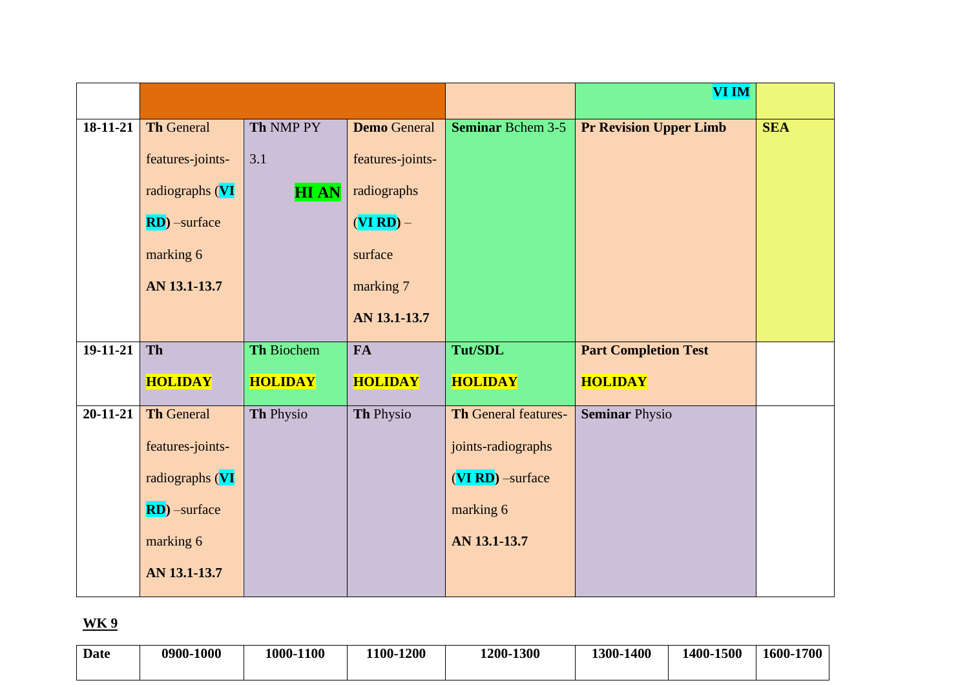|                |                                     |                    |                                 |                             | <b>VI IM</b>                  |            |
|----------------|-------------------------------------|--------------------|---------------------------------|-----------------------------|-------------------------------|------------|
| 18-11-21       | <b>Th General</b>                   | Th NMP PY          | <b>Demo</b> General             | <b>Seminar Bchem 3-5</b>    | <b>Pr Revision Upper Limb</b> | <b>SEA</b> |
|                | features-joints-<br>radiographs (VI | 3.1<br><b>HIAN</b> | features-joints-<br>radiographs |                             |                               |            |
|                | $RD)$ -surface                      |                    | $(VI RD) -$                     |                             |                               |            |
|                | marking 6                           |                    | surface                         |                             |                               |            |
|                | AN 13.1-13.7                        |                    | marking 7                       |                             |                               |            |
|                |                                     |                    | AN 13.1-13.7                    |                             |                               |            |
| 19-11-21       | Th                                  | <b>Th Biochem</b>  | <b>FA</b>                       | Tut/SDL                     | <b>Part Completion Test</b>   |            |
|                | <b>HOLIDAY</b>                      | <b>HOLIDAY</b>     | <b>HOLIDAY</b>                  | <b>HOLIDAY</b>              | <b>HOLIDAY</b>                |            |
| $20 - 11 - 21$ | <b>Th General</b>                   | Th Physio          | Th Physio                       | <b>Th General features-</b> | <b>Seminar Physio</b>         |            |
|                | features-joints-                    |                    |                                 | joints-radiographs          |                               |            |
|                | radiographs (VI                     |                    |                                 | (VI RD) -surface            |                               |            |
|                | $RD)$ -surface                      |                    |                                 | marking 6                   |                               |            |
|                | marking 6                           |                    |                                 | AN 13.1-13.7                |                               |            |
|                | AN 13.1-13.7                        |                    |                                 |                             |                               |            |

| Date | 0900-1000 | 1000-1100 | 100-1200 | 1200-1300 | 1300-1400 | 1400-1500 | 1600-1700 |
|------|-----------|-----------|----------|-----------|-----------|-----------|-----------|
|      |           |           |          |           |           |           |           |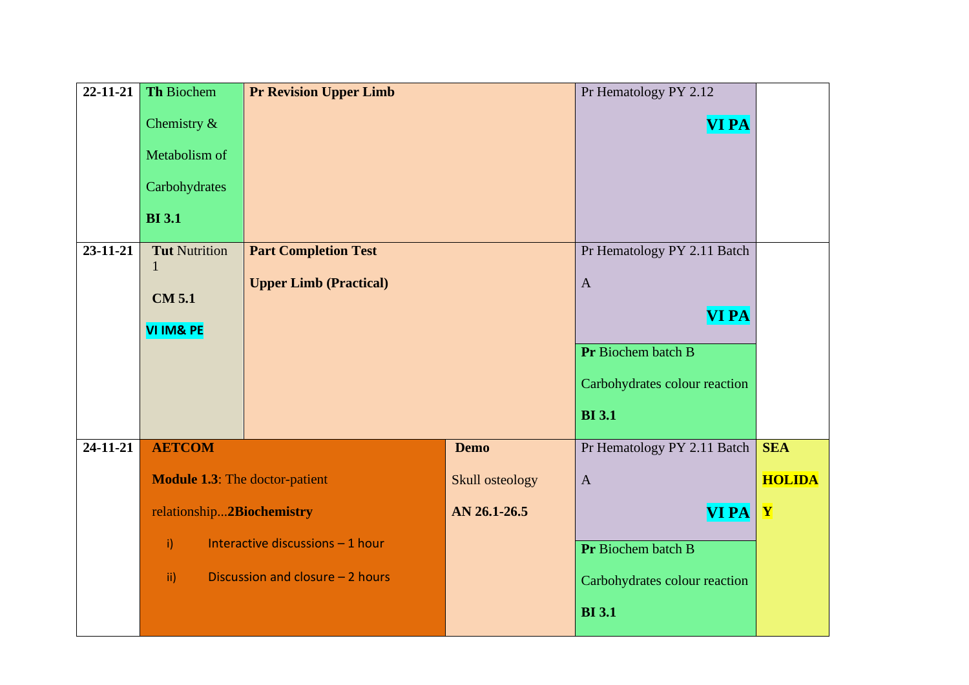| 22-11-21       | Th Biochem                            | <b>Pr Revision Upper Limb</b>    |                 | Pr Hematology PY 2.12         |               |
|----------------|---------------------------------------|----------------------------------|-----------------|-------------------------------|---------------|
|                | Chemistry &                           |                                  |                 | <b>VI PA</b>                  |               |
|                | Metabolism of                         |                                  |                 |                               |               |
|                | Carbohydrates                         |                                  |                 |                               |               |
|                | <b>BI</b> 3.1                         |                                  |                 |                               |               |
| 23-11-21       | <b>Tut Nutrition</b>                  | <b>Part Completion Test</b>      |                 | Pr Hematology PY 2.11 Batch   |               |
|                | 1                                     | <b>Upper Limb (Practical)</b>    |                 | $\mathbf{A}$                  |               |
|                | <b>CM 5.1</b>                         |                                  | <b>VI PA</b>    |                               |               |
|                | <b>VI IM&amp; PE</b>                  |                                  |                 |                               |               |
|                |                                       |                                  |                 | Pr Biochem batch B            |               |
|                |                                       |                                  |                 | Carbohydrates colour reaction |               |
|                |                                       |                                  |                 | <b>BI</b> 3.1                 |               |
| $24 - 11 - 21$ | <b>AETCOM</b>                         |                                  | <b>Demo</b>     | Pr Hematology PY 2.11 Batch   | <b>SEA</b>    |
|                | <b>Module 1.3:</b> The doctor-patient |                                  | Skull osteology | $\mathbf{A}$                  | <b>HOLIDA</b> |
|                | relationship2Biochemistry             |                                  | AN 26.1-26.5    | <b>VI PA</b>                  | $\mathbf{Y}$  |
|                | i)                                    | Interactive discussions - 1 hour |                 | Pr Biochem batch B            |               |
|                | $\mathbf{ii}$                         | Discussion and closure - 2 hours |                 | Carbohydrates colour reaction |               |
|                |                                       |                                  |                 | <b>BI</b> 3.1                 |               |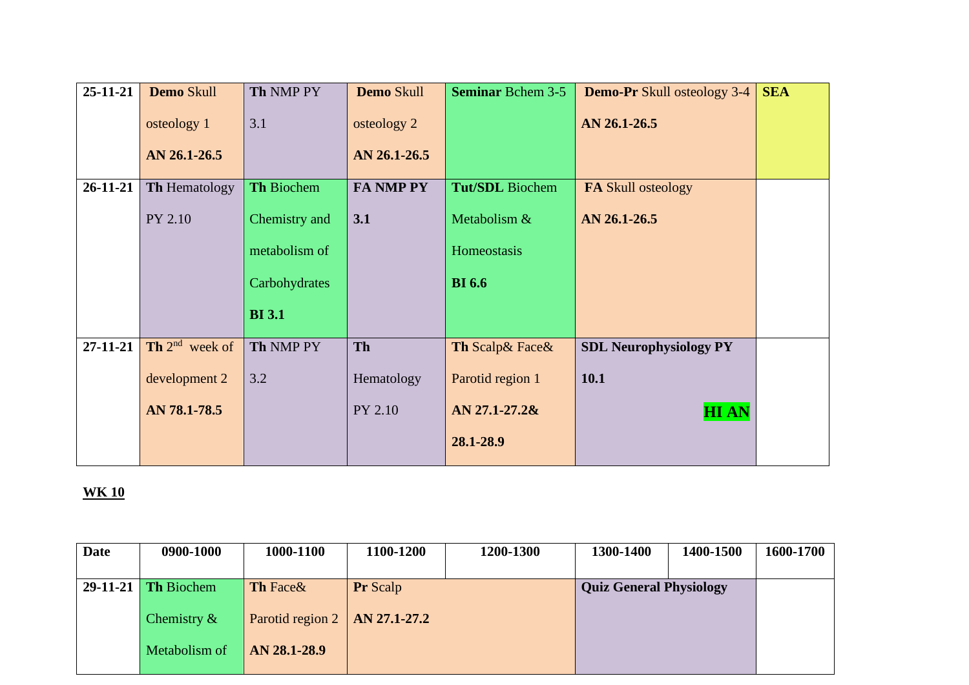| $25 - 11 - 21$ | Demo Skull           | Th NMP PY     | Demo Skull       | <b>Seminar Bchem 3-5</b> | <b>Demo-Pr</b> Skull osteology 3-4 | <b>SEA</b> |
|----------------|----------------------|---------------|------------------|--------------------------|------------------------------------|------------|
|                | osteology 1          | 3.1           | osteology 2      |                          | AN 26.1-26.5                       |            |
|                | AN 26.1-26.5         |               | AN 26.1-26.5     |                          |                                    |            |
| $26 - 11 - 21$ | <b>Th Hematology</b> | Th Biochem    | <b>FA NMP PY</b> | <b>Tut/SDL</b> Biochem   | <b>FA Skull osteology</b>          |            |
|                | PY 2.10              | Chemistry and | 3.1              | Metabolism &             | AN 26.1-26.5                       |            |
|                |                      | metabolism of |                  | Homeostasis              |                                    |            |
|                |                      | Carbohydrates |                  | <b>BI</b> 6.6            |                                    |            |
|                |                      | <b>BI</b> 3.1 |                  |                          |                                    |            |
| $27 - 11 - 21$ | Th $2^{nd}$ week of  | Th NMP PY     | Th               | Th Scalp& Face&          | <b>SDL Neurophysiology PY</b>      |            |
|                | development 2        | 3.2           | Hematology       | Parotid region 1         | <b>10.1</b>                        |            |
|                | AN 78.1-78.5         |               | PY 2.10          | AN 27.1-27.2&            | <b>HIAN</b>                        |            |
|                |                      |               |                  | 28.1-28.9                |                                    |            |

| Date | 0900-1000             | 1000-1100                                 | 1100-1200       | 1200-1300 | 1300-1400               | 1400-1500 | 1600-1700 |
|------|-----------------------|-------------------------------------------|-----------------|-----------|-------------------------|-----------|-----------|
|      | $29-11-21$ Th Biochem | <b>Th</b> Face&                           | <b>Pr</b> Scalp |           | Quiz General Physiology |           |           |
|      | Chemistry $\&$        | Parotid region $2 \mid AN \, 27.1 - 27.2$ |                 |           |                         |           |           |
|      | Metabolism of         | AN 28.1-28.9                              |                 |           |                         |           |           |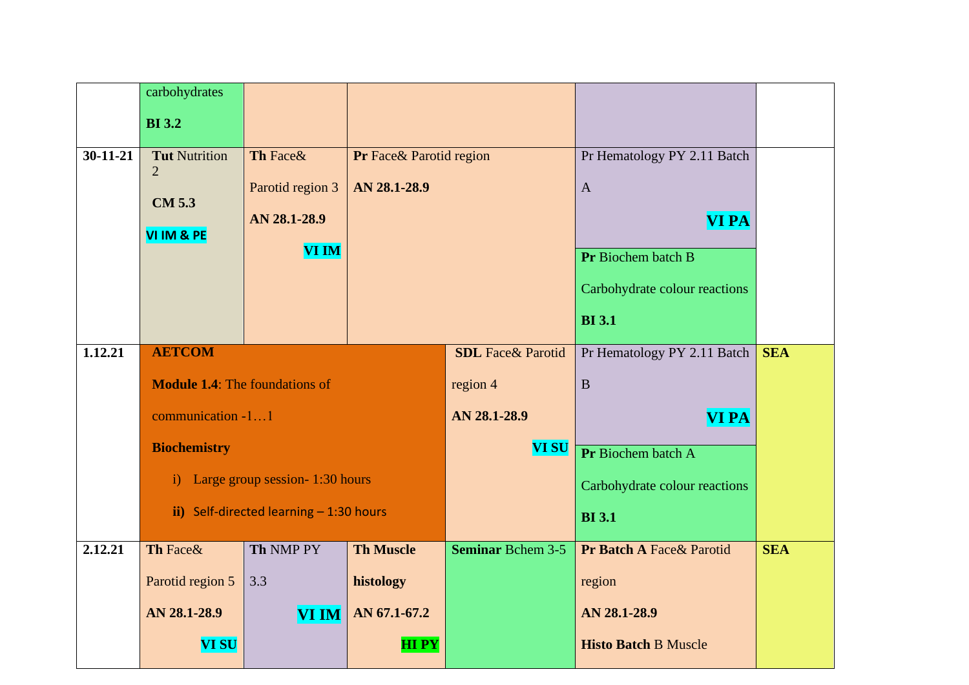|                | carbohydrates                            |                                |                         |                   |                               |            |
|----------------|------------------------------------------|--------------------------------|-------------------------|-------------------|-------------------------------|------------|
|                | <b>BI</b> 3.2                            |                                |                         |                   |                               |            |
| $30 - 11 - 21$ | <b>Tut Nutrition</b>                     | Th Face&                       | Pr Face& Parotid region |                   | Pr Hematology PY 2.11 Batch   |            |
|                | $\overline{2}$                           | Parotid region 3               | AN 28.1-28.9            |                   | $\mathbf{A}$                  |            |
|                | <b>CM 5.3</b>                            | AN 28.1-28.9                   |                         |                   | <b>VI PA</b>                  |            |
|                | VI IM & PE                               | <b>VI IM</b>                   |                         |                   |                               |            |
|                |                                          |                                |                         |                   | Pr Biochem batch B            |            |
|                |                                          |                                |                         |                   | Carbohydrate colour reactions |            |
|                |                                          |                                |                         |                   | <b>BI</b> 3.1                 |            |
| 1.12.21        | <b>AETCOM</b>                            |                                |                         |                   | Pr Hematology PY 2.11 Batch   | <b>SEA</b> |
|                | <b>Module 1.4:</b> The foundations of    |                                |                         | region 4          | $\mathbf B$                   |            |
|                | communication -11                        |                                |                         | AN 28.1-28.9      | <b>VI PA</b>                  |            |
|                | <b>Biochemistry</b>                      |                                |                         | <b>VI SU</b>      | Pr Biochem batch A            |            |
|                | $\ddot{1}$                               | Large group session-1:30 hours |                         |                   | Carbohydrate colour reactions |            |
|                | ii) Self-directed learning $-1:30$ hours |                                |                         |                   | <b>BI</b> 3.1                 |            |
| 2.12.21        | Th Face&                                 | Th NMP PY                      | <b>Th Muscle</b>        | Seminar Bchem 3-5 | Pr Batch A Face& Parotid      | <b>SEA</b> |
|                | Parotid region 5                         | 3.3                            | histology               |                   | region                        |            |
|                | AN 28.1-28.9                             | <b>VI IM</b>                   | AN 67.1-67.2            |                   | AN 28.1-28.9                  |            |
|                | <b>VI SU</b>                             |                                | <b>HIPY</b>             |                   | <b>Histo Batch B Muscle</b>   |            |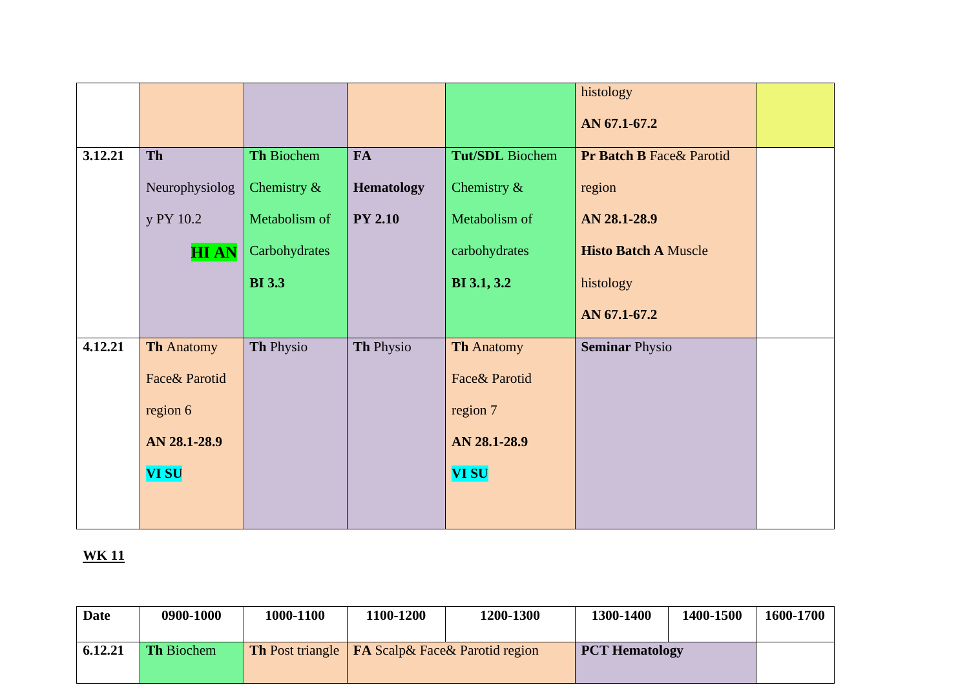|         |                   |                |                   |                   | histology                            |  |
|---------|-------------------|----------------|-------------------|-------------------|--------------------------------------|--|
|         |                   |                |                   |                   | AN 67.1-67.2                         |  |
| 3.12.21 | <b>Th</b>         | Th Biochem     | <b>FA</b>         | Tut/SDL Biochem   | <b>Pr Batch B Face &amp; Parotid</b> |  |
|         | Neurophysiolog    | Chemistry $\&$ | <b>Hematology</b> | Chemistry $\&$    | region                               |  |
|         | y PY 10.2         | Metabolism of  | <b>PY 2.10</b>    | Metabolism of     | AN 28.1-28.9                         |  |
|         | <b>HIAN</b>       | Carbohydrates  |                   | carbohydrates     | <b>Histo Batch A Muscle</b>          |  |
|         |                   | <b>BI</b> 3.3  |                   | BI 3.1, 3.2       | histology                            |  |
|         |                   |                |                   |                   | AN 67.1-67.2                         |  |
| 4.12.21 | <b>Th Anatomy</b> | Th Physio      | Th Physio         | <b>Th Anatomy</b> | <b>Seminar Physio</b>                |  |
|         | Face& Parotid     |                |                   | Face& Parotid     |                                      |  |
|         | region 6          |                |                   | region 7          |                                      |  |
|         | AN 28.1-28.9      |                |                   | AN 28.1-28.9      |                                      |  |
|         | <b>VI SU</b>      |                |                   | <b>VI SU</b>      |                                      |  |
|         |                   |                |                   |                   |                                      |  |

| Date    | 0900-1000         | 1000-1100                                                       | 1100-1200 | <b>1200-1300</b> | 1300-1400             | 1400-1500 | 1600-1700 |
|---------|-------------------|-----------------------------------------------------------------|-----------|------------------|-----------------------|-----------|-----------|
| 6.12.21 | <b>Th Biochem</b> | <b>Th</b> Post triangle <b>FA</b> Scalp & Face & Parotid region |           |                  | <b>PCT Hematology</b> |           |           |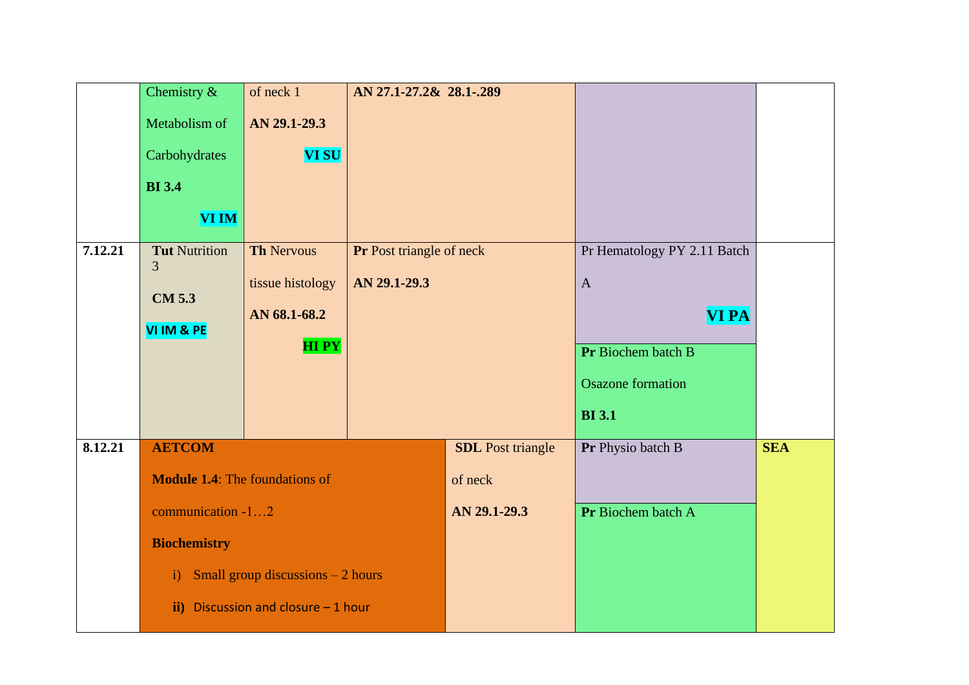|         | Chemistry $\&$                        | of neck 1                                | AN 27.1-27.2& 28.1-.289  |                          |                             |            |
|---------|---------------------------------------|------------------------------------------|--------------------------|--------------------------|-----------------------------|------------|
|         | Metabolism of                         | AN 29.1-29.3                             |                          |                          |                             |            |
|         |                                       |                                          |                          |                          |                             |            |
|         | Carbohydrates                         | <b>VI SU</b>                             |                          |                          |                             |            |
|         | <b>BI</b> 3.4                         |                                          |                          |                          |                             |            |
|         | <b>VI IM</b>                          |                                          |                          |                          |                             |            |
| 7.12.21 | <b>Tut Nutrition</b>                  | <b>Th Nervous</b>                        | Pr Post triangle of neck |                          | Pr Hematology PY 2.11 Batch |            |
|         | 3                                     | tissue histology                         | AN 29.1-29.3             |                          | $\mathbf{A}$                |            |
|         | <b>CM 5.3</b>                         | AN 68.1-68.2                             |                          |                          | <b>VI PA</b>                |            |
|         | VI IM & PE                            |                                          |                          |                          |                             |            |
|         |                                       | <b>HIPY</b>                              |                          |                          | Pr Biochem batch B          |            |
|         |                                       |                                          |                          |                          | <b>Osazone</b> formation    |            |
|         |                                       |                                          |                          |                          | <b>BI</b> 3.1               |            |
|         |                                       |                                          |                          |                          |                             |            |
| 8.12.21 | <b>AETCOM</b>                         |                                          |                          | <b>SDL</b> Post triangle | Pr Physio batch B           | <b>SEA</b> |
|         | <b>Module 1.4:</b> The foundations of |                                          |                          | of neck                  |                             |            |
|         | communication -12                     |                                          |                          | AN 29.1-29.3             | Pr Biochem batch A          |            |
|         | <b>Biochemistry</b>                   |                                          |                          |                          |                             |            |
|         | $\mathbf{i}$ )                        | <b>Small group discussions – 2 hours</b> |                          |                          |                             |            |
|         | $\mathbf{ii}$                         | Discussion and closure - 1 hour          |                          |                          |                             |            |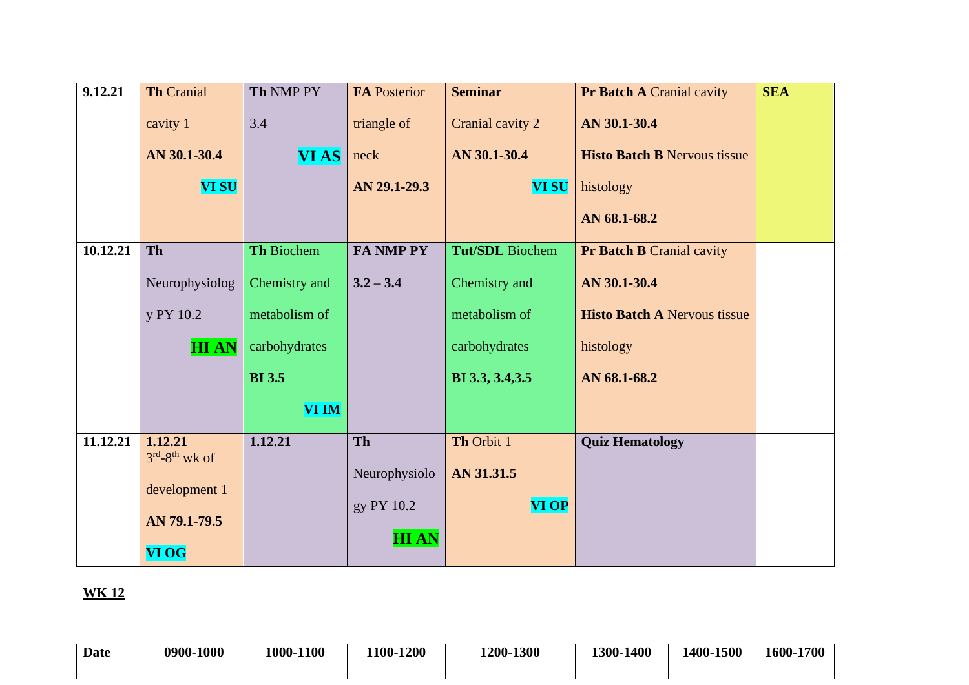| 9.12.21  | <b>Th Cranial</b>                  | Th NMP PY     | <b>FA Posterior</b> | <b>Seminar</b>         | Pr Batch A Cranial cavity           | <b>SEA</b> |
|----------|------------------------------------|---------------|---------------------|------------------------|-------------------------------------|------------|
|          | cavity 1                           | 3.4           | triangle of         | Cranial cavity 2       | AN 30.1-30.4                        |            |
|          | AN 30.1-30.4                       | <b>VIAS</b>   | neck                | AN 30.1-30.4           | <b>Histo Batch B Nervous tissue</b> |            |
|          | <b>VI SU</b>                       |               | AN 29.1-29.3        | <b>VI SU</b>           | histology                           |            |
|          |                                    |               |                     |                        | AN 68.1-68.2                        |            |
| 10.12.21 | <b>Th</b>                          | Th Biochem    | <b>FA NMP PY</b>    | <b>Tut/SDL</b> Biochem | <b>Pr Batch B Cranial cavity</b>    |            |
|          | Neurophysiolog                     | Chemistry and | $3.2 - 3.4$         | Chemistry and          | AN 30.1-30.4                        |            |
|          | y PY 10.2                          | metabolism of |                     | metabolism of          | <b>Histo Batch A Nervous tissue</b> |            |
|          | <b>HIAN</b>                        | carbohydrates |                     | carbohydrates          | histology                           |            |
|          |                                    | <b>BI</b> 3.5 |                     | BI 3.3, 3.4, 3.5       | AN 68.1-68.2                        |            |
|          |                                    | <b>VI IM</b>  |                     |                        |                                     |            |
| 11.12.21 | 1.12.21<br>$3^{rd} - 8^{th}$ wk of | 1.12.21       | Th                  | Th Orbit 1             | <b>Quiz Hematology</b>              |            |
|          |                                    |               | Neurophysiolo       | AN 31.31.5             |                                     |            |
|          | development 1                      |               | gy PY 10.2          | <b>VI OP</b>           |                                     |            |
|          | AN 79.1-79.5                       |               |                     |                        |                                     |            |
|          | <b>VI OG</b>                       |               | <b>HIAN</b>         |                        |                                     |            |

| <b>Date</b> | 0900-1000 | 1000-1100 | 1100-1200 | 1200-1300 | $-1400$<br>1300- | 1400-1500 | 1600-1700 |
|-------------|-----------|-----------|-----------|-----------|------------------|-----------|-----------|
|             |           |           |           |           |                  |           |           |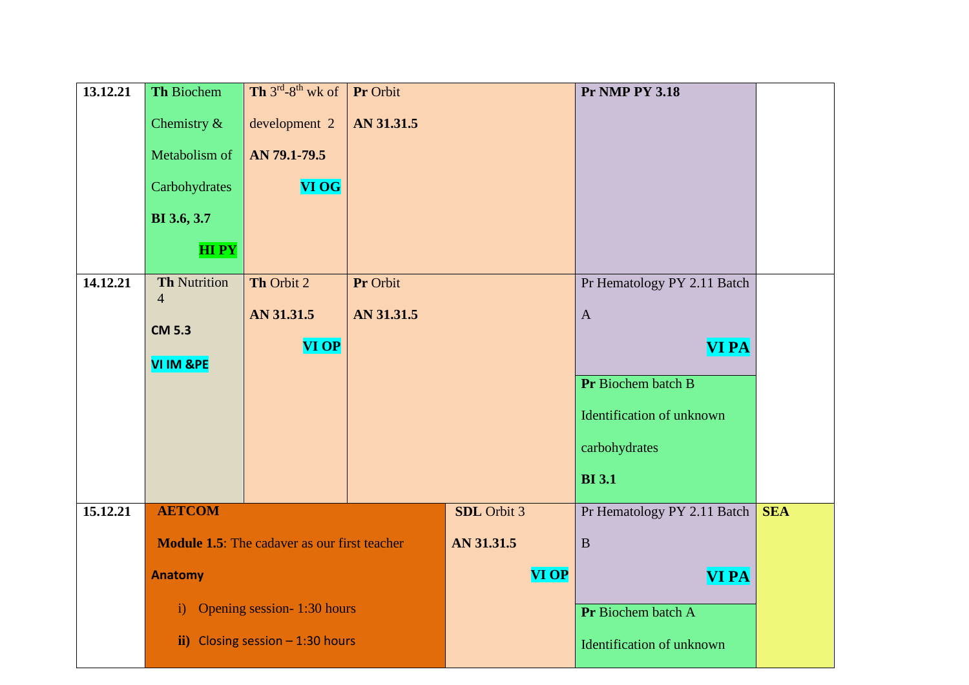| 13.12.21 | Th Biochem                            | Th $3^{rd}$ -8 <sup>th</sup> wk of                  | Pr Orbit   |                    | <b>Pr NMP PY 3.18</b>       |            |
|----------|---------------------------------------|-----------------------------------------------------|------------|--------------------|-----------------------------|------------|
|          | Chemistry $\&$                        | development 2                                       | AN 31.31.5 |                    |                             |            |
|          | Metabolism of                         | AN 79.1-79.5                                        |            |                    |                             |            |
|          | Carbohydrates                         | <b>VI OG</b>                                        |            |                    |                             |            |
|          | BI 3.6, 3.7                           |                                                     |            |                    |                             |            |
|          | <b>HIPY</b>                           |                                                     |            |                    |                             |            |
| 14.12.21 | <b>Th Nutrition</b><br>$\overline{4}$ | Th Orbit 2                                          | Pr Orbit   |                    | Pr Hematology PY 2.11 Batch |            |
|          | <b>CM 5.3</b>                         | AN 31.31.5                                          | AN 31.31.5 |                    | $\mathbf{A}$                |            |
|          |                                       | <b>VI OP</b>                                        |            |                    | <b>VI PA</b>                |            |
|          | <b>VI IM &amp;PE</b>                  |                                                     |            |                    | Pr Biochem batch B          |            |
|          |                                       |                                                     |            |                    |                             |            |
|          |                                       |                                                     |            |                    | Identification of unknown   |            |
|          |                                       |                                                     |            |                    | carbohydrates               |            |
|          |                                       |                                                     |            |                    | <b>BI</b> 3.1               |            |
| 15.12.21 | <b>AETCOM</b>                         |                                                     |            | <b>SDL</b> Orbit 3 | Pr Hematology PY 2.11 Batch | <b>SEA</b> |
|          |                                       | <b>Module 1.5:</b> The cadaver as our first teacher |            | AN 31.31.5         | $\overline{B}$              |            |
|          | <b>Anatomy</b>                        |                                                     |            | <b>VI OP</b>       | <b>VI PA</b>                |            |
|          | $\mathbf{i}$                          | Opening session-1:30 hours                          |            |                    | Pr Biochem batch A          |            |
|          | $\mathbf{ii}$                         | Closing session $-1:30$ hours                       |            |                    | Identification of unknown   |            |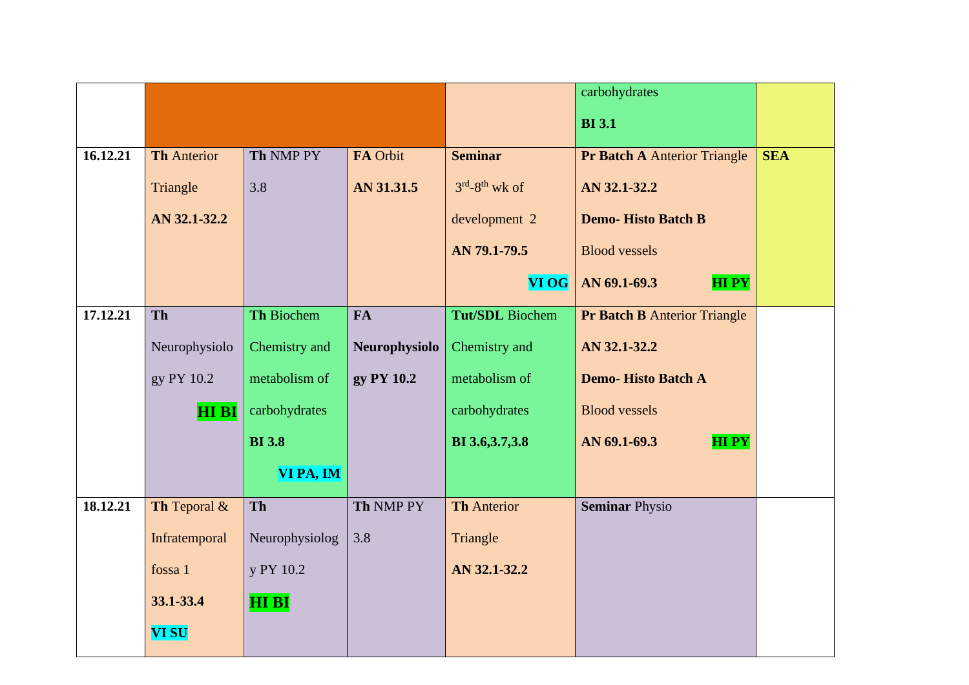|          |                    |                   |               |                        | carbohydrates                       |            |
|----------|--------------------|-------------------|---------------|------------------------|-------------------------------------|------------|
|          |                    |                   |               |                        | <b>BI</b> 3.1                       |            |
| 16.12.21 | <b>Th Anterior</b> | Th NMP PY         | FA Orbit      | <b>Seminar</b>         | <b>Pr Batch A Anterior Triangle</b> | <b>SEA</b> |
|          | Triangle           | 3.8               | AN 31.31.5    | $3rd-8th$ wk of        | AN 32.1-32.2                        |            |
|          | AN 32.1-32.2       |                   |               | development 2          | <b>Demo-Histo Batch B</b>           |            |
|          |                    |                   |               | AN 79.1-79.5           | <b>Blood vessels</b>                |            |
|          |                    |                   |               | <b>VI OG</b>           | AN 69.1-69.3<br><b>HIPY</b>         |            |
| 17.12.21 | Th                 | <b>Th Biochem</b> | <b>FA</b>     | <b>Tut/SDL</b> Biochem | <b>Pr Batch B Anterior Triangle</b> |            |
|          | Neurophysiolo      | Chemistry and     | Neurophysiolo | Chemistry and          | AN 32.1-32.2                        |            |
|          | gy PY 10.2         | metabolism of     | gy PY 10.2    | metabolism of          | <b>Demo-Histo Batch A</b>           |            |
|          | <b>HI BI</b>       | carbohydrates     |               | carbohydrates          | <b>Blood vessels</b>                |            |
|          |                    | <b>BI</b> 3.8     |               | BI 3.6, 3.7, 3.8       | <b>HIPY</b><br>AN 69.1-69.3         |            |
|          |                    | VI PA, IM         |               |                        |                                     |            |
| 18.12.21 | Th Teporal &       | Th                | Th NMP PY     | <b>Th Anterior</b>     | <b>Seminar Physio</b>               |            |
|          | Infratemporal      | Neurophysiolog    | 3.8           | Triangle               |                                     |            |
|          | fossa 1            | y PY 10.2         |               | AN 32.1-32.2           |                                     |            |
|          | 33.1-33.4          | <b>HI BI</b>      |               |                        |                                     |            |
|          | <b>VI SU</b>       |                   |               |                        |                                     |            |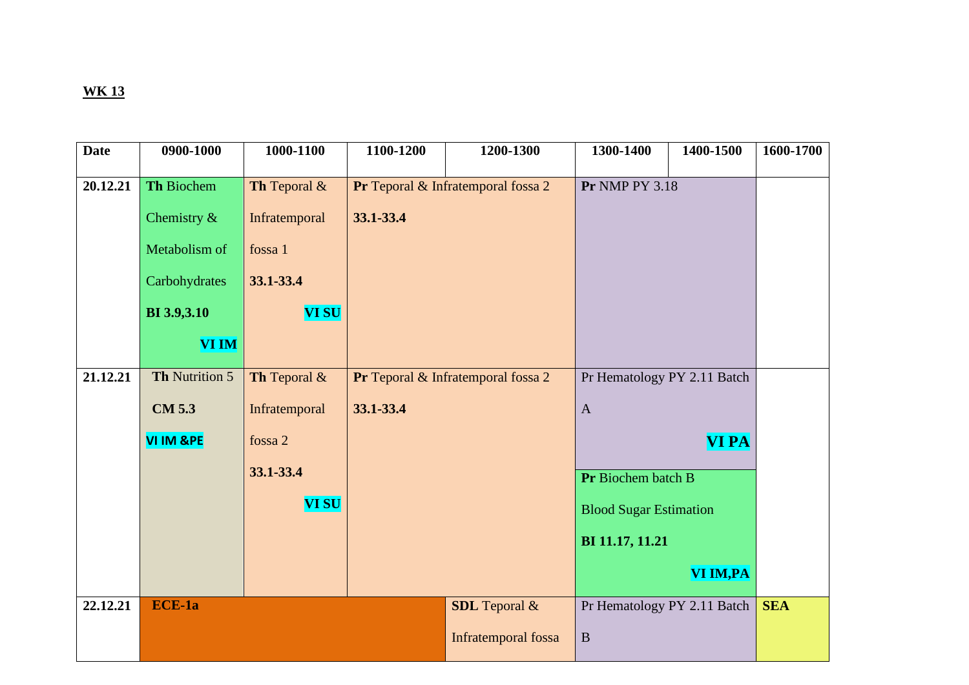| <b>Date</b> | 0900-1000          | 1000-1100     | 1100-1200 | 1200-1300                          | 1300-1400                     | 1400-1500    | 1600-1700  |
|-------------|--------------------|---------------|-----------|------------------------------------|-------------------------------|--------------|------------|
| 20.12.21    | Th Biochem         | Th Teporal &  |           | Pr Teporal & Infratemporal fossa 2 | <b>Pr NMP PY 3.18</b>         |              |            |
|             |                    |               |           |                                    |                               |              |            |
|             | Chemistry &        | Infratemporal | 33.1-33.4 |                                    |                               |              |            |
|             | Metabolism of      | fossa 1       |           |                                    |                               |              |            |
|             | Carbohydrates      | 33.1-33.4     |           |                                    |                               |              |            |
|             | <b>BI</b> 3.9,3.10 | <b>VI SU</b>  |           |                                    |                               |              |            |
|             | <b>VI IM</b>       |               |           |                                    |                               |              |            |
| 21.12.21    | Th Nutrition 5     | Th Teporal &  |           | Pr Teporal & Infratemporal fossa 2 | Pr Hematology PY 2.11 Batch   |              |            |
|             | <b>CM 5.3</b>      | Infratemporal | 33.1-33.4 |                                    | $\mathbf{A}$                  |              |            |
|             | VI IM &PE          | fossa 2       |           |                                    |                               | <b>VI PA</b> |            |
|             |                    | 33.1-33.4     |           |                                    | Pr Biochem batch B            |              |            |
|             |                    | <b>VI SU</b>  |           |                                    | <b>Blood Sugar Estimation</b> |              |            |
|             |                    |               |           |                                    | BI 11.17, 11.21               |              |            |
|             |                    |               |           |                                    |                               | VI IM, PA    |            |
| 22.12.21    | ECE-1a             |               |           | <b>SDL</b> Teporal &               | Pr Hematology PY 2.11 Batch   |              | <b>SEA</b> |
|             |                    |               |           | Infratemporal fossa                | $\mathbf B$                   |              |            |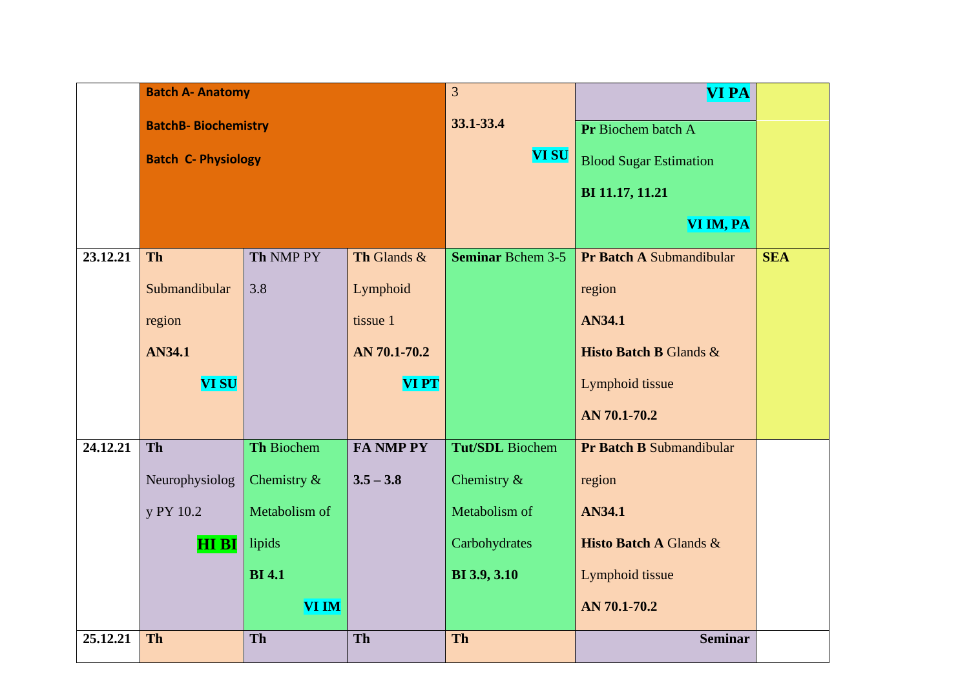|          | <b>Batch A- Anatomy</b>    |                   |                  | 3                        | <b>VI PA</b>                      |            |
|----------|----------------------------|-------------------|------------------|--------------------------|-----------------------------------|------------|
|          | <b>BatchB-Biochemistry</b> |                   |                  | 33.1-33.4                | Pr Biochem batch A                |            |
|          | <b>Batch C- Physiology</b> |                   |                  | <b>VI SU</b>             | <b>Blood Sugar Estimation</b>     |            |
|          |                            |                   |                  |                          | BI 11.17, 11.21                   |            |
|          |                            |                   |                  |                          | VI IM, PA                         |            |
| 23.12.21 | <b>Th</b>                  | Th NMP PY         | Th Glands &      | <b>Seminar Bchem 3-5</b> | Pr Batch A Submandibular          | <b>SEA</b> |
|          | Submandibular              | 3.8               | Lymphoid         |                          | region                            |            |
|          | region                     | tissue 1          |                  |                          | AN34.1                            |            |
|          | AN34.1                     | AN 70.1-70.2      |                  |                          | Histo Batch B Glands &            |            |
|          | <b>VI SU</b>               |                   | <b>VIPT</b>      |                          | Lymphoid tissue                   |            |
|          |                            |                   |                  |                          | AN 70.1-70.2                      |            |
| 24.12.21 | <b>Th</b>                  | <b>Th Biochem</b> | <b>FA NMP PY</b> | <b>Tut/SDL</b> Biochem   | Pr Batch B Submandibular          |            |
|          | Neurophysiolog             | Chemistry $\&$    | $3.5 - 3.8$      | Chemistry $\&$           | region                            |            |
|          | y PY 10.2                  | Metabolism of     |                  | Metabolism of            | AN34.1                            |            |
|          | HIBI                       | lipids            |                  | Carbohydrates            | <b>Histo Batch A Glands &amp;</b> |            |
|          |                            | <b>BI</b> 4.1     |                  | <b>BI</b> 3.9, 3.10      | Lymphoid tissue                   |            |
|          |                            | <b>VI IM</b>      |                  |                          | AN 70.1-70.2                      |            |
| 25.12.21 | <b>Th</b>                  | <b>Th</b>         | Th               | Th                       | <b>Seminar</b>                    |            |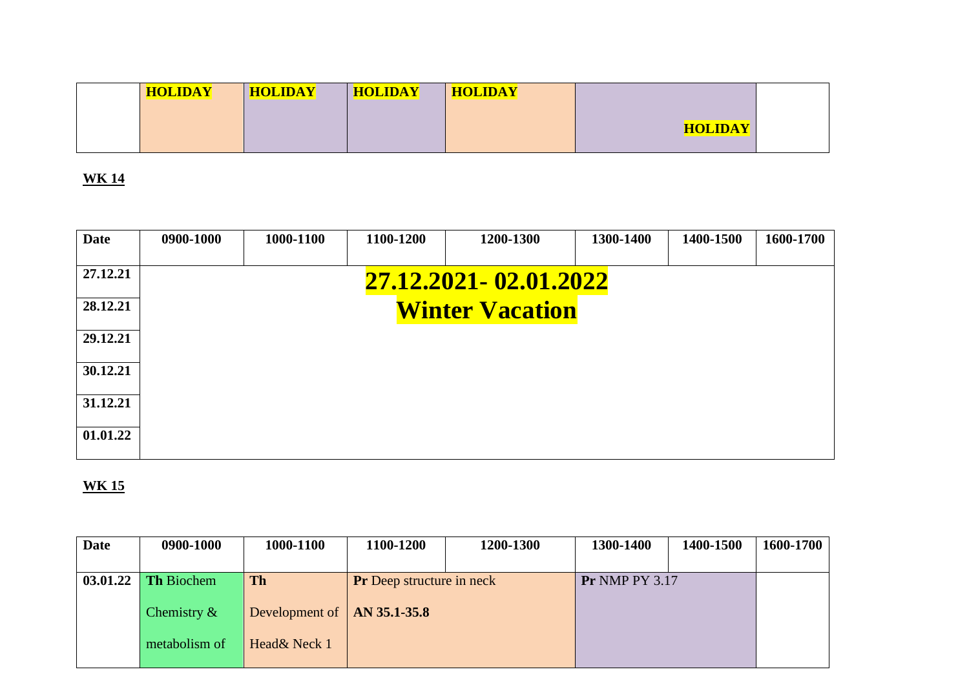| <b>HOLIDAY</b> |  |
|----------------|--|

| <b>Date</b> | 0900-1000 | 1000-1100 | 1100-1200 | 1200-1300              | 1300-1400 | 1400-1500 | 1600-1700 |
|-------------|-----------|-----------|-----------|------------------------|-----------|-----------|-----------|
| 27.12.21    |           |           |           | 27.12.2021-02.01.2022  |           |           |           |
| 28.12.21    |           |           |           | <b>Winter Vacation</b> |           |           |           |
| 29.12.21    |           |           |           |                        |           |           |           |
| 30.12.21    |           |           |           |                        |           |           |           |
| 31.12.21    |           |           |           |                        |           |           |           |
| 01.01.22    |           |           |           |                        |           |           |           |

| <b>Date</b> | 0900-1000         | 1000-1100                       | 1100-1200                        | 1200-1300 | 1300-1400             | 1400-1500 | 1600-1700 |
|-------------|-------------------|---------------------------------|----------------------------------|-----------|-----------------------|-----------|-----------|
|             |                   |                                 |                                  |           |                       |           |           |
| 03.01.22    | <b>Th Biochem</b> | <b>Th</b>                       | <b>Pr</b> Deep structure in neck |           | <b>Pr NMP PY 3.17</b> |           |           |
|             |                   |                                 |                                  |           |                       |           |           |
|             | Chemistry $\&$    | Development of $ $ AN 35.1-35.8 |                                  |           |                       |           |           |
|             |                   |                                 |                                  |           |                       |           |           |
|             | metabolism of     | Head& Neck 1                    |                                  |           |                       |           |           |
|             |                   |                                 |                                  |           |                       |           |           |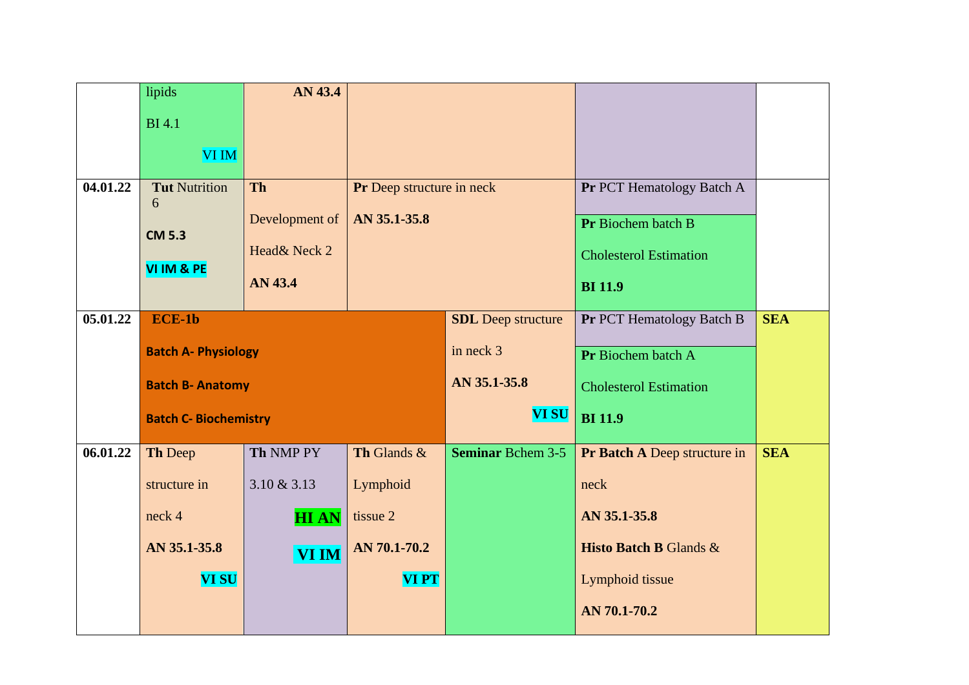|          | lipids                       | AN 43.4                    |                           |                           |                                   |            |  |
|----------|------------------------------|----------------------------|---------------------------|---------------------------|-----------------------------------|------------|--|
|          | <b>BI</b> 4.1                |                            |                           |                           |                                   |            |  |
|          | <b>VI IM</b>                 |                            |                           |                           |                                   |            |  |
| 04.01.22 | <b>Tut Nutrition</b>         | Th                         | Pr Deep structure in neck |                           | Pr PCT Hematology Batch A         |            |  |
|          | 6                            | Development of             | AN 35.1-35.8              |                           | Pr Biochem batch B                |            |  |
|          | <b>CM 5.3</b>                | Head& Neck 2               |                           |                           |                                   |            |  |
|          | VI IM & PE                   |                            |                           |                           | <b>Cholesterol Estimation</b>     |            |  |
|          |                              | AN 43.4                    |                           |                           | <b>BI</b> 11.9                    |            |  |
| 05.01.22 | $ECE-1b$                     |                            |                           | <b>SDL</b> Deep structure | Pr PCT Hematology Batch B         | <b>SEA</b> |  |
|          |                              | <b>Batch A- Physiology</b> |                           |                           | Pr Biochem batch A                |            |  |
|          | <b>Batch B- Anatomy</b>      |                            |                           | AN 35.1-35.8              | <b>Cholesterol Estimation</b>     |            |  |
|          | <b>Batch C- Biochemistry</b> |                            |                           | <b>VI SU</b>              | <b>BI</b> 11.9                    |            |  |
| 06.01.22 | Th Deep                      | Th NMP PY                  | Th Glands &               | <b>Seminar Bchem 3-5</b>  | Pr Batch A Deep structure in      | <b>SEA</b> |  |
|          | structure in                 | $3.10 \& 3.13$             | Lymphoid                  |                           | neck                              |            |  |
|          | neck 4                       | <b>HIAN</b>                | tissue 2                  |                           | AN 35.1-35.8                      |            |  |
|          | AN 35.1-35.8                 | <b>VI IM</b>               | AN 70.1-70.2              |                           | <b>Histo Batch B Glands &amp;</b> |            |  |
|          | <b>VI SU</b>                 |                            | <b>VIPT</b>               |                           | Lymphoid tissue                   |            |  |
|          |                              |                            |                           |                           | AN 70.1-70.2                      |            |  |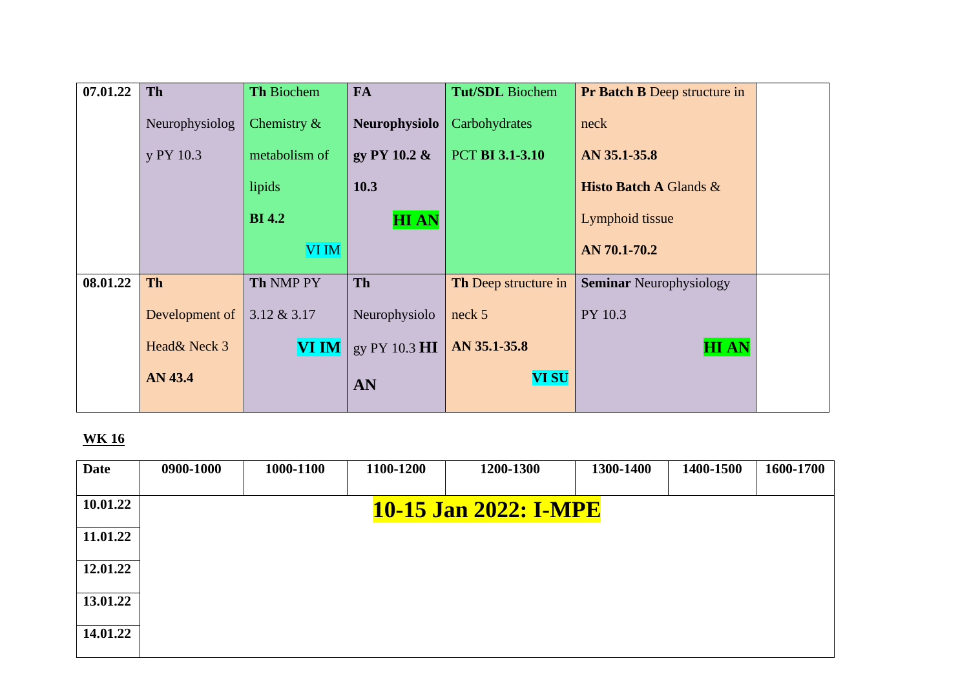| 07.01.22 | Th             | <b>Th Biochem</b> | <b>FA</b>       | <b>Tut/SDL</b> Biochem | <b>Pr Batch B Deep structure in</b>             |  |
|----------|----------------|-------------------|-----------------|------------------------|-------------------------------------------------|--|
|          | Neurophysiolog | Chemistry $\&$    | Neurophysiolo   | Carbohydrates          | neck                                            |  |
|          | y PY 10.3      | metabolism of     | gy PY 10.2 $\&$ | <b>PCT BI 3.1-3.10</b> | AN 35.1-35.8                                    |  |
|          |                | lipids            | 10.3            |                        | <b>Histo Batch A Glands <math>\&amp;</math></b> |  |
|          |                | <b>BI</b> 4.2     | <b>HIAN</b>     |                        | Lymphoid tissue                                 |  |
|          |                | VI IM             |                 |                        | AN 70.1-70.2                                    |  |
| 08.01.22 | <b>Th</b>      | Th NMP PY         | Th              | Th Deep structure in   | <b>Seminar Neurophysiology</b>                  |  |
|          | Development of | $3.12 \& 3.17$    | Neurophysiolo   | neck 5                 | PY 10.3                                         |  |
|          | Head& Neck 3   | <b>VI IM</b>      | gy PY 10.3 HI   | AN 35.1-35.8           | <b>HIAN</b>                                     |  |
|          | AN 43.4        |                   | AN              | <b>VI SU</b>           |                                                 |  |

| <b>Date</b> | 0900-1000 | 1000-1100 | 1100-1200 | 1200-1300             | 1300-1400 | 1400-1500 | 1600-1700 |
|-------------|-----------|-----------|-----------|-----------------------|-----------|-----------|-----------|
| 10.01.22    |           |           |           | 10-15 Jan 2022: I-MPE |           |           |           |
| 11.01.22    |           |           |           |                       |           |           |           |
| 12.01.22    |           |           |           |                       |           |           |           |
| 13.01.22    |           |           |           |                       |           |           |           |
| 14.01.22    |           |           |           |                       |           |           |           |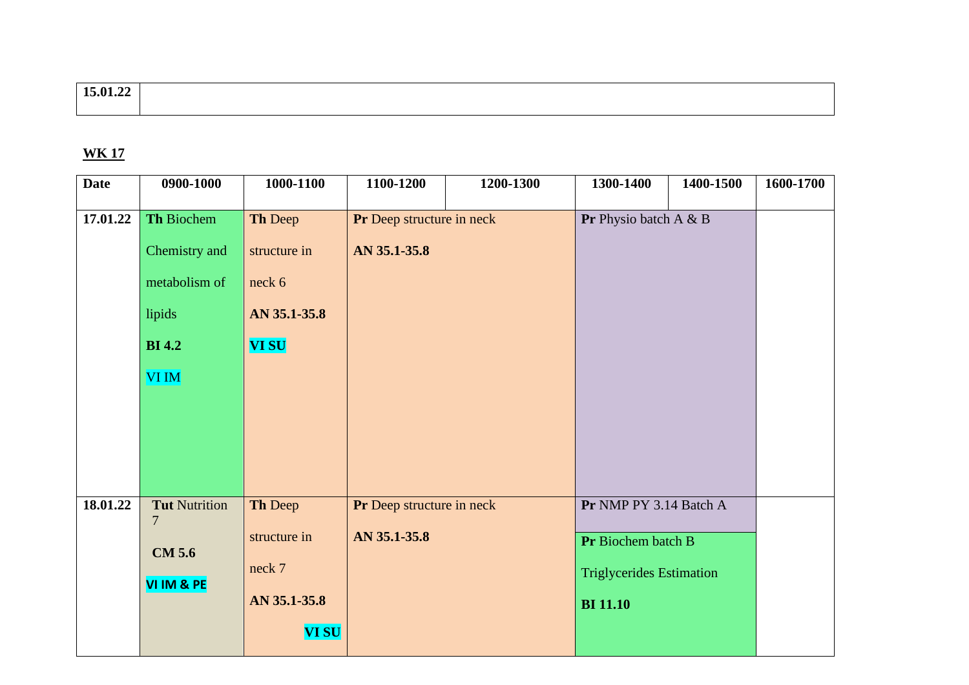# **15.01.22**

| <b>Date</b> | 0900-1000                                                                               | 1000-1100                                                         | 1100-1200                                 | 1200-1300 | 1300-1400                                                                                          | 1400-1500 | 1600-1700 |
|-------------|-----------------------------------------------------------------------------------------|-------------------------------------------------------------------|-------------------------------------------|-----------|----------------------------------------------------------------------------------------------------|-----------|-----------|
| 17.01.22    | Th Biochem<br>Chemistry and<br>metabolism of<br>lipids<br><b>BI</b> 4.2<br><b>VI IM</b> | Th Deep<br>structure in<br>neck 6<br>AN 35.1-35.8<br><b>VI SU</b> | Pr Deep structure in neck<br>AN 35.1-35.8 |           | Pr Physio batch A & B                                                                              |           |           |
| 18.01.22    | <b>Tut Nutrition</b><br>$\overline{7}$<br><b>CM 5.6</b><br>VI IM & PE                   | Th Deep<br>structure in<br>neck 7<br>AN 35.1-35.8<br><b>VI SU</b> | Pr Deep structure in neck<br>AN 35.1-35.8 |           | Pr NMP PY 3.14 Batch A<br>Pr Biochem batch B<br><b>Triglycerides Estimation</b><br><b>BI</b> 11.10 |           |           |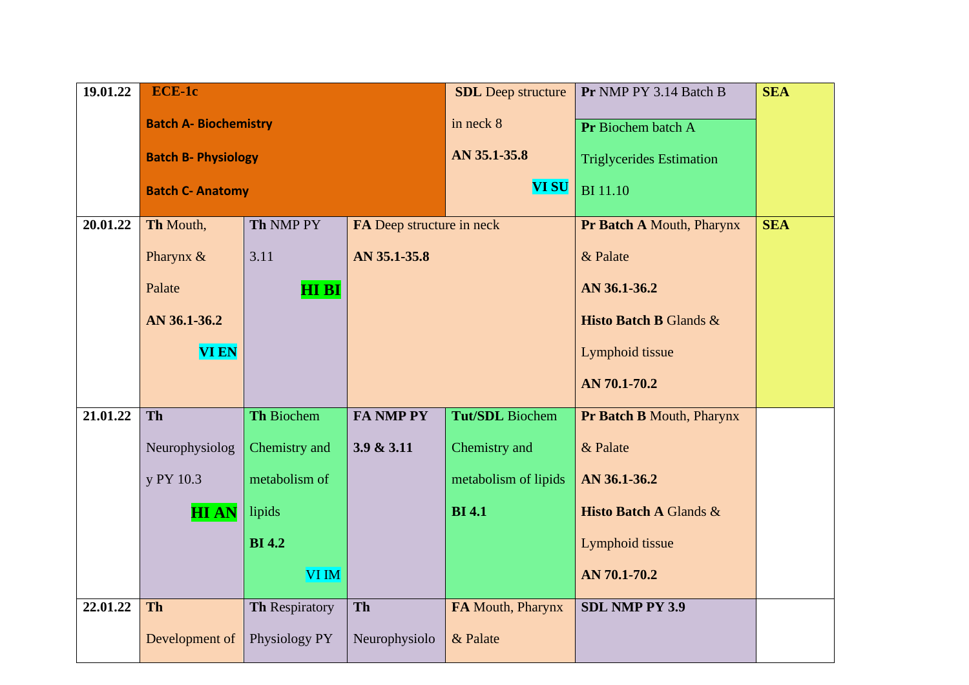| 19.01.22 | <b>ECE-1c</b>                |                   |                           | <b>SDL</b> Deep structure | Pr NMP PY 3.14 Batch B            | <b>SEA</b> |
|----------|------------------------------|-------------------|---------------------------|---------------------------|-----------------------------------|------------|
|          | <b>Batch A- Biochemistry</b> |                   |                           | in neck 8                 | Pr Biochem batch A                |            |
|          | <b>Batch B- Physiology</b>   |                   |                           | AN 35.1-35.8              | <b>Triglycerides Estimation</b>   |            |
|          | <b>Batch C- Anatomy</b>      |                   |                           | <b>VI SU</b>              | <b>BI</b> 11.10                   |            |
| 20.01.22 | Th Mouth,                    | Th NMP PY         | FA Deep structure in neck |                           | Pr Batch A Mouth, Pharynx         | <b>SEA</b> |
|          | Pharynx &                    | 3.11              | AN 35.1-35.8              |                           | & Palate                          |            |
|          | Palate                       | <b>HIBI</b>       |                           |                           | AN 36.1-36.2                      |            |
|          | AN 36.1-36.2                 |                   |                           |                           | <b>Histo Batch B Glands &amp;</b> |            |
|          | <b>VI EN</b>                 |                   |                           |                           | Lymphoid tissue                   |            |
|          |                              |                   |                           |                           | AN 70.1-70.2                      |            |
| 21.01.22 | <b>Th</b>                    | <b>Th Biochem</b> | <b>FA NMP PY</b>          | Tut/SDL Biochem           | <b>Pr Batch B Mouth, Pharynx</b>  |            |
|          | Neurophysiolog               | Chemistry and     | 3.9 & 3.11                | Chemistry and             | & Palate                          |            |
|          | y PY 10.3                    | metabolism of     |                           | metabolism of lipids      | AN 36.1-36.2                      |            |
|          | <b>HIAN</b>                  | lipids            |                           | <b>BI</b> 4.1             | <b>Histo Batch A Glands &amp;</b> |            |
|          |                              | <b>BI</b> 4.2     |                           |                           | Lymphoid tissue                   |            |
|          |                              | <b>VI IM</b>      |                           |                           | AN 70.1-70.2                      |            |
| 22.01.22 | <b>Th</b>                    | Th Respiratory    | Th                        | FA Mouth, Pharynx         | <b>SDL NMP PY 3.9</b>             |            |
|          | Development of               | Physiology PY     | Neurophysiolo             | & Palate                  |                                   |            |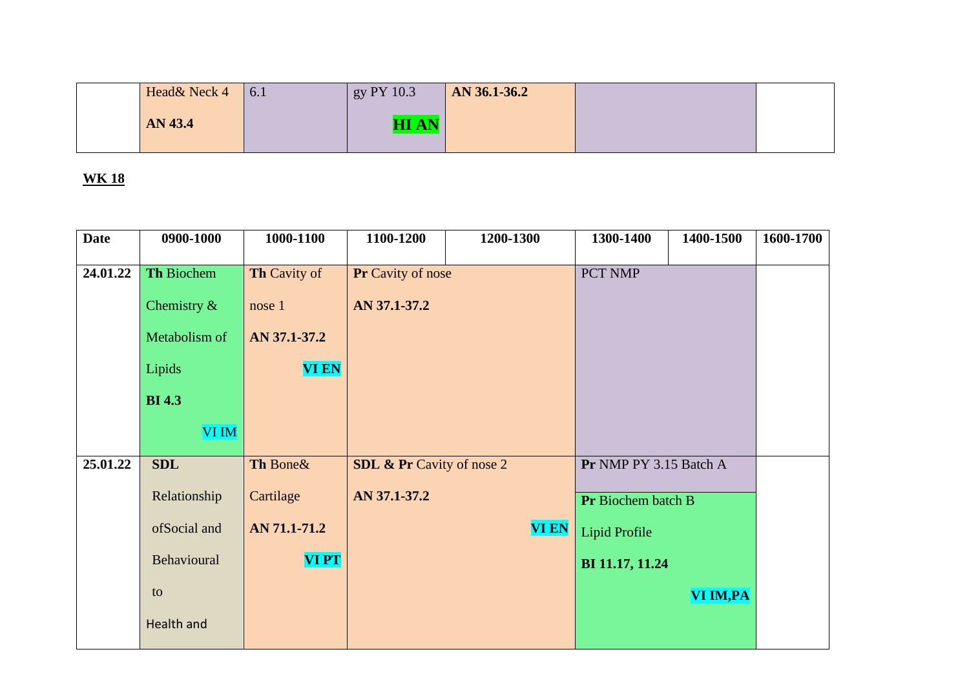| <b>Date</b> | 0900-1000      | 1000-1100           | 1100-1200                            | 1200-1300    | 1300-1400              | 1400-1500 | 1600-1700 |
|-------------|----------------|---------------------|--------------------------------------|--------------|------------------------|-----------|-----------|
|             |                |                     |                                      |              |                        |           |           |
| 24.01.22    | Th Biochem     | <b>Th Cavity of</b> | Pr Cavity of nose                    |              | PCT NMP                |           |           |
|             | Chemistry $\&$ | nose 1              | AN 37.1-37.2                         |              |                        |           |           |
|             | Metabolism of  | AN 37.1-37.2        |                                      |              |                        |           |           |
|             | Lipids         | <b>VI EN</b>        |                                      |              |                        |           |           |
|             | <b>BI</b> 4.3  |                     |                                      |              |                        |           |           |
|             | <b>VI IM</b>   |                     |                                      |              |                        |           |           |
| 25.01.22    | <b>SDL</b>     | Th Bone&            | <b>SDL &amp; Pr</b> Cavity of nose 2 |              | Pr NMP PY 3.15 Batch A |           |           |
|             | Relationship   | Cartilage           | AN 37.1-37.2                         |              | Pr Biochem batch B     |           |           |
|             | ofSocial and   | AN 71.1-71.2        |                                      | <b>VI EN</b> | Lipid Profile          |           |           |
|             | Behavioural    | <b>VIPT</b>         |                                      |              | BI 11.17, 11.24        |           |           |
|             | to             |                     |                                      |              |                        | VI IM, PA |           |
|             | Health and     |                     |                                      |              |                        |           |           |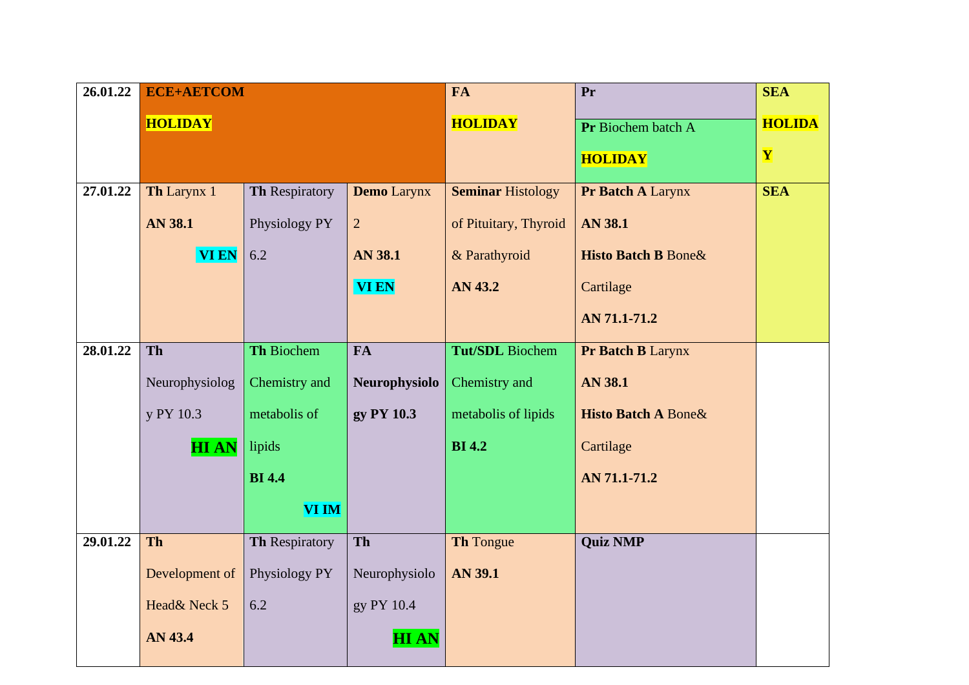| $\overline{26.01.22}$ |                | <b>ECE+AETCOM</b>     |                    |                          | Pr                              | <b>SEA</b>    |
|-----------------------|----------------|-----------------------|--------------------|--------------------------|---------------------------------|---------------|
|                       | <b>HOLIDAY</b> |                       |                    | <b>HOLIDAY</b>           | Pr Biochem batch A              | <b>HOLIDA</b> |
|                       |                |                       |                    |                          | <b>HOLIDAY</b>                  | Y             |
|                       |                |                       |                    |                          |                                 |               |
| 27.01.22              | Th Larynx 1    | Th Respiratory        | <b>Demo</b> Larynx | <b>Seminar Histology</b> | Pr Batch A Larynx               | <b>SEA</b>    |
|                       | <b>AN 38.1</b> | Physiology PY         | $\overline{2}$     | of Pituitary, Thyroid    | AN 38.1                         |               |
|                       | <b>VI EN</b>   | 6.2                   | <b>AN 38.1</b>     | & Parathyroid            | <b>Histo Batch B Bone&amp;</b>  |               |
|                       |                | <b>VI EN</b>          |                    | AN 43.2                  | Cartilage                       |               |
|                       |                |                       |                    |                          | AN 71.1-71.2                    |               |
| 28.01.22              | Th             | Th Biochem            | <b>FA</b>          | <b>Tut/SDL</b> Biochem   | Pr Batch B Larynx               |               |
|                       |                |                       |                    |                          |                                 |               |
|                       | Neurophysiolog | Chemistry and         | Neurophysiolo      | Chemistry and            | <b>AN 38.1</b>                  |               |
|                       | y PY 10.3      | metabolis of          | gy PY 10.3         | metabolis of lipids      | <b>Histo Batch A Bone &amp;</b> |               |
|                       | <b>HIAN</b>    | lipids                |                    | <b>BI</b> 4.2            | Cartilage                       |               |
|                       |                | <b>BI</b> 4.4         |                    |                          | AN 71.1-71.2                    |               |
|                       |                | <b>VI IM</b>          |                    |                          |                                 |               |
| 29.01.22              | <b>Th</b>      | <b>Th Respiratory</b> | Th                 | <b>Th Tongue</b>         | <b>Quiz NMP</b>                 |               |
|                       | Development of | Physiology PY         | Neurophysiolo      | <b>AN 39.1</b>           |                                 |               |
|                       | Head& Neck 5   | 6.2                   | gy PY 10.4         |                          |                                 |               |
|                       | AN 43.4        |                       | <b>HIAN</b>        |                          |                                 |               |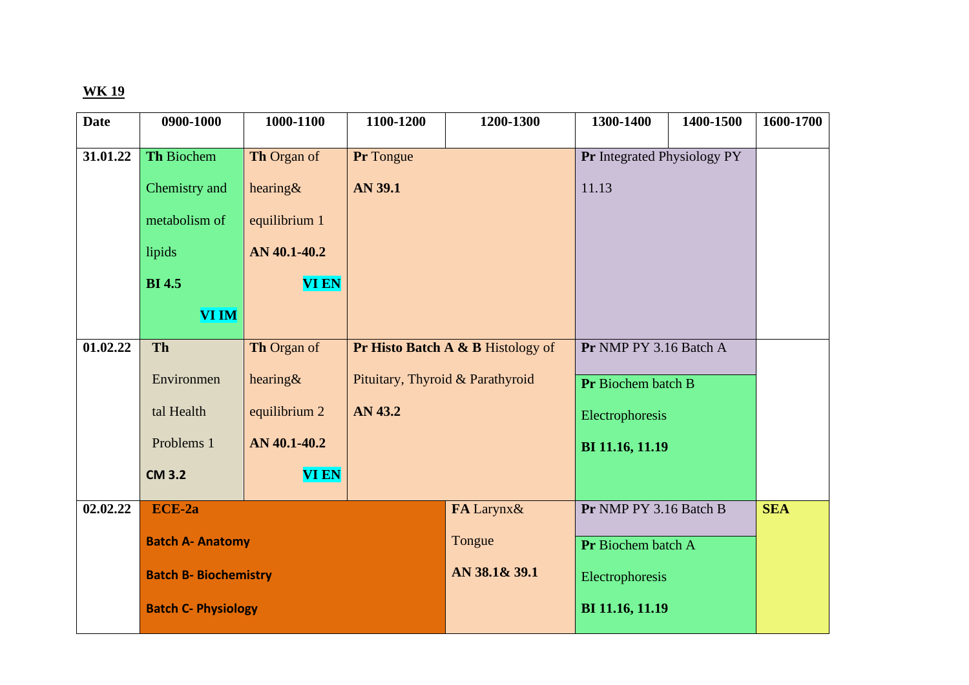| <b>Date</b> | 0900-1000                    | 1000-1100     | 1100-1200                        | 1200-1300                         | 1300-1400                   | 1400-1500 | 1600-1700  |
|-------------|------------------------------|---------------|----------------------------------|-----------------------------------|-----------------------------|-----------|------------|
|             |                              |               |                                  |                                   |                             |           |            |
| 31.01.22    | <b>Th Biochem</b>            | Th Organ of   | Pr Tongue                        |                                   | Pr Integrated Physiology PY |           |            |
|             | Chemistry and                | hearing $\&$  | <b>AN 39.1</b>                   |                                   | 11.13                       |           |            |
|             | metabolism of                | equilibrium 1 |                                  |                                   |                             |           |            |
|             | lipids                       | AN 40.1-40.2  |                                  |                                   |                             |           |            |
|             | <b>BI</b> 4.5                | <b>VI EN</b>  |                                  |                                   |                             |           |            |
|             | <b>VI IM</b>                 |               |                                  |                                   |                             |           |            |
| 01.02.22    | Th                           | Th Organ of   |                                  | Pr Histo Batch A & B Histology of | Pr NMP PY 3.16 Batch A      |           |            |
|             | Environmen                   | hearing $\&$  | Pituitary, Thyroid & Parathyroid |                                   | Pr Biochem batch B          |           |            |
|             | tal Health                   | equilibrium 2 | AN 43.2                          |                                   | Electrophoresis             |           |            |
|             | Problems 1                   | AN 40.1-40.2  |                                  |                                   | BI 11.16, 11.19             |           |            |
|             | <b>CM 3.2</b>                | <b>VI EN</b>  |                                  |                                   |                             |           |            |
| 02.02.22    | ECE-2a                       |               |                                  | FA Larynx&                        | Pr NMP PY 3.16 Batch B      |           | <b>SEA</b> |
|             | <b>Batch A- Anatomy</b>      |               |                                  | Tongue                            | Pr Biochem batch A          |           |            |
|             | <b>Batch B- Biochemistry</b> |               |                                  | AN 38.1& 39.1                     | Electrophoresis             |           |            |
|             | <b>Batch C- Physiology</b>   |               |                                  |                                   | BI 11.16, 11.19             |           |            |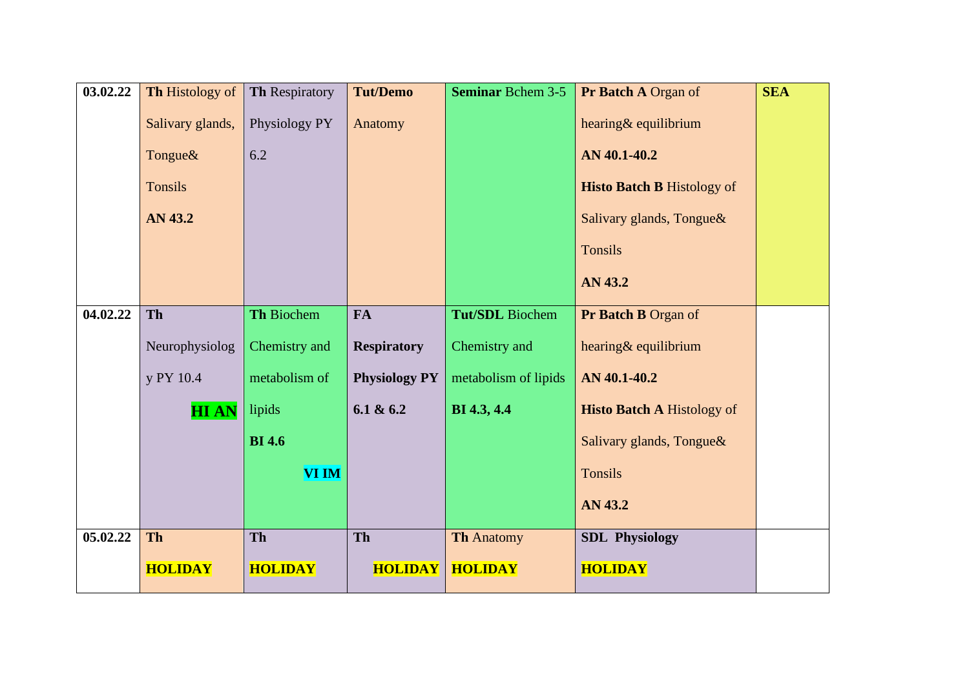| 03.02.22 | <b>Th Histology of</b> | Th Respiratory | <b>Tut/Demo</b>      | <b>Seminar Bchem 3-5</b> | <b>Pr Batch A Organ of</b>        | <b>SEA</b> |
|----------|------------------------|----------------|----------------------|--------------------------|-----------------------------------|------------|
|          | Salivary glands,       | Physiology PY  | Anatomy              |                          | hearing& equilibrium              |            |
|          | Tongue&                | 6.2            |                      |                          | AN 40.1-40.2                      |            |
|          | <b>Tonsils</b>         |                |                      |                          | <b>Histo Batch B Histology of</b> |            |
|          | AN 43.2                |                |                      |                          | Salivary glands, Tongue&          |            |
|          |                        |                |                      |                          | Tonsils                           |            |
|          |                        |                |                      |                          | AN 43.2                           |            |
| 04.02.22 | Th                     | Th Biochem     | FA                   | <b>Tut/SDL</b> Biochem   | Pr Batch B Organ of               |            |
|          | Neurophysiolog         | Chemistry and  | <b>Respiratory</b>   | Chemistry and            | hearing& equilibrium              |            |
|          | y PY 10.4              | metabolism of  | <b>Physiology PY</b> | metabolism of lipids     | AN 40.1-40.2                      |            |
|          | <b>HIAN</b>            | lipids         | 6.1 & 6.2            | BI 4.3, 4.4              | <b>Histo Batch A Histology of</b> |            |
|          |                        | <b>BI</b> 4.6  |                      |                          | Salivary glands, Tongue&          |            |
|          |                        | <b>VI IM</b>   |                      |                          | <b>Tonsils</b>                    |            |
|          |                        |                |                      |                          | AN 43.2                           |            |
| 05.02.22 | Th                     | Th             | Th                   | <b>Th Anatomy</b>        | <b>SDL Physiology</b>             |            |
|          | <b>HOLIDAY</b>         | <b>HOLIDAY</b> | <b>HOLIDAY</b>       | <b>HOLIDAY</b>           | <b>HOLIDAY</b>                    |            |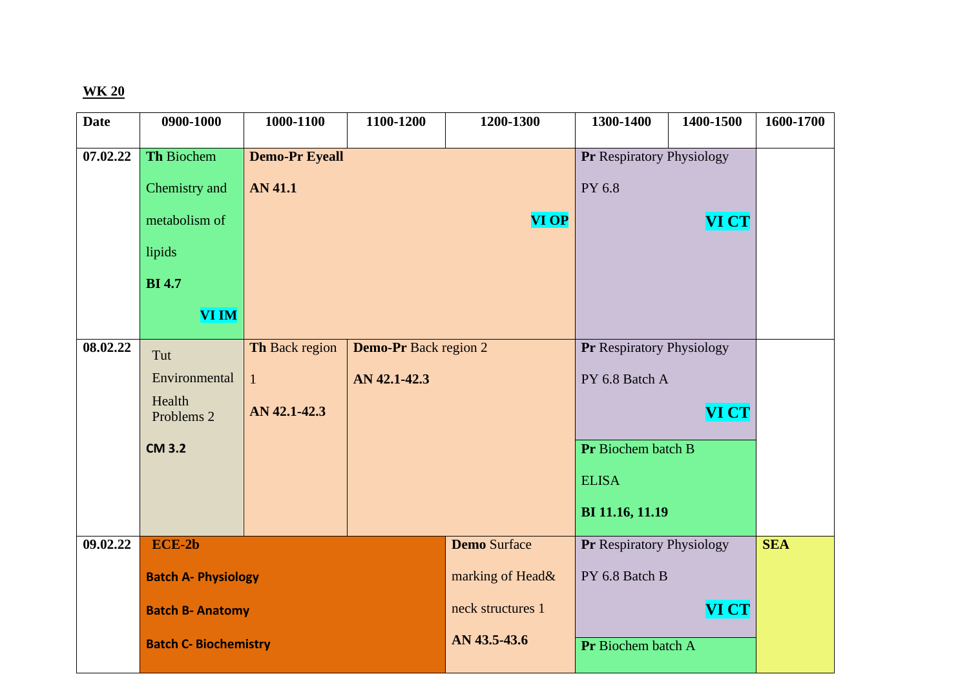| <b>Date</b> | 0900-1000                       | 1000-1100                                      | 1100-1200    | 1200-1300           | 1300-1400                        | 1400-1500    | 1600-1700  |
|-------------|---------------------------------|------------------------------------------------|--------------|---------------------|----------------------------------|--------------|------------|
| 07.02.22    | Th Biochem                      | <b>Demo-Pr Eyeall</b>                          |              |                     | Pr Respiratory Physiology        |              |            |
|             |                                 |                                                |              |                     |                                  |              |            |
|             | Chemistry and                   | <b>AN 41.1</b>                                 |              |                     | PY 6.8                           |              |            |
|             | metabolism of                   |                                                |              | <b>VI OP</b>        |                                  | VI CT        |            |
|             | lipids                          |                                                |              |                     |                                  |              |            |
|             | <b>BI</b> 4.7                   |                                                |              |                     |                                  |              |            |
|             | <b>VI IM</b>                    |                                                |              |                     |                                  |              |            |
| 08.02.22    | Tut                             | Th Back region<br><b>Demo-Pr</b> Back region 2 |              |                     | <b>Pr Respiratory Physiology</b> |              |            |
|             | Environmental                   | $\mathbf{1}$                                   | AN 42.1-42.3 |                     | PY 6.8 Batch A                   |              |            |
|             | Health<br>Problems <sub>2</sub> | AN 42.1-42.3                                   |              |                     |                                  | <b>VI CT</b> |            |
|             | <b>CM 3.2</b>                   |                                                |              |                     | Pr Biochem batch B               |              |            |
|             |                                 |                                                |              |                     | <b>ELISA</b>                     |              |            |
|             |                                 |                                                |              |                     | BI 11.16, 11.19                  |              |            |
| 09.02.22    | $ECE-2b$                        |                                                |              | <b>Demo Surface</b> | <b>Pr Respiratory Physiology</b> |              | <b>SEA</b> |
|             | <b>Batch A- Physiology</b>      |                                                |              | marking of Head&    | PY 6.8 Batch B                   |              |            |
|             |                                 | neck structures 1<br><b>Batch B- Anatomy</b>   |              |                     |                                  | <b>VI CT</b> |            |
|             | <b>Batch C- Biochemistry</b>    |                                                |              | AN 43.5-43.6        | Pr Biochem batch A               |              |            |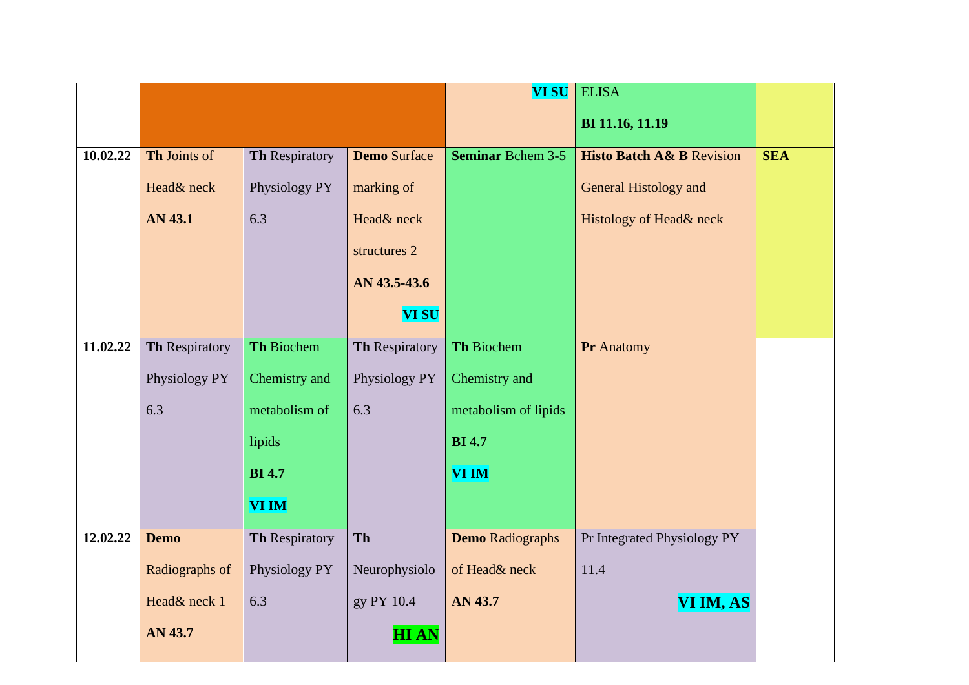|          |                       |                |                     | <b>VI SU</b>             | <b>ELISA</b>                         |            |
|----------|-----------------------|----------------|---------------------|--------------------------|--------------------------------------|------------|
|          |                       |                |                     |                          | BI 11.16, 11.19                      |            |
| 10.02.22 | Th Joints of          | Th Respiratory | <b>Demo Surface</b> | <b>Seminar Bchem 3-5</b> | <b>Histo Batch A&amp; B Revision</b> | <b>SEA</b> |
|          |                       |                |                     |                          |                                      |            |
|          | Head& neck            | Physiology PY  | marking of          |                          | <b>General Histology and</b>         |            |
|          | <b>AN 43.1</b>        | 6.3            | Head& neck          |                          | Histology of Head& neck              |            |
|          |                       |                | structures 2        |                          |                                      |            |
|          |                       |                | AN 43.5-43.6        |                          |                                      |            |
|          |                       |                | <b>VI SU</b>        |                          |                                      |            |
| 11.02.22 | <b>Th Respiratory</b> | Th Biochem     | Th Respiratory      | Th Biochem               | Pr Anatomy                           |            |
|          |                       |                |                     |                          |                                      |            |
|          | Physiology PY         | Chemistry and  | Physiology PY       | Chemistry and            |                                      |            |
|          | 6.3                   | metabolism of  | 6.3                 | metabolism of lipids     |                                      |            |
|          |                       | lipids         |                     | <b>BI</b> 4.7            |                                      |            |
|          |                       | <b>BI</b> 4.7  |                     | <b>VI IM</b>             |                                      |            |
|          |                       | <b>VI IM</b>   |                     |                          |                                      |            |
| 12.02.22 | <b>Demo</b>           | Th Respiratory | Th                  | <b>Demo Radiographs</b>  | Pr Integrated Physiology PY          |            |
|          | Radiographs of        | Physiology PY  | Neurophysiolo       | of Head& neck            | 11.4                                 |            |
|          | Head& neck 1          | 6.3            | gy PY 10.4          | AN 43.7                  | VI IM, AS                            |            |
|          | AN 43.7               |                | <b>HIAN</b>         |                          |                                      |            |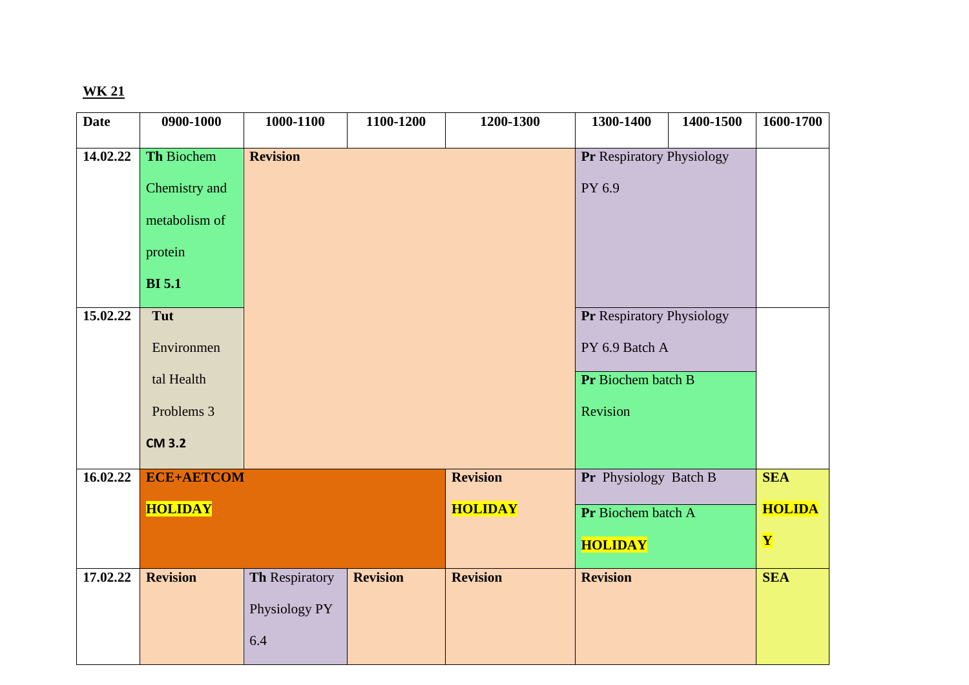| <b>Date</b> | 0900-1000         | 1000-1100       | 1100-1200       | 1200-1300       | 1300-1400                        | 1400-1500 | 1600-1700     |
|-------------|-------------------|-----------------|-----------------|-----------------|----------------------------------|-----------|---------------|
| 14.02.22    | Th Biochem        | <b>Revision</b> |                 |                 | <b>Pr Respiratory Physiology</b> |           |               |
|             |                   |                 |                 |                 |                                  |           |               |
|             | Chemistry and     |                 |                 |                 | PY 6.9                           |           |               |
|             | metabolism of     |                 |                 |                 |                                  |           |               |
|             | protein           |                 |                 |                 |                                  |           |               |
|             | <b>BI</b> 5.1     |                 |                 |                 |                                  |           |               |
| 15.02.22    | Tut               |                 |                 |                 | <b>Pr Respiratory Physiology</b> |           |               |
|             | Environmen        |                 |                 |                 | PY 6.9 Batch A                   |           |               |
|             |                   |                 |                 |                 |                                  |           |               |
|             | tal Health        |                 |                 |                 | Pr Biochem batch B               |           |               |
|             | Problems 3        |                 |                 |                 | Revision                         |           |               |
|             | <b>CM 3.2</b>     |                 |                 |                 |                                  |           |               |
| 16.02.22    | <b>ECE+AETCOM</b> |                 |                 | <b>Revision</b> | Pr Physiology Batch B            |           | <b>SEA</b>    |
|             |                   |                 |                 |                 |                                  |           |               |
|             | <b>HOLIDAY</b>    |                 |                 | <b>HOLIDAY</b>  | Pr Biochem batch A               |           | <b>HOLIDA</b> |
|             |                   |                 |                 |                 | <b>HOLIDAY</b>                   |           | Y             |
| 17.02.22    | <b>Revision</b>   | Th Respiratory  | <b>Revision</b> | <b>Revision</b> | <b>Revision</b>                  |           | <b>SEA</b>    |
|             |                   |                 |                 |                 |                                  |           |               |
|             |                   | Physiology PY   |                 |                 |                                  |           |               |
|             |                   | 6.4             |                 |                 |                                  |           |               |
|             |                   |                 |                 |                 |                                  |           |               |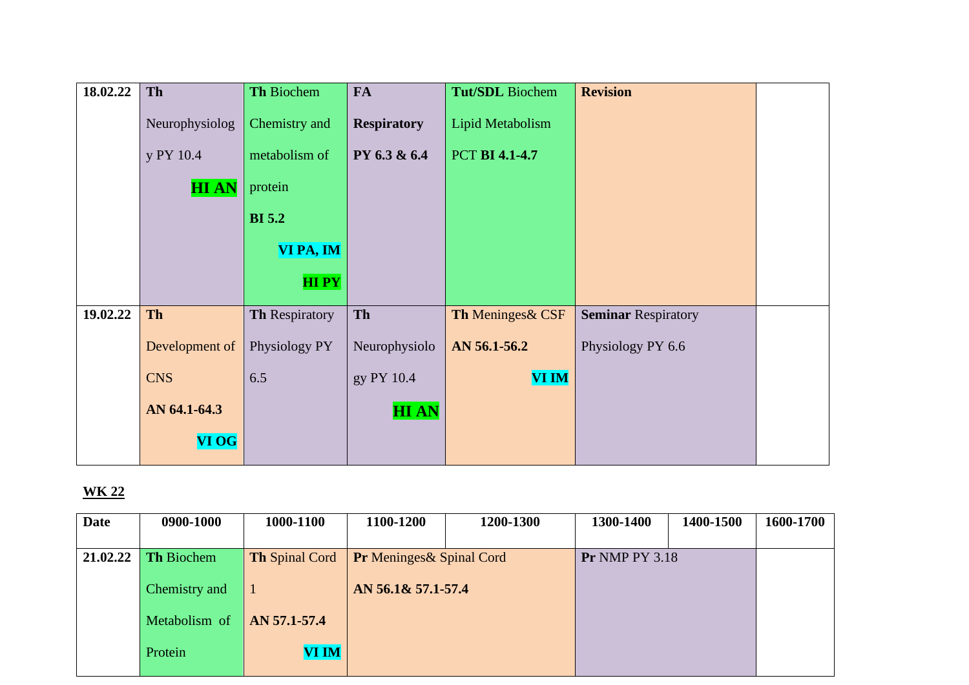| 18.02.22 | Th             | Th Biochem     | <b>FA</b>          | <b>Tut/SDL</b> Biochem | <b>Revision</b>            |  |
|----------|----------------|----------------|--------------------|------------------------|----------------------------|--|
|          | Neurophysiolog | Chemistry and  | <b>Respiratory</b> | Lipid Metabolism       |                            |  |
|          | y PY 10.4      | metabolism of  | PY 6.3 & 6.4       | <b>PCT BI 4.1-4.7</b>  |                            |  |
|          | <b>HIAN</b>    | protein        |                    |                        |                            |  |
|          |                | <b>BI</b> 5.2  |                    |                        |                            |  |
|          |                | VI PA, IM      |                    |                        |                            |  |
|          |                | <b>HIPY</b>    |                    |                        |                            |  |
| 19.02.22 | Th             | Th Respiratory | Th                 | Th Meninges & CSF      | <b>Seminar Respiratory</b> |  |
|          | Development of | Physiology PY  | Neurophysiolo      | AN 56.1-56.2           | Physiology PY 6.6          |  |
|          | <b>CNS</b>     | 6.5            | gy PY 10.4         | <b>VI IM</b>           |                            |  |
|          | AN 64.1-64.3   |                | <b>HIAN</b>        |                        |                            |  |
|          | VI OG          |                |                    |                        |                            |  |

| <b>Date</b> | 0900-1000         | 1000-1100             | 1100-1200                        | 1200-1300 | 1300-1400             | 1400-1500 | 1600-1700 |
|-------------|-------------------|-----------------------|----------------------------------|-----------|-----------------------|-----------|-----------|
|             |                   |                       |                                  |           |                       |           |           |
| 21.02.22    | <b>Th Biochem</b> | <b>Th Spinal Cord</b> | <b>Pr</b> Meninges & Spinal Cord |           | <b>Pr NMP PY 3.18</b> |           |           |
|             |                   |                       |                                  |           |                       |           |           |
|             | Chemistry and     |                       | AN 56.1& 57.1-57.4               |           |                       |           |           |
|             |                   |                       |                                  |           |                       |           |           |
|             | Metabolism of     | AN 57.1-57.4          |                                  |           |                       |           |           |
|             | Protein           | <b>VI IM</b>          |                                  |           |                       |           |           |
|             |                   |                       |                                  |           |                       |           |           |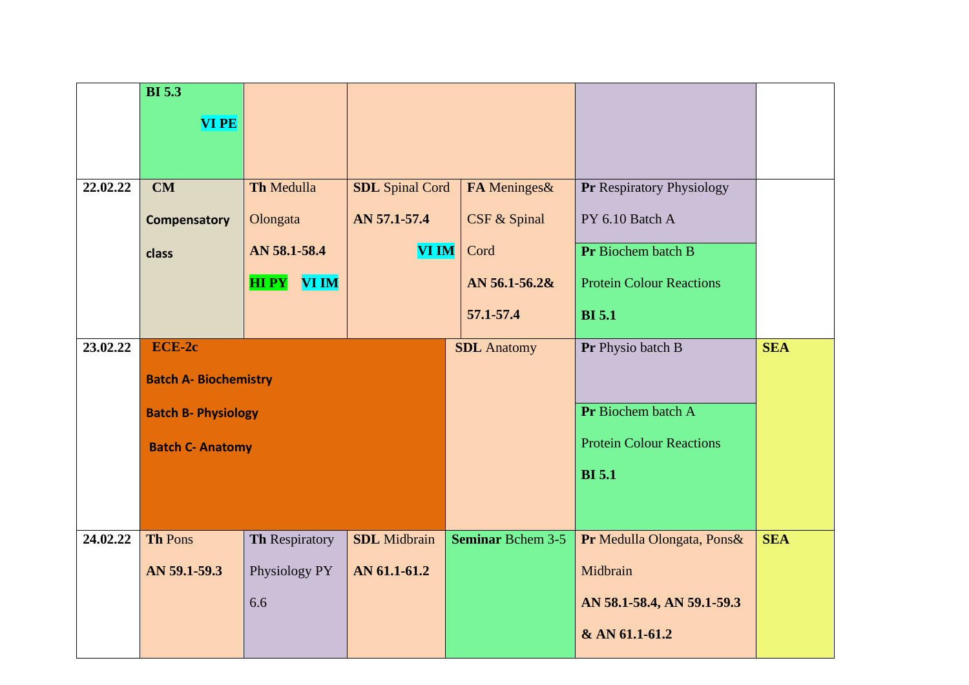|          | <b>BI</b> 5.3                |                             |                        |                          |                                 |            |
|----------|------------------------------|-----------------------------|------------------------|--------------------------|---------------------------------|------------|
|          | <b>VI PE</b>                 |                             |                        |                          |                                 |            |
|          |                              |                             |                        |                          |                                 |            |
|          |                              |                             |                        |                          |                                 |            |
| 22.02.22 | CM                           | Th Medulla                  | <b>SDL</b> Spinal Cord | FA Meninges&             | Pr Respiratory Physiology       |            |
|          | <b>Compensatory</b>          | Olongata                    | AN 57.1-57.4           | CSF & Spinal             | PY 6.10 Batch A                 |            |
|          | class                        | AN 58.1-58.4                | <b>VI IM</b>           | Cord                     | Pr Biochem batch B              |            |
|          |                              | <b>VI IM</b><br><b>HIPY</b> |                        | AN $56.1 - 56.2$ &       | <b>Protein Colour Reactions</b> |            |
|          |                              |                             |                        | 57.1-57.4                | <b>BI</b> 5.1                   |            |
| 23.02.22 | ECE-2c                       |                             |                        | <b>SDL</b> Anatomy       | Pr Physio batch B               | <b>SEA</b> |
|          | <b>Batch A- Biochemistry</b> |                             |                        |                          |                                 |            |
|          | <b>Batch B- Physiology</b>   |                             |                        |                          | Pr Biochem batch A              |            |
|          | <b>Batch C- Anatomy</b>      |                             |                        |                          | <b>Protein Colour Reactions</b> |            |
|          |                              |                             |                        |                          | <b>BI</b> 5.1                   |            |
|          |                              |                             |                        |                          |                                 |            |
| 24.02.22 | <b>Th Pons</b>               | Th Respiratory              | <b>SDL</b> Midbrain    | <b>Seminar Bchem 3-5</b> | Pr Medulla Olongata, Pons&      | <b>SEA</b> |
|          |                              |                             |                        |                          |                                 |            |
|          | AN 59.1-59.3                 | Physiology PY               | AN 61.1-61.2           |                          | Midbrain                        |            |
|          |                              | 6.6                         |                        |                          | AN 58.1-58.4, AN 59.1-59.3      |            |
|          |                              |                             |                        |                          | & AN 61.1-61.2                  |            |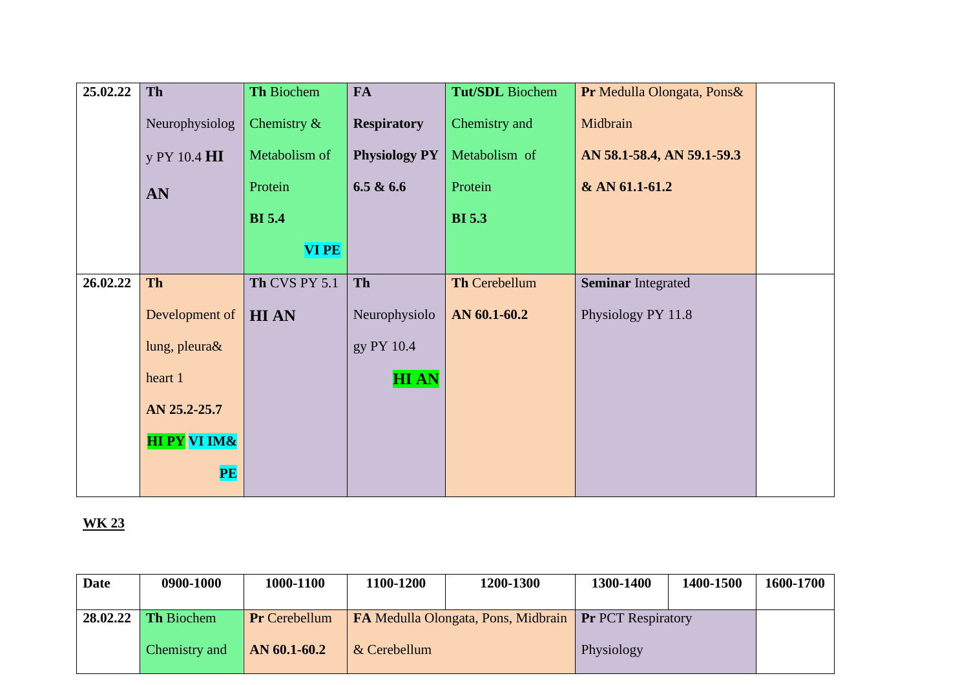| 25.02.22 | Th                      | Th Biochem     | <b>FA</b>            | <b>Tut/SDL</b> Biochem | Pr Medulla Olongata, Pons& |  |
|----------|-------------------------|----------------|----------------------|------------------------|----------------------------|--|
|          | Neurophysiolog          | Chemistry $\&$ | <b>Respiratory</b>   | Chemistry and          | Midbrain                   |  |
|          | y PY 10.4 HI            | Metabolism of  | <b>Physiology PY</b> | Metabolism of          | AN 58.1-58.4, AN 59.1-59.3 |  |
|          | AN                      | Protein        | 6.5 & 6.6            | Protein                | & AN 61.1-61.2             |  |
|          |                         | <b>BI</b> 5.4  |                      | <b>BI</b> 5.3          |                            |  |
|          |                         | <b>VIPE</b>    |                      |                        |                            |  |
| 26.02.22 | <b>Th</b>               | Th CVS PY 5.1  | Th                   | Th Cerebellum          | <b>Seminar Integrated</b>  |  |
|          | Development of          | <b>HIAN</b>    | Neurophysiolo        | AN 60.1-60.2           | Physiology PY 11.8         |  |
|          | lung, pleura&           |                | gy PY 10.4           |                        |                            |  |
|          | heart 1                 |                | <b>HIAN</b>          |                        |                            |  |
|          | AN 25.2-25.7            |                |                      |                        |                            |  |
|          | <b>HI PY VI IM&amp;</b> |                |                      |                        |                            |  |
|          | PE                      |                |                      |                        |                            |  |

| <b>Date</b> | 0900-1000         | 1000-1100            | 1100-1200                                                     | 1200-1300 | 1300-1400  | 1400-1500 | 1600-1700 |
|-------------|-------------------|----------------------|---------------------------------------------------------------|-----------|------------|-----------|-----------|
| 28.02.22    | <b>Th Biochem</b> | <b>Pr</b> Cerebellum | <b>FA Medulla Olongata, Pons, Midbrain Pr</b> PCT Respiratory |           |            |           |           |
|             | Chemistry and     | $AN 60.1-60.2$       | & Cerebellum                                                  |           | Physiology |           |           |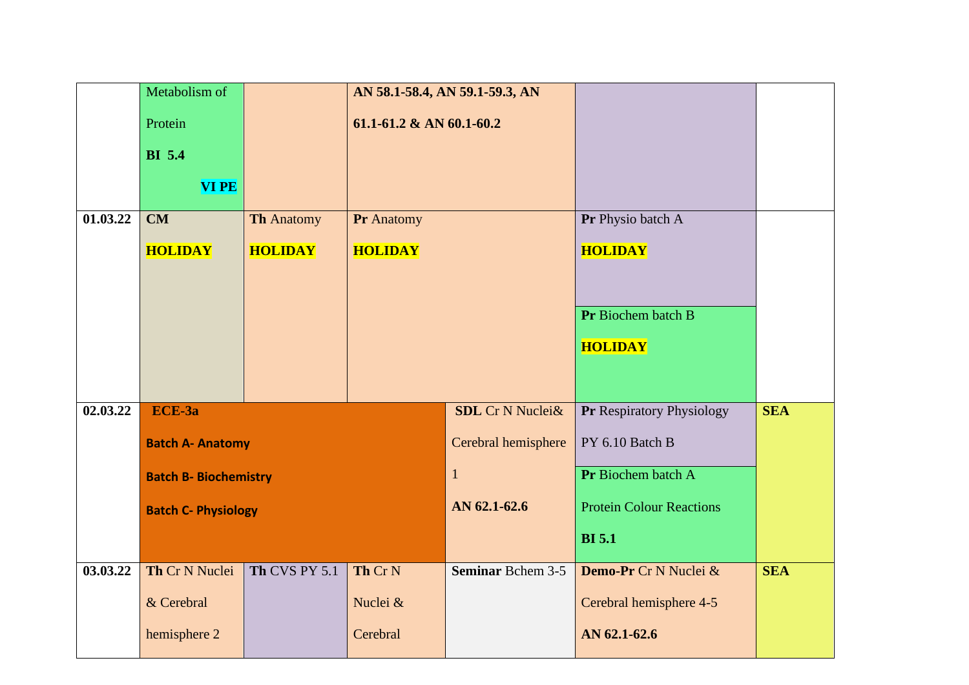|          | Metabolism of                |                   |                          | AN 58.1-58.4, AN 59.1-59.3, AN |                                 |            |
|----------|------------------------------|-------------------|--------------------------|--------------------------------|---------------------------------|------------|
|          | Protein                      |                   | 61.1-61.2 & AN 60.1-60.2 |                                |                                 |            |
|          | <b>BI</b> 5.4                |                   |                          |                                |                                 |            |
|          | <b>VI PE</b>                 |                   |                          |                                |                                 |            |
|          |                              |                   |                          |                                |                                 |            |
| 01.03.22 | CM                           | <b>Th Anatomy</b> | Pr Anatomy               |                                | Pr Physio batch A               |            |
|          | <b>HOLIDAY</b>               | <b>HOLIDAY</b>    | <b>HOLIDAY</b>           |                                | <b>HOLIDAY</b>                  |            |
|          |                              |                   |                          |                                |                                 |            |
|          |                              |                   |                          |                                | Pr Biochem batch B              |            |
|          |                              |                   |                          |                                |                                 |            |
|          |                              |                   |                          |                                | <b>HOLIDAY</b>                  |            |
|          |                              |                   |                          |                                |                                 |            |
| 02.03.22 | ECE-3a                       |                   |                          | <b>SDL</b> Cr N Nuclei&        | Pr Respiratory Physiology       | <b>SEA</b> |
|          | <b>Batch A- Anatomy</b>      |                   |                          | Cerebral hemisphere            | PY 6.10 Batch B                 |            |
|          |                              |                   |                          |                                |                                 |            |
|          | <b>Batch B- Biochemistry</b> |                   |                          | $\mathbf{1}$                   | Pr Biochem batch A              |            |
|          | <b>Batch C- Physiology</b>   |                   |                          | AN 62.1-62.6                   | <b>Protein Colour Reactions</b> |            |
|          |                              |                   |                          |                                | <b>BI</b> 5.1                   |            |
| 03.03.22 | Th Cr N Nuclei               | Th CVS PY 5.1     | Th Cr <sub>N</sub>       | <b>Seminar Bchem 3-5</b>       | Demo-Pr Cr N Nuclei &           | <b>SEA</b> |
|          | & Cerebral                   |                   | Nuclei &                 |                                | Cerebral hemisphere 4-5         |            |
|          | hemisphere 2                 |                   | Cerebral                 |                                | AN 62.1-62.6                    |            |
|          |                              |                   |                          |                                |                                 |            |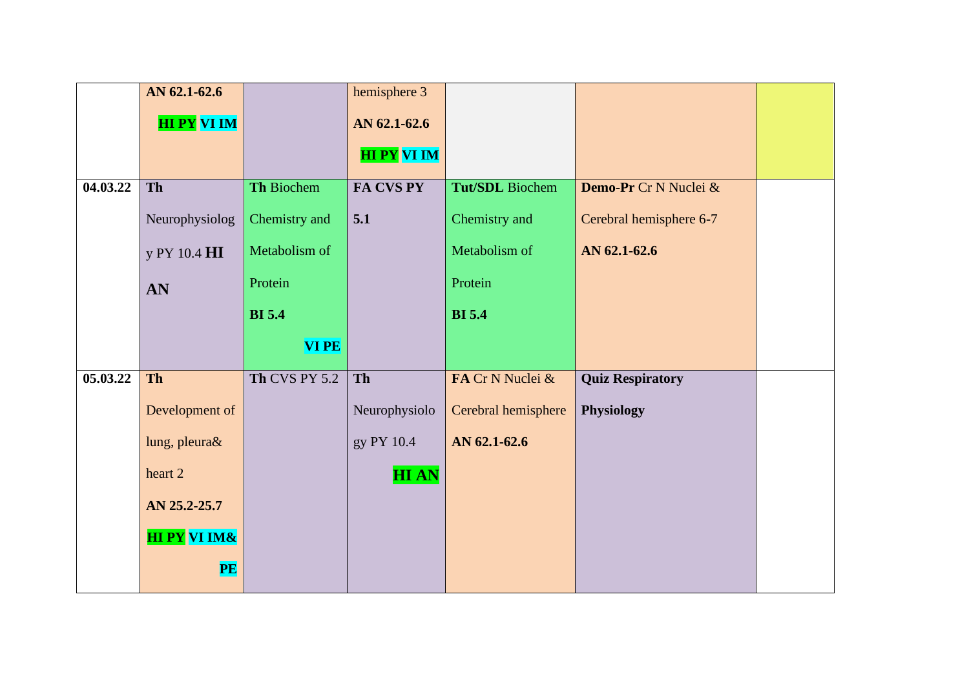|          | AN 62.1-62.6            |               | hemisphere 3       |                     |                         |  |
|----------|-------------------------|---------------|--------------------|---------------------|-------------------------|--|
|          | <b>HI PY VI IM</b>      |               | AN 62.1-62.6       |                     |                         |  |
|          |                         |               | <b>HI PY VI IM</b> |                     |                         |  |
|          |                         |               |                    |                     |                         |  |
| 04.03.22 | Th                      | Th Biochem    | FA CVS PY          | Tut/SDL Biochem     | Demo-Pr Cr N Nuclei &   |  |
|          | Neurophysiolog          | Chemistry and | 5.1                | Chemistry and       | Cerebral hemisphere 6-7 |  |
|          | y PY 10.4 HI            | Metabolism of |                    | Metabolism of       | AN 62.1-62.6            |  |
|          | AN                      | Protein       |                    | Protein             |                         |  |
|          |                         | <b>BI</b> 5.4 |                    | <b>BI</b> 5.4       |                         |  |
|          |                         | <b>VIPE</b>   |                    |                     |                         |  |
| 05.03.22 | <b>Th</b>               | Th CVS PY 5.2 | Th                 | FA Cr N Nuclei &    | <b>Quiz Respiratory</b> |  |
|          | Development of          |               | Neurophysiolo      | Cerebral hemisphere | Physiology              |  |
|          | lung, pleura&           |               | gy PY 10.4         | AN 62.1-62.6        |                         |  |
|          | heart 2                 |               | <b>HIAN</b>        |                     |                         |  |
|          | AN 25.2-25.7            |               |                    |                     |                         |  |
|          | <b>HI PY VI IM&amp;</b> |               |                    |                     |                         |  |
|          | PE                      |               |                    |                     |                         |  |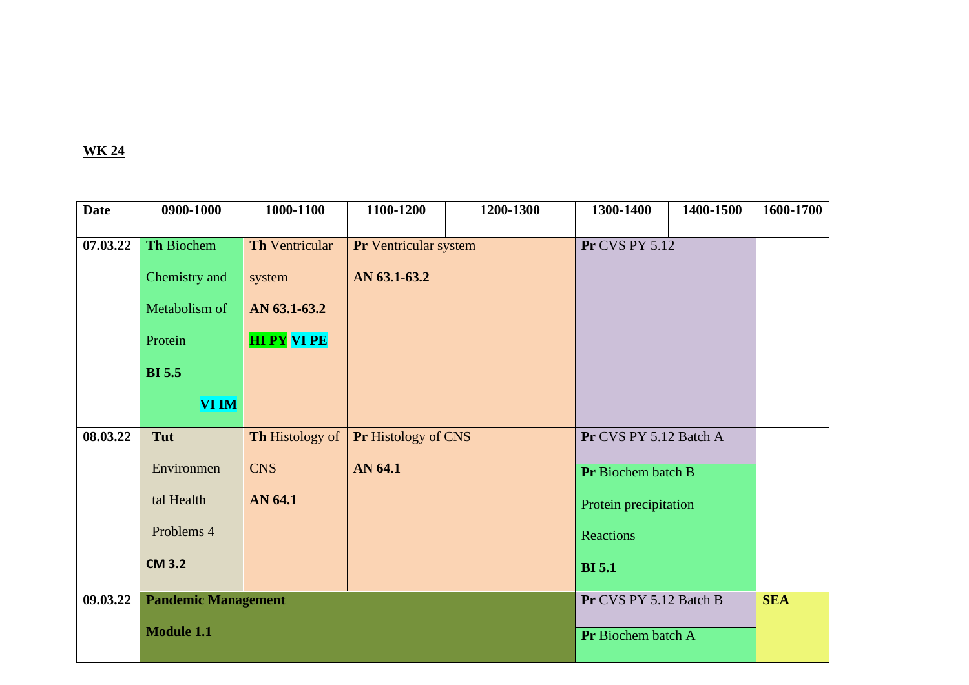| <b>Date</b> | 0900-1000                  | 1000-1100             | 1100-1200             | 1200-1300 | 1300-1400              | 1400-1500          | 1600-1700  |
|-------------|----------------------------|-----------------------|-----------------------|-----------|------------------------|--------------------|------------|
| 07.03.22    | Th Biochem                 | <b>Th Ventricular</b> | Pr Ventricular system |           | <b>Pr CVS PY 5.12</b>  |                    |            |
|             | Chemistry and              | system                | AN 63.1-63.2          |           |                        |                    |            |
|             | Metabolism of              | AN 63.1-63.2          |                       |           |                        |                    |            |
|             | Protein                    | <b>HI PY VI PE</b>    |                       |           |                        |                    |            |
|             | <b>BI</b> 5.5              |                       |                       |           |                        |                    |            |
|             | <b>VI IM</b>               |                       |                       |           |                        |                    |            |
| 08.03.22    | Tut                        | Th Histology of       | Pr Histology of CNS   |           | Pr CVS PY 5.12 Batch A |                    |            |
|             | Environmen                 | <b>CNS</b>            | AN 64.1               |           | Pr Biochem batch B     |                    |            |
|             | tal Health                 | AN 64.1               |                       |           | Protein precipitation  |                    |            |
|             | Problems 4                 |                       |                       |           | Reactions              |                    |            |
|             | <b>CM 3.2</b>              |                       |                       |           | <b>BI</b> 5.1          |                    |            |
| 09.03.22    | <b>Pandemic Management</b> |                       |                       |           | Pr CVS PY 5.12 Batch B |                    | <b>SEA</b> |
|             | <b>Module 1.1</b>          |                       |                       |           |                        | Pr Biochem batch A |            |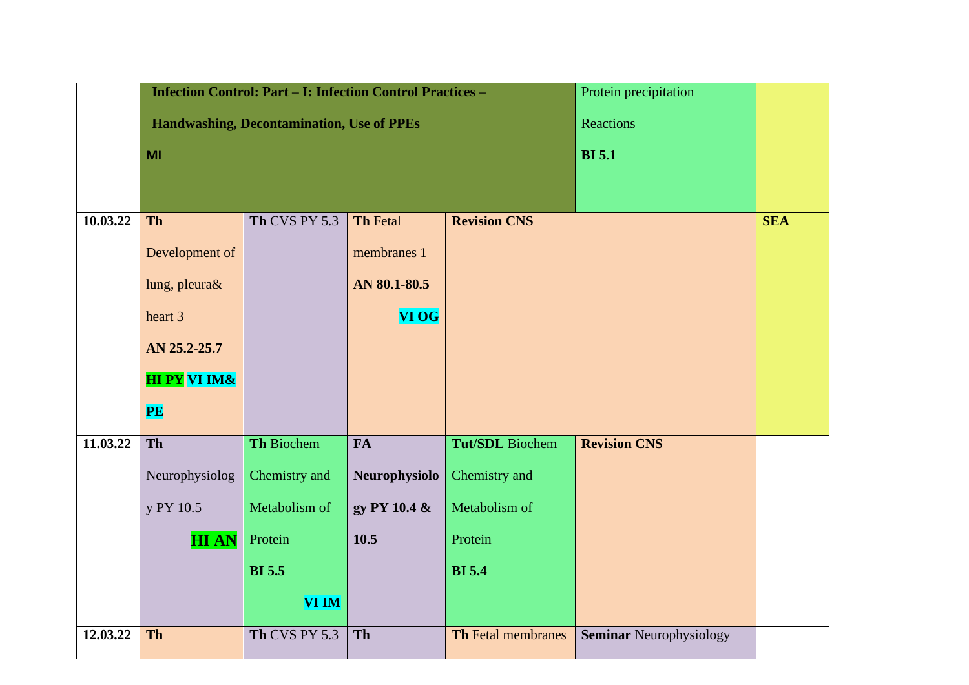|          |                         | <b>Infection Control: Part - I: Infection Control Practices -</b> |                 |                           | Protein precipitation          |            |
|----------|-------------------------|-------------------------------------------------------------------|-----------------|---------------------------|--------------------------------|------------|
|          |                         | <b>Handwashing, Decontamination, Use of PPEs</b>                  |                 |                           | Reactions                      |            |
|          | MI                      |                                                                   |                 |                           | <b>BI</b> 5.1                  |            |
|          |                         |                                                                   |                 |                           |                                |            |
| 10.03.22 | Th                      | Th CVS PY 5.3                                                     | <b>Th Fetal</b> | <b>Revision CNS</b>       |                                | <b>SEA</b> |
|          |                         |                                                                   |                 |                           |                                |            |
|          | Development of          |                                                                   | membranes 1     |                           |                                |            |
|          | lung, pleura&           |                                                                   | AN 80.1-80.5    |                           |                                |            |
|          | heart 3                 |                                                                   | <b>VI OG</b>    |                           |                                |            |
|          | AN 25.2-25.7            |                                                                   |                 |                           |                                |            |
|          | <b>HI PY VI IM&amp;</b> |                                                                   |                 |                           |                                |            |
|          | PE                      |                                                                   |                 |                           |                                |            |
| 11.03.22 | Th                      | Th Biochem                                                        | FA              | <b>Tut/SDL</b> Biochem    | <b>Revision CNS</b>            |            |
|          | Neurophysiolog          | Chemistry and                                                     | Neurophysiolo   | Chemistry and             |                                |            |
|          | y PY 10.5               | Metabolism of                                                     | gy PY 10.4 &    | Metabolism of             |                                |            |
|          | <b>HIAN</b>             | Protein                                                           | 10.5            | Protein                   |                                |            |
|          |                         | <b>BI</b> 5.5                                                     |                 | <b>BI</b> 5.4             |                                |            |
|          |                         | <b>VI IM</b>                                                      |                 |                           |                                |            |
| 12.03.22 | Th                      | Th CVS PY 5.3                                                     | Th              | <b>Th Fetal membranes</b> | <b>Seminar Neurophysiology</b> |            |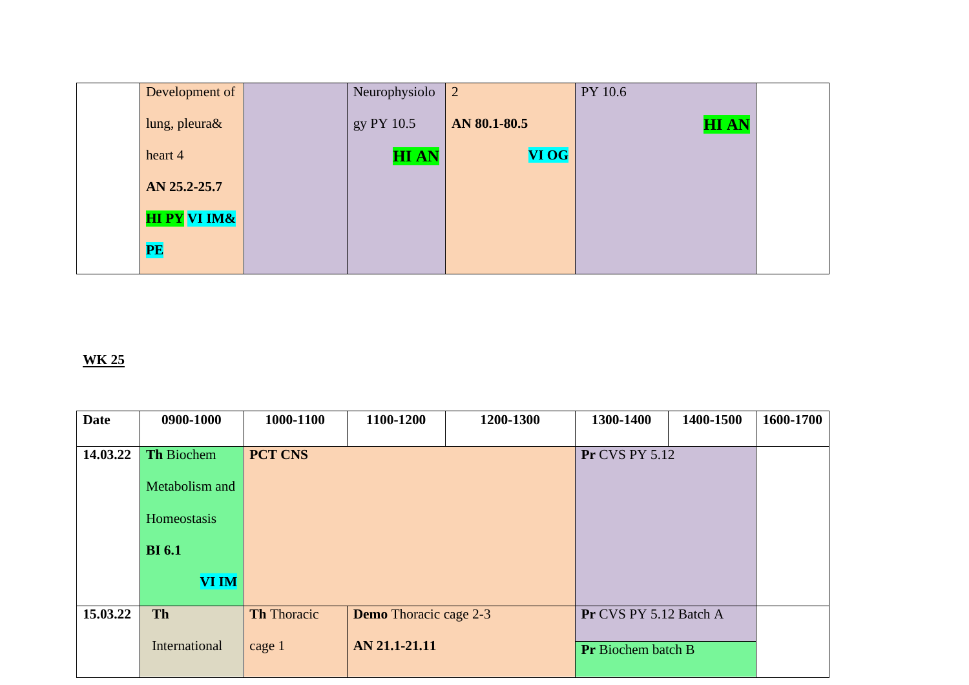| Development of          | Neurophysiolo | $\overline{2}$ | PY 10.6     |  |
|-------------------------|---------------|----------------|-------------|--|
| lung, pleura&           | gy PY 10.5    | AN 80.1-80.5   | <b>HIAN</b> |  |
| heart 4                 | <b>HIAN</b>   | VI OG          |             |  |
| AN 25.2-25.7            |               |                |             |  |
| <b>HI PY VI IM&amp;</b> |               |                |             |  |
| PE                      |               |                |             |  |

| <b>Date</b> | 0900-1000      | 1000-1100          | 1100-1200                     | 1200-1300 | 1300-1400                 | 1400-1500 | 1600-1700 |
|-------------|----------------|--------------------|-------------------------------|-----------|---------------------------|-----------|-----------|
|             |                |                    |                               |           |                           |           |           |
| 14.03.22    | Th Biochem     | <b>PCT CNS</b>     |                               |           | <b>Pr CVS PY 5.12</b>     |           |           |
|             | Metabolism and |                    |                               |           |                           |           |           |
|             | Homeostasis    |                    |                               |           |                           |           |           |
|             |                |                    |                               |           |                           |           |           |
|             | <b>BI</b> 6.1  |                    |                               |           |                           |           |           |
|             | <b>VI IM</b>   |                    |                               |           |                           |           |           |
| 15.03.22    | <b>Th</b>      | <b>Th</b> Thoracic | <b>Demo</b> Thoracic cage 2-3 |           | Pr CVS PY 5.12 Batch A    |           |           |
|             | International  | cage 1             | AN 21.1-21.11                 |           | <b>Pr</b> Biochem batch B |           |           |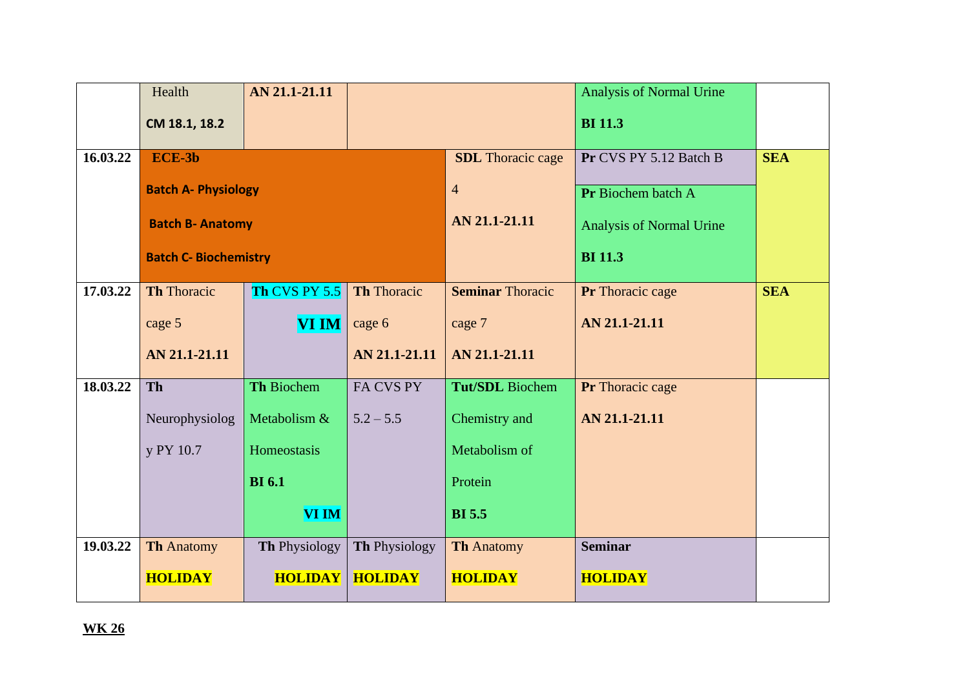|          | Health                       | AN 21.1-21.11     |                    |                          | <b>Analysis of Normal Urine</b> |            |  |
|----------|------------------------------|-------------------|--------------------|--------------------------|---------------------------------|------------|--|
|          | CM 18.1, 18.2                |                   |                    |                          | <b>BI</b> 11.3                  |            |  |
| 16.03.22 | ECE-3b                       |                   |                    | <b>SDL</b> Thoracic cage | Pr CVS PY 5.12 Batch B          | <b>SEA</b> |  |
|          | <b>Batch A- Physiology</b>   |                   |                    | $\overline{4}$           | Pr Biochem batch A              |            |  |
|          | <b>Batch B- Anatomy</b>      |                   |                    | AN 21.1-21.11            | Analysis of Normal Urine        |            |  |
|          | <b>Batch C- Biochemistry</b> |                   |                    | <b>BI</b> 11.3           |                                 |            |  |
| 17.03.22 | <b>Th Thoracic</b>           | Th CVS PY 5.5     | <b>Th Thoracic</b> | <b>Seminar Thoracic</b>  | Pr Thoracic cage                | <b>SEA</b> |  |
|          | cage 5                       | <b>VI IM</b>      | cage 6             | cage 7                   | AN 21.1-21.11                   |            |  |
|          | AN 21.1-21.11                |                   | AN 21.1-21.11      | AN 21.1-21.11            |                                 |            |  |
| 18.03.22 | Th                           | <b>Th Biochem</b> | FA CVS PY          | <b>Tut/SDL</b> Biochem   | Pr Thoracic cage                |            |  |
|          | Neurophysiolog               | Metabolism &      | $5.2 - 5.5$        | Chemistry and            | AN 21.1-21.11                   |            |  |
|          | y PY 10.7                    | Homeostasis       |                    | Metabolism of            |                                 |            |  |
|          |                              | <b>BI</b> 6.1     |                    | Protein                  |                                 |            |  |
|          |                              | <b>VI IM</b>      |                    | <b>BI</b> 5.5            |                                 |            |  |
| 19.03.22 | <b>Th Anatomy</b>            | Th Physiology     | Th Physiology      | <b>Th Anatomy</b>        | <b>Seminar</b>                  |            |  |
|          | <b>HOLIDAY</b>               | <b>HOLIDAY</b>    | <b>HOLIDAY</b>     | <b>HOLIDAY</b>           | <b>HOLIDAY</b>                  |            |  |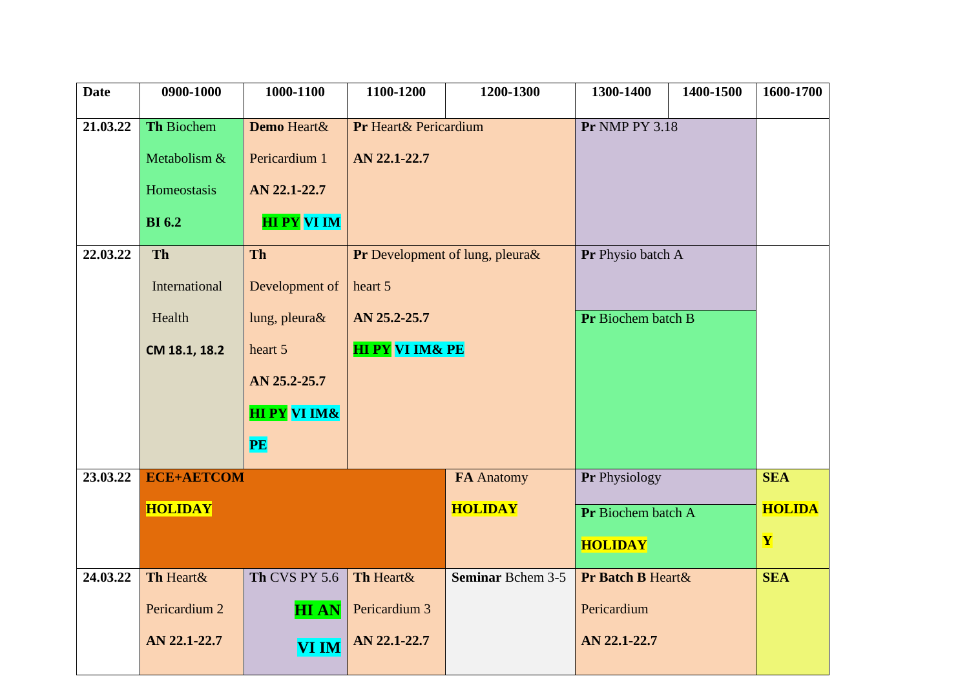| <b>Date</b> | 0900-1000         | 1000-1100               | 1100-1200                       | 1200-1300                | 1300-1400             | 1400-1500 | 1600-1700     |
|-------------|-------------------|-------------------------|---------------------------------|--------------------------|-----------------------|-----------|---------------|
| 21.03.22    | Th Biochem        | Demo Heart&             | Pr Heart& Pericardium           |                          | <b>Pr NMP PY 3.18</b> |           |               |
|             | Metabolism &      | Pericardium 1           | AN 22.1-22.7                    |                          |                       |           |               |
|             |                   |                         |                                 |                          |                       |           |               |
|             | Homeostasis       | AN 22.1-22.7            |                                 |                          |                       |           |               |
|             | <b>BI</b> 6.2     | <b>HI PY VI IM</b>      |                                 |                          |                       |           |               |
| 22.03.22    | Th                | <b>Th</b>               | Pr Development of lung, pleura& |                          | Pr Physio batch A     |           |               |
|             | International     | Development of          | heart 5                         |                          |                       |           |               |
|             | Health            | lung, pleura $\&$       | AN 25.2-25.7                    |                          | Pr Biochem batch B    |           |               |
|             | CM 18.1, 18.2     | heart 5                 | <b>HI PY VI IM&amp; PE</b>      |                          |                       |           |               |
|             |                   | AN 25.2-25.7            |                                 |                          |                       |           |               |
|             |                   | <b>HI PY VI IM&amp;</b> |                                 |                          |                       |           |               |
|             |                   | PE                      |                                 |                          |                       |           |               |
| 23.03.22    | <b>ECE+AETCOM</b> |                         |                                 | <b>FA Anatomy</b>        | Pr Physiology         |           | <b>SEA</b>    |
|             | <b>HOLIDAY</b>    |                         |                                 | <b>HOLIDAY</b>           | Pr Biochem batch A    |           | <b>HOLIDA</b> |
|             |                   |                         |                                 |                          | <b>HOLIDAY</b>        |           | $\mathbf{Y}$  |
| 24.03.22    | Th Heart&         | Th CVS PY 5.6           | Th Heart&                       | <b>Seminar Bchem 3-5</b> | Pr Batch B Heart &    |           | <b>SEA</b>    |
|             | Pericardium 2     | <b>HIAN</b>             | Pericardium 3                   |                          | Pericardium           |           |               |
|             | AN 22.1-22.7      | <b>VI IM</b>            | AN 22.1-22.7                    |                          | AN 22.1-22.7          |           |               |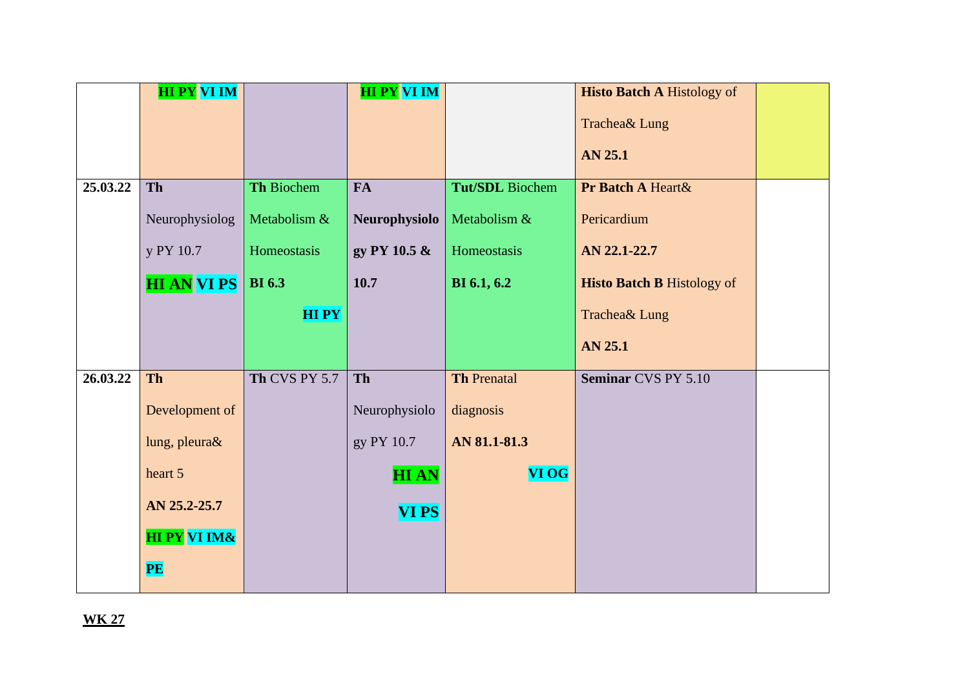|          | <b>HI PY VI IM</b>      |               | <b>HI PY VI IM</b> |                        | <b>Histo Batch A Histology of</b> |  |
|----------|-------------------------|---------------|--------------------|------------------------|-----------------------------------|--|
|          |                         |               |                    |                        | Trachea& Lung                     |  |
|          |                         |               |                    |                        | AN 25.1                           |  |
|          |                         |               |                    |                        |                                   |  |
| 25.03.22 | <b>Th</b>               | Th Biochem    | <b>FA</b>          | <b>Tut/SDL</b> Biochem | Pr Batch A Heart &                |  |
|          | Neurophysiolog          | Metabolism &  | Neurophysiolo      | Metabolism &           | Pericardium                       |  |
|          | y PY 10.7               | Homeostasis   | gy PY 10.5 &       | Homeostasis            | AN 22.1-22.7                      |  |
|          | <b>HI ANVI PS</b>       | <b>BI</b> 6.3 | 10.7               | <b>BI</b> 6.1, 6.2     | <b>Histo Batch B Histology of</b> |  |
|          |                         | <b>HIPY</b>   |                    |                        | Trachea& Lung                     |  |
|          |                         |               |                    |                        | AN 25.1                           |  |
| 26.03.22 | <b>Th</b>               | Th CVS PY 5.7 | Th                 | <b>Th Prenatal</b>     | Seminar CVS PY 5.10               |  |
|          | Development of          |               | Neurophysiolo      | diagnosis              |                                   |  |
|          | lung, pleura&           |               | gy PY 10.7         | AN 81.1-81.3           |                                   |  |
|          | heart 5                 |               | <b>HIAN</b>        | <b>VI OG</b>           |                                   |  |
|          | AN 25.2-25.7            |               | <b>VIPS</b>        |                        |                                   |  |
|          | <b>HI PY VI IM&amp;</b> |               |                    |                        |                                   |  |
|          | PE                      |               |                    |                        |                                   |  |
|          |                         |               |                    |                        |                                   |  |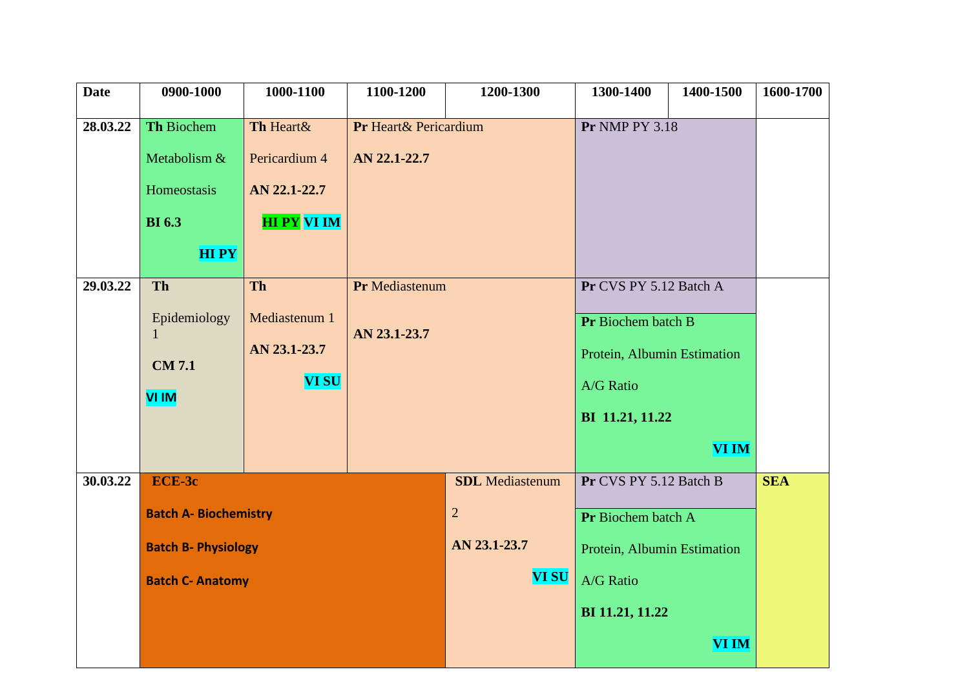| <b>Date</b> | 0900-1000                                                            | 1000-1100                                                  | 1100-1200                             | 1200-1300                                                | 1300-1400                                                                                                                   | 1400-1500    | 1600-1700 |
|-------------|----------------------------------------------------------------------|------------------------------------------------------------|---------------------------------------|----------------------------------------------------------|-----------------------------------------------------------------------------------------------------------------------------|--------------|-----------|
| 28.03.22    | <b>Th Biochem</b><br>Metabolism &<br>Homeostasis                     | Th Heart&<br>Pericardium 4<br>AN 22.1-22.7                 | Pr Heart& Pericardium<br>AN 22.1-22.7 |                                                          | <b>Pr NMP PY 3.18</b>                                                                                                       |              |           |
|             | <b>BI</b> 6.3<br><b>HIPY</b>                                         | <b>HI PY VI IM</b>                                         |                                       |                                                          |                                                                                                                             |              |           |
| 29.03.22    | Th<br>Epidemiology<br>$\mathbf{1}$<br><b>CM 7.1</b><br><b>VI IM</b>  | <b>Th</b><br>Mediastenum 1<br>AN 23.1-23.7<br><b>VI SU</b> | Pr Mediastenum<br>AN 23.1-23.7        |                                                          | Pr CVS PY 5.12 Batch A<br>Pr Biochem batch B<br>Protein, Albumin Estimation<br>A/G Ratio<br>BI 11.21, 11.22<br><b>VI IM</b> |              |           |
| 30.03.22    | ECE-3c<br><b>Batch A- Biochemistry</b><br><b>Batch B- Physiology</b> |                                                            |                                       | <b>SDL</b> Mediastenum<br>$\overline{2}$<br>AN 23.1-23.7 | Pr CVS PY 5.12 Batch B<br>Pr Biochem batch A<br>Protein, Albumin Estimation                                                 | <b>SEA</b>   |           |
|             | <b>Batch C- Anatomy</b>                                              |                                                            |                                       | <b>VI SU</b>                                             | A/G Ratio<br>BI 11.21, 11.22                                                                                                | <b>VI IM</b> |           |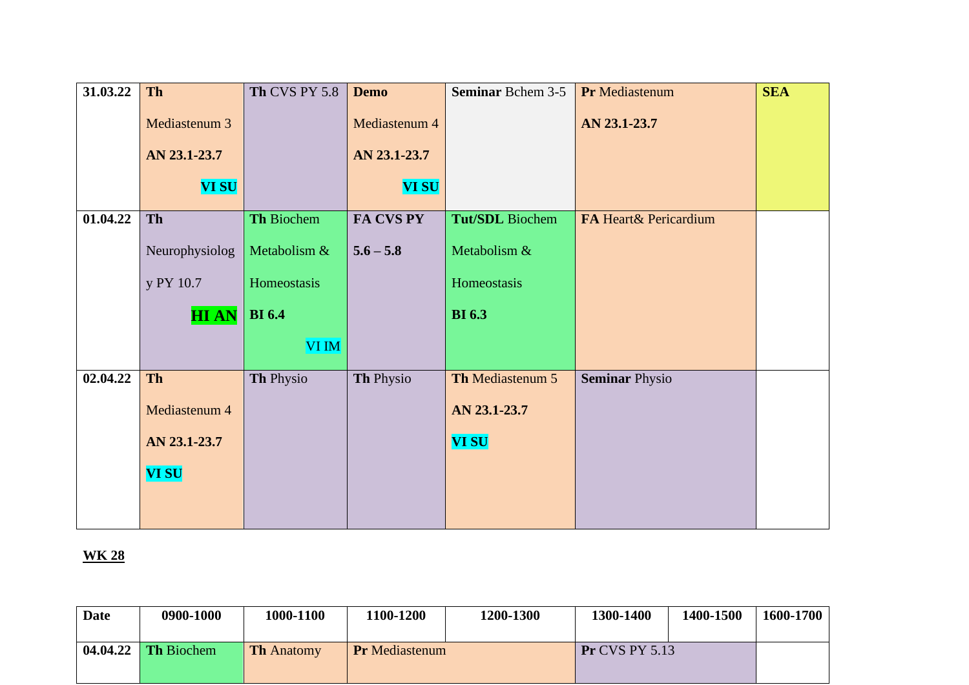| 31.03.22 | Th             | <b>Th CVS PY 5.8</b> | <b>Demo</b>   | <b>Seminar Bchem 3-5</b> | Pr Mediastenum        | <b>SEA</b> |
|----------|----------------|----------------------|---------------|--------------------------|-----------------------|------------|
|          | Mediastenum 3  |                      | Mediastenum 4 |                          | AN 23.1-23.7          |            |
|          | AN 23.1-23.7   |                      | AN 23.1-23.7  |                          |                       |            |
|          | <b>VI SU</b>   |                      | <b>VI SU</b>  |                          |                       |            |
| 01.04.22 | Th             | Th Biochem           | FA CVS PY     | <b>Tut/SDL</b> Biochem   | FA Heart& Pericardium |            |
|          | Neurophysiolog | Metabolism &         | $5.6 - 5.8$   | Metabolism &             |                       |            |
|          | y PY 10.7      | Homeostasis          |               | Homeostasis              |                       |            |
|          | <b>HIAN</b>    | <b>BI</b> 6.4        |               | <b>BI</b> 6.3            |                       |            |
|          |                | VI IM                |               |                          |                       |            |
| 02.04.22 | Th             | Th Physio            | Th Physio     | Th Mediastenum 5         | <b>Seminar Physio</b> |            |
|          | Mediastenum 4  |                      |               | AN 23.1-23.7             |                       |            |
|          | AN 23.1-23.7   |                      |               | <b>VI SU</b>             |                       |            |
|          | <b>VI SU</b>   |                      |               |                          |                       |            |
|          |                |                      |               |                          |                       |            |
|          |                |                      |               |                          |                       |            |

| <b>Date</b> | 0900-1000             | 1000-1100         | 1100-1200             | 1200-1300 | 1300-1400             | 1400-1500 | 1600-1700 |
|-------------|-----------------------|-------------------|-----------------------|-----------|-----------------------|-----------|-----------|
|             | $04.04.22$ Th Biochem | <b>Th Anatomy</b> | <b>Pr</b> Mediastenum |           | <b>Pr CVS PY 5.13</b> |           |           |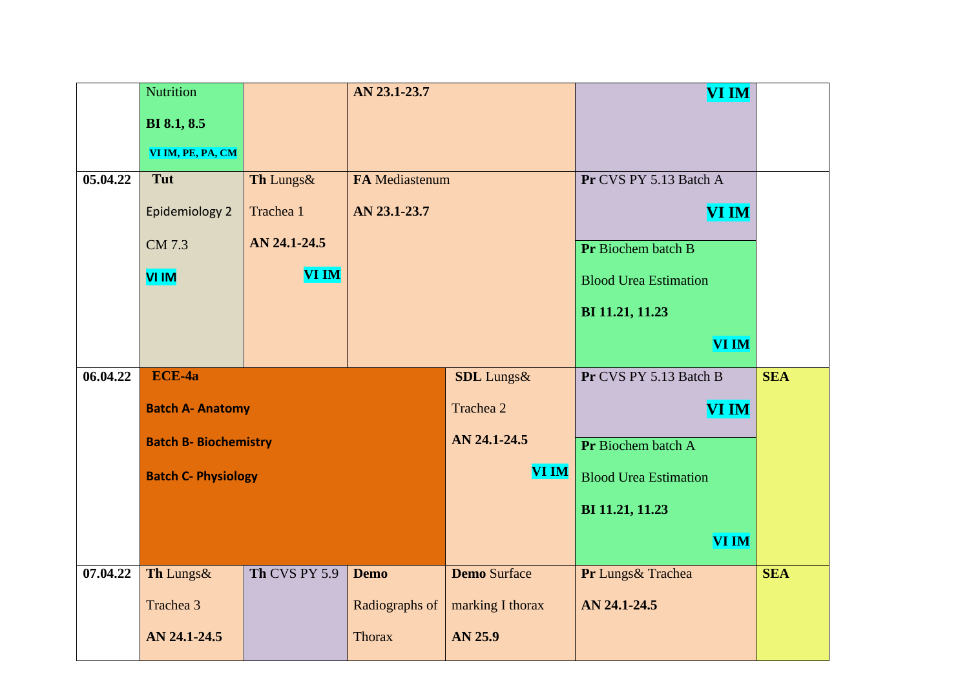|          | <b>Nutrition</b>             |               | AN 23.1-23.7          |                     | <b>VI IM</b>                 |            |
|----------|------------------------------|---------------|-----------------------|---------------------|------------------------------|------------|
|          | <b>BI</b> 8.1, 8.5           |               |                       |                     |                              |            |
|          | VI IM, PE, PA, CM            |               |                       |                     |                              |            |
| 05.04.22 | Tut                          |               |                       |                     | Pr CVS PY 5.13 Batch A       |            |
|          |                              | Th Lungs&     | <b>FA Mediastenum</b> |                     |                              |            |
|          | <b>Epidemiology 2</b>        | Trachea 1     | AN 23.1-23.7          |                     | <b>VI IM</b>                 |            |
|          | CM 7.3                       | AN 24.1-24.5  |                       |                     | Pr Biochem batch B           |            |
|          | VI IM                        | <b>VI IM</b>  |                       |                     | <b>Blood Urea Estimation</b> |            |
|          |                              |               |                       |                     |                              |            |
|          |                              |               |                       |                     | BI 11.21, 11.23              |            |
|          |                              |               |                       |                     | <b>VI IM</b>                 |            |
| 06.04.22 | ECE-4a                       |               |                       | <b>SDL</b> Lungs&   | Pr CVS PY 5.13 Batch B       | <b>SEA</b> |
|          | <b>Batch A- Anatomy</b>      |               |                       | Trachea 2           | <b>VI IM</b>                 |            |
|          | <b>Batch B- Biochemistry</b> |               |                       | AN 24.1-24.5        | Pr Biochem batch A           |            |
|          | <b>Batch C- Physiology</b>   |               |                       | <b>VI IM</b>        | <b>Blood Urea Estimation</b> |            |
|          |                              |               |                       |                     | BI 11.21, 11.23              |            |
|          |                              |               |                       |                     | <b>VI IM</b>                 |            |
|          |                              |               |                       |                     |                              |            |
| 07.04.22 | Th Lungs&                    | Th CVS PY 5.9 | <b>Demo</b>           | <b>Demo Surface</b> | Pr Lungs& Trachea            | <b>SEA</b> |
|          | Trachea 3                    |               | Radiographs of        | marking I thorax    | AN 24.1-24.5                 |            |
|          | AN 24.1-24.5                 |               | <b>Thorax</b>         | AN 25.9             |                              |            |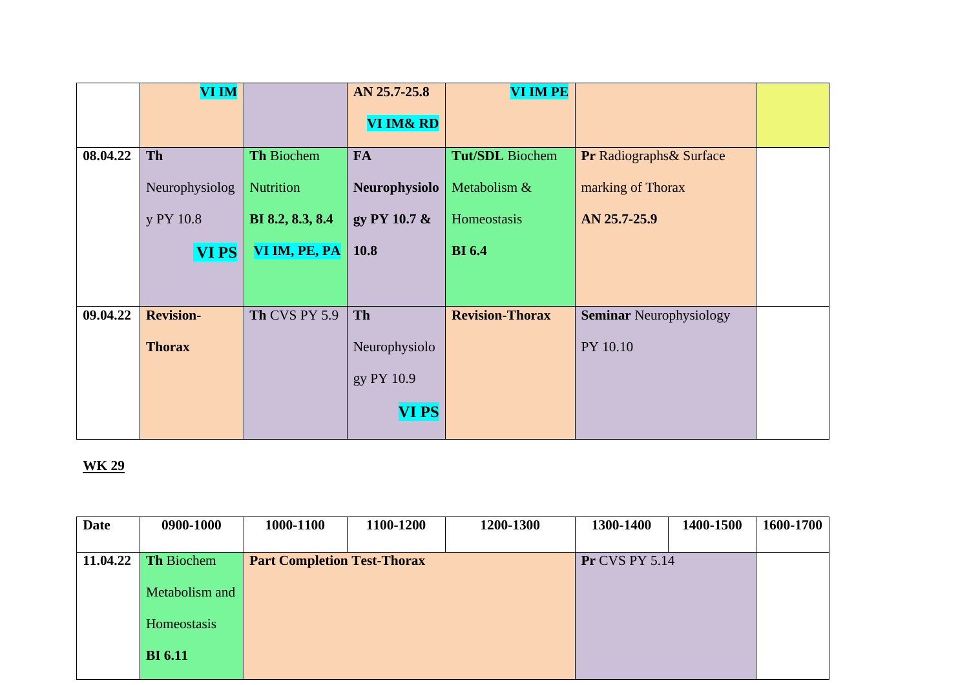|          | <b>VI IM</b>     |                   | AN 25.7-25.8         | <b>VI IM PE</b>        |                                     |  |
|----------|------------------|-------------------|----------------------|------------------------|-------------------------------------|--|
|          |                  |                   | <b>VI IM&amp; RD</b> |                        |                                     |  |
| 08.04.22 | Th               | Th Biochem        | <b>FA</b>            | <b>Tut/SDL</b> Biochem | <b>Pr Radiographs &amp; Surface</b> |  |
|          | Neurophysiolog   | <b>Nutrition</b>  | <b>Neurophysiolo</b> | Metabolism &           | marking of Thorax                   |  |
|          | y PY 10.8        | BI 8.2, 8.3, 8.4  | gy PY 10.7 &         | Homeostasis            | AN 25.7-25.9                        |  |
|          | <b>VIPS</b>      | VI IM, PE, PA $ $ | <b>10.8</b>          | <b>BI</b> 6.4          |                                     |  |
|          |                  |                   |                      |                        |                                     |  |
| 09.04.22 | <b>Revision-</b> | Th CVS PY 5.9     | Th                   | <b>Revision-Thorax</b> | <b>Seminar Neurophysiology</b>      |  |
|          | <b>Thorax</b>    |                   | Neurophysiolo        |                        | PY 10.10                            |  |
|          |                  |                   | gy PY 10.9           |                        |                                     |  |
|          |                  |                   | <b>VIPS</b>          |                        |                                     |  |

| <b>Date</b> | 0900-1000         | 1000-1100                          | 1100-1200 | 1200-1300 | 1300-1400             | 1400-1500 | 1600-1700 |
|-------------|-------------------|------------------------------------|-----------|-----------|-----------------------|-----------|-----------|
|             |                   |                                    |           |           |                       |           |           |
| 11.04.22    | <b>Th Biochem</b> | <b>Part Completion Test-Thorax</b> |           |           | <b>Pr CVS PY 5.14</b> |           |           |
|             | Metabolism and    |                                    |           |           |                       |           |           |
|             |                   |                                    |           |           |                       |           |           |
|             | Homeostasis       |                                    |           |           |                       |           |           |
|             | <b>BI</b> 6.11    |                                    |           |           |                       |           |           |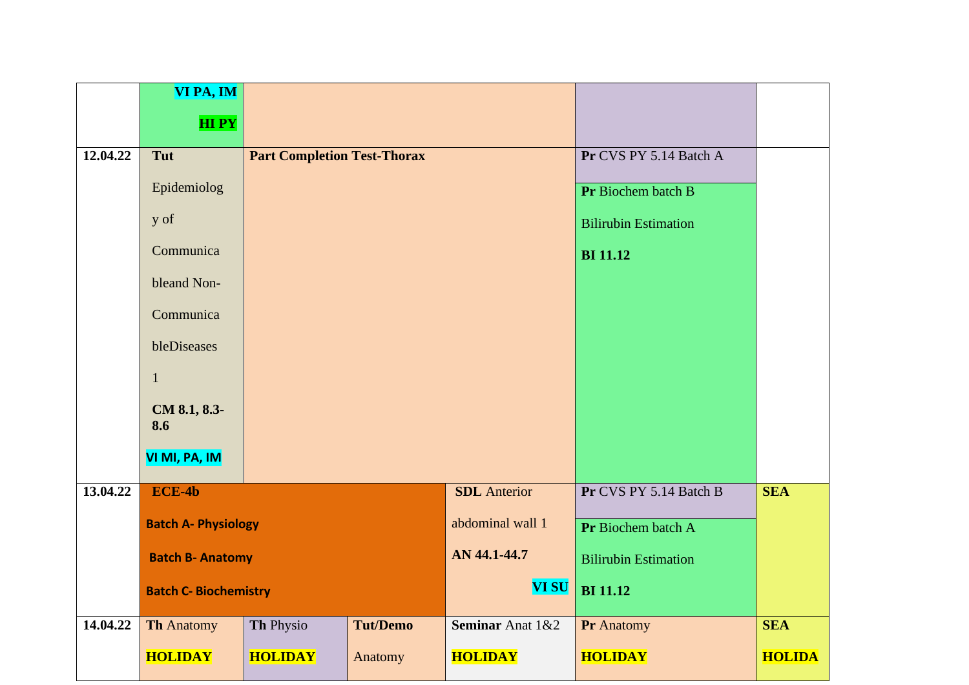|          | VI PA, IM                    |                                    |                 |                             |                             |               |
|----------|------------------------------|------------------------------------|-----------------|-----------------------------|-----------------------------|---------------|
|          | <b>HIPY</b>                  |                                    |                 |                             |                             |               |
|          |                              |                                    |                 |                             |                             |               |
| 12.04.22 | Tut                          | <b>Part Completion Test-Thorax</b> |                 |                             | Pr CVS PY 5.14 Batch A      |               |
|          | Epidemiolog                  |                                    |                 |                             | Pr Biochem batch B          |               |
|          | y of                         |                                    |                 |                             | <b>Bilirubin Estimation</b> |               |
|          | Communica                    |                                    |                 | <b>BI</b> 11.12             |                             |               |
|          | bleand Non-                  |                                    |                 |                             |                             |               |
|          | Communica                    |                                    |                 |                             |                             |               |
|          | bleDiseases                  |                                    |                 |                             |                             |               |
|          | $\mathbf{1}$                 |                                    |                 |                             |                             |               |
|          | CM 8.1, 8.3-<br>8.6          |                                    |                 |                             |                             |               |
|          | VI MI, PA, IM                |                                    |                 |                             |                             |               |
| 13.04.22 | $ECE-4b$                     |                                    |                 | <b>SDL</b> Anterior         | Pr CVS PY 5.14 Batch B      | <b>SEA</b>    |
|          | <b>Batch A- Physiology</b>   |                                    |                 | abdominal wall 1            | Pr Biochem batch A          |               |
|          |                              | <b>Batch B- Anatomy</b>            |                 |                             | <b>Bilirubin Estimation</b> |               |
|          | <b>Batch C- Biochemistry</b> |                                    |                 | <b>VI SU</b>                | <b>BI</b> 11.12             |               |
| 14.04.22 | <b>Th Anatomy</b>            | Th Physio                          | <b>Tut/Demo</b> | <b>Seminar Anat 1&amp;2</b> | Pr Anatomy                  | <b>SEA</b>    |
|          | <b>HOLIDAY</b>               | <b>HOLIDAY</b>                     | Anatomy         | <b>HOLIDAY</b>              | <b>HOLIDAY</b>              | <b>HOLIDA</b> |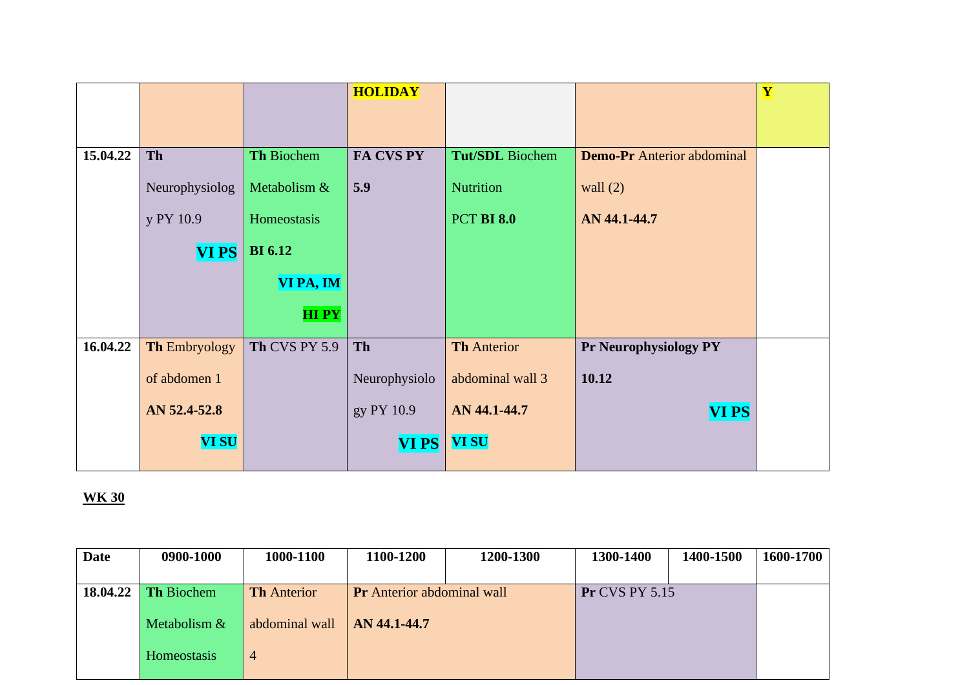|          |                      |                | <b>HOLIDAY</b> |                        |                                   | Y |
|----------|----------------------|----------------|----------------|------------------------|-----------------------------------|---|
|          |                      |                |                |                        |                                   |   |
|          |                      |                |                |                        |                                   |   |
| 15.04.22 | Th                   | Th Biochem     | FA CVS PY      | <b>Tut/SDL</b> Biochem | <b>Demo-Pr</b> Anterior abdominal |   |
|          | Neurophysiolog       | Metabolism &   | 5.9            | Nutrition              | wall $(2)$                        |   |
|          | y PY 10.9            | Homeostasis    |                | <b>PCT BI 8.0</b>      | AN 44.1-44.7                      |   |
|          | <b>VIPS</b>          | <b>BI</b> 6.12 |                |                        |                                   |   |
|          |                      | VI PA, IM      |                |                        |                                   |   |
|          |                      | <b>HIPY</b>    |                |                        |                                   |   |
| 16.04.22 | <b>Th Embryology</b> | Th CVS PY 5.9  | <b>Th</b>      | <b>Th Anterior</b>     | <b>Pr Neurophysiology PY</b>      |   |
|          | of abdomen 1         |                | Neurophysiolo  | abdominal wall 3       | 10.12                             |   |
|          | AN 52.4-52.8         |                | gy PY 10.9     | AN 44.1-44.7           | <b>VI PS</b>                      |   |
|          | <b>VI SU</b>         |                | <b>VIPS</b>    | <b>VI SU</b>           |                                   |   |
|          |                      |                |                |                        |                                   |   |

| Date | 0900-1000           | 1000-1100          | 1100-1200                         | 1200-1300 | 1300-1400             | 1400-1500 | 1600-1700 |
|------|---------------------|--------------------|-----------------------------------|-----------|-----------------------|-----------|-----------|
|      |                     |                    |                                   |           |                       |           |           |
|      | 18.04.22 Th Biochem | <b>Th</b> Anterior | <b>Pr</b> Anterior abdominal wall |           | <b>Pr CVS PY 5.15</b> |           |           |
|      |                     |                    |                                   |           |                       |           |           |
|      | Metabolism &        | abdominal wall     | AN 44.1-44.7                      |           |                       |           |           |
|      |                     |                    |                                   |           |                       |           |           |
|      | Homeostasis         | $\overline{4}$     |                                   |           |                       |           |           |
|      |                     |                    |                                   |           |                       |           |           |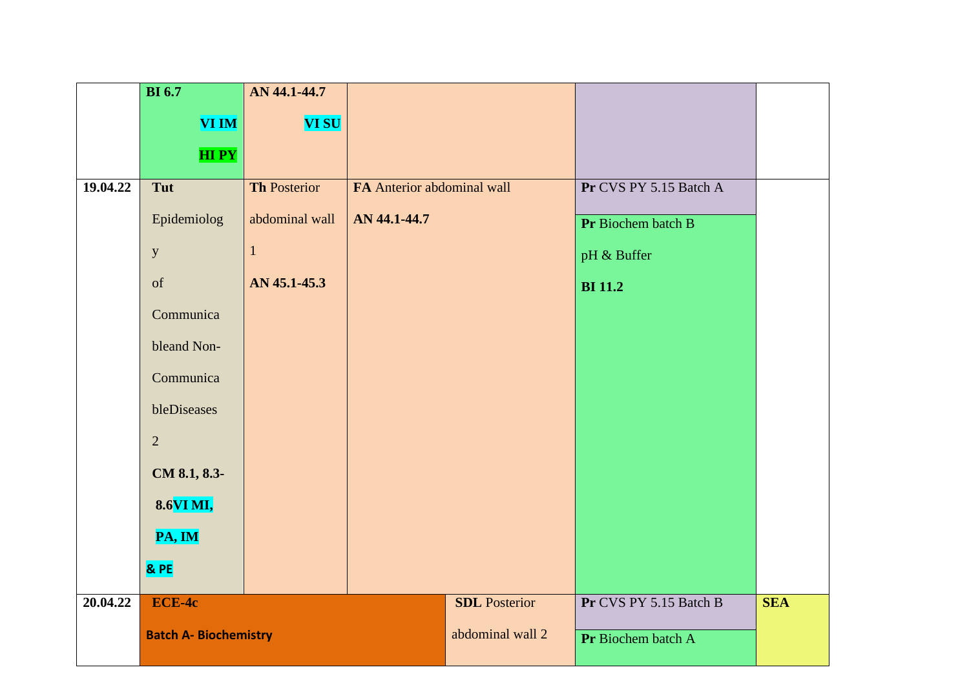|          | <b>BI</b> 6.7                | AN 44.1-44.7        |                            |                      |                        |            |
|----------|------------------------------|---------------------|----------------------------|----------------------|------------------------|------------|
|          | <b>VI IM</b>                 | <b>VI SU</b>        |                            |                      |                        |            |
|          | <b>HIPY</b>                  |                     |                            |                      |                        |            |
| 19.04.22 | Tut                          | <b>Th Posterior</b> | FA Anterior abdominal wall |                      | Pr CVS PY 5.15 Batch A |            |
|          | Epidemiolog                  | abdominal wall      | AN 44.1-44.7               |                      | Pr Biochem batch B     |            |
|          | $\mathbf{y}$                 | $\mathbf{1}$        |                            |                      | pH & Buffer            |            |
|          | of                           | AN 45.1-45.3        |                            |                      | <b>BI</b> 11.2         |            |
|          | Communica                    |                     |                            |                      |                        |            |
|          | bleand Non-                  |                     |                            |                      |                        |            |
|          | Communica                    |                     |                            |                      |                        |            |
|          | bleDiseases                  |                     |                            |                      |                        |            |
|          | $\overline{2}$               |                     |                            |                      |                        |            |
|          | CM 8.1, 8.3-                 |                     |                            |                      |                        |            |
|          | 8.6VI MI,                    |                     |                            |                      |                        |            |
|          | PA, IM                       |                     |                            |                      |                        |            |
|          | & PE                         |                     |                            |                      |                        |            |
| 20.04.22 | ECE-4c                       |                     |                            | <b>SDL</b> Posterior | Pr CVS PY 5.15 Batch B | <b>SEA</b> |
|          | <b>Batch A- Biochemistry</b> |                     |                            | abdominal wall 2     | Pr Biochem batch A     |            |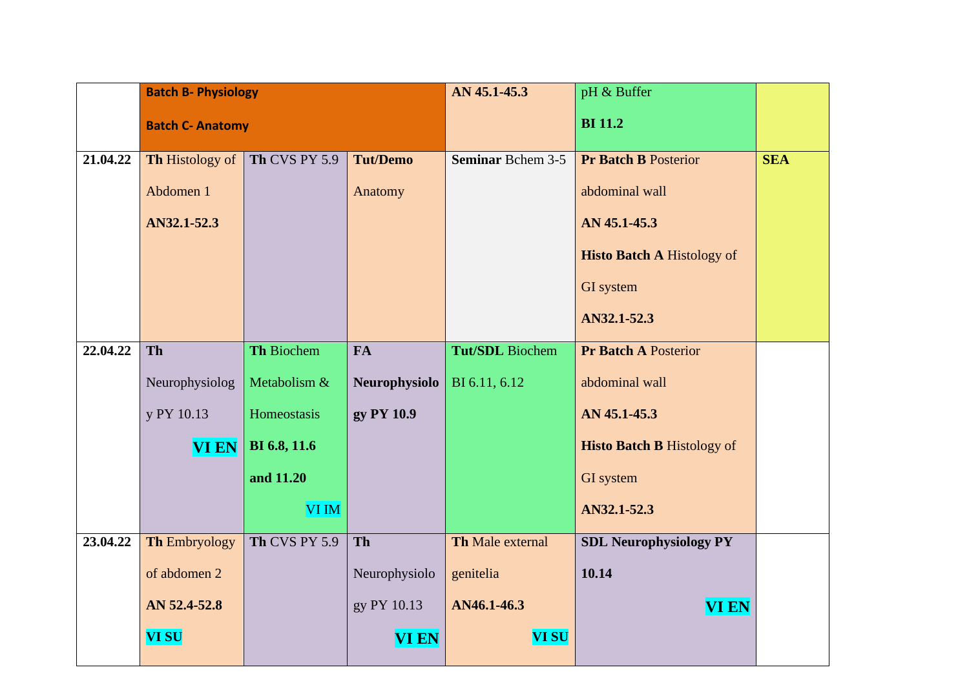|          |                         | <b>Batch B- Physiology</b> |                      | AN 45.1-45.3             | pH & Buffer                       |            |
|----------|-------------------------|----------------------------|----------------------|--------------------------|-----------------------------------|------------|
|          | <b>Batch C- Anatomy</b> |                            |                      |                          | <b>BI</b> 11.2                    |            |
| 21.04.22 | <b>Th</b> Histology of  | Th CVS PY 5.9              | <b>Tut/Demo</b>      | <b>Seminar Bchem 3-5</b> | <b>Pr Batch B Posterior</b>       | <b>SEA</b> |
|          | Abdomen 1               |                            | Anatomy              |                          | abdominal wall                    |            |
|          |                         |                            |                      |                          |                                   |            |
|          | AN32.1-52.3             |                            |                      |                          | AN 45.1-45.3                      |            |
|          |                         |                            |                      |                          | <b>Histo Batch A Histology of</b> |            |
|          |                         |                            |                      |                          | <b>GI</b> system                  |            |
|          |                         |                            |                      |                          | AN32.1-52.3                       |            |
| 22.04.22 | <b>Th</b>               | Th Biochem                 | <b>FA</b>            | <b>Tut/SDL</b> Biochem   | <b>Pr Batch A Posterior</b>       |            |
|          | Neurophysiolog          | Metabolism &               | <b>Neurophysiolo</b> | BI 6.11, 6.12            | abdominal wall                    |            |
|          | y PY 10.13              | Homeostasis                | gy PY 10.9           |                          | AN 45.1-45.3                      |            |
|          | <b>VI EN</b>            | BI 6.8, 11.6               |                      |                          | <b>Histo Batch B Histology of</b> |            |
|          |                         | and 11.20                  |                      |                          | GI system                         |            |
|          |                         | VI IM                      |                      |                          | AN32.1-52.3                       |            |
| 23.04.22 | <b>Th Embryology</b>    | Th CVS PY 5.9              | Th                   | Th Male external         | <b>SDL Neurophysiology PY</b>     |            |
|          | of abdomen 2            |                            | Neurophysiolo        | genitelia                | 10.14                             |            |
|          | AN 52.4-52.8            |                            | gy PY 10.13          | AN46.1-46.3              | <b>VI EN</b>                      |            |
|          | <b>VI SU</b>            |                            | <b>VI EN</b>         | <b>VI SU</b>             |                                   |            |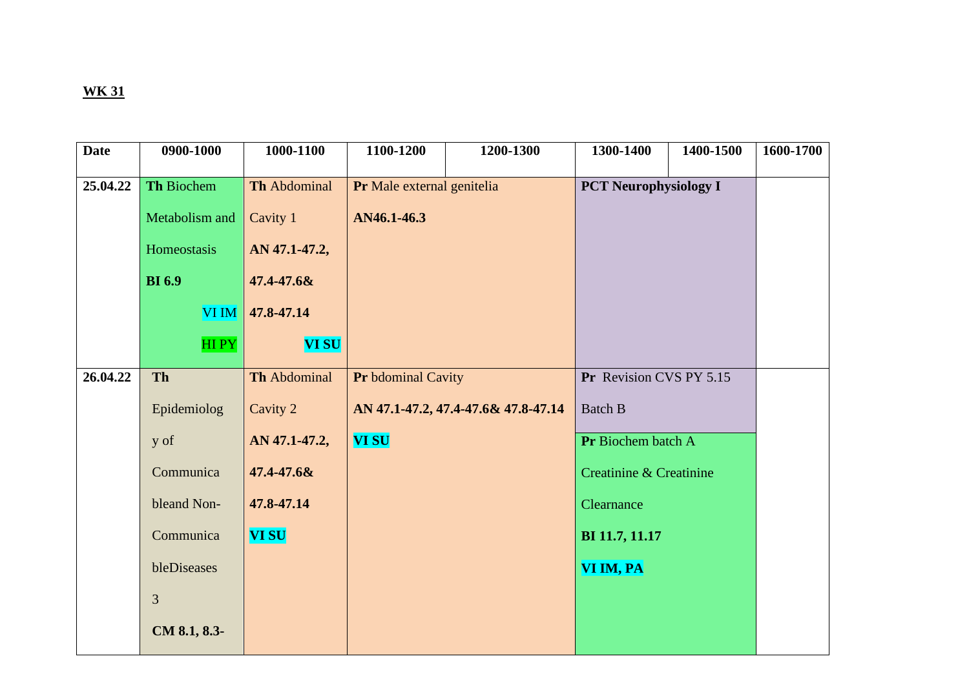| <b>Date</b> | 0900-1000      | 1000-1100     | 1100-1200                  | 1200-1300                           | 1300-1400                    | 1400-1500 | 1600-1700 |
|-------------|----------------|---------------|----------------------------|-------------------------------------|------------------------------|-----------|-----------|
|             |                |               |                            |                                     |                              |           |           |
| 25.04.22    | Th Biochem     | Th Abdominal  | Pr Male external genitelia |                                     | <b>PCT Neurophysiology I</b> |           |           |
|             | Metabolism and | Cavity 1      | AN46.1-46.3                |                                     |                              |           |           |
|             | Homeostasis    | AN 47.1-47.2, |                            |                                     |                              |           |           |
|             | <b>BI</b> 6.9  | 47.4-47.6&    |                            |                                     |                              |           |           |
|             | <b>VI IM</b>   | 47.8-47.14    |                            |                                     |                              |           |           |
|             | HI PY          | <b>VI SU</b>  |                            |                                     |                              |           |           |
| 26.04.22    | Th             | Th Abdominal  | Pr bdominal Cavity         |                                     | Pr Revision CVS PY 5.15      |           |           |
|             |                |               |                            |                                     |                              |           |           |
|             | Epidemiolog    | Cavity 2      |                            | AN 47.1-47.2, 47.4-47.6& 47.8-47.14 | <b>Batch B</b>               |           |           |
|             | y of           | AN 47.1-47.2, | <b>VI SU</b>               |                                     | Pr Biochem batch A           |           |           |
|             | Communica      | 47.4-47.6&    |                            |                                     | Creatinine & Creatinine      |           |           |
|             | bleand Non-    | 47.8-47.14    |                            |                                     | Clearnance                   |           |           |
|             | Communica      | <b>VI SU</b>  |                            |                                     | BI 11.7, 11.17               |           |           |
|             | bleDiseases    |               |                            |                                     | VI IM, PA                    |           |           |
|             | 3              |               |                            |                                     |                              |           |           |
|             | CM 8.1, 8.3-   |               |                            |                                     |                              |           |           |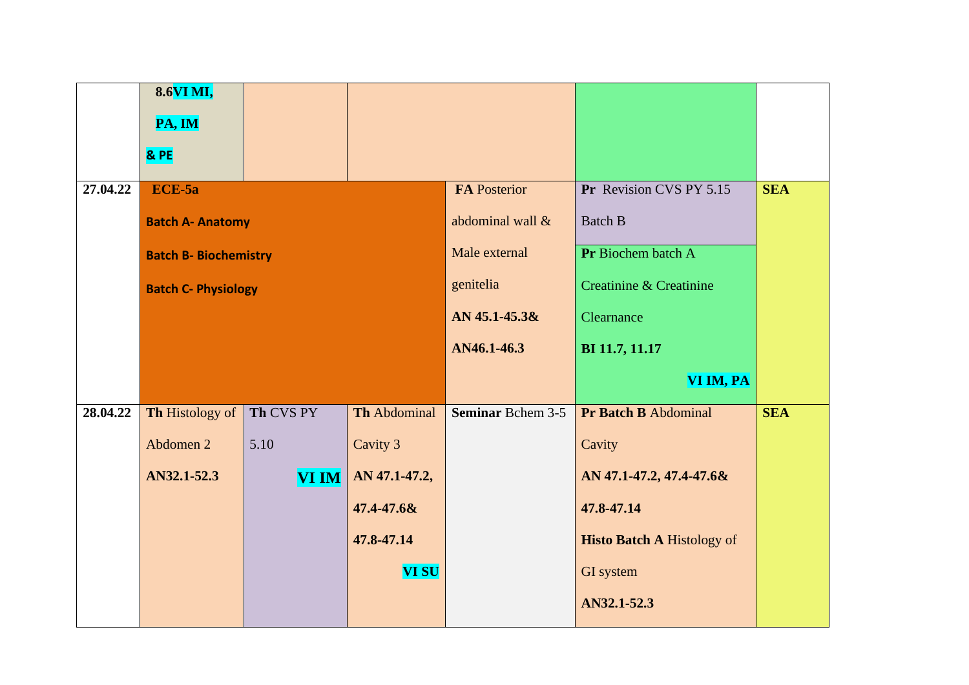|          | 8.6VI MI,                    |              |                     |                          |                                   |            |
|----------|------------------------------|--------------|---------------------|--------------------------|-----------------------------------|------------|
|          | PA, IM                       |              |                     |                          |                                   |            |
|          | & PE                         |              |                     |                          |                                   |            |
| 27.04.22 | ECE-5a                       |              |                     | FA Posterior             | Pr Revision CVS PY 5.15           | <b>SEA</b> |
|          | <b>Batch A- Anatomy</b>      |              |                     | abdominal wall &         | <b>Batch B</b>                    |            |
|          | <b>Batch B- Biochemistry</b> |              |                     | Male external            | Pr Biochem batch A                |            |
|          | <b>Batch C- Physiology</b>   |              |                     | genitelia                | Creatinine & Creatinine           |            |
|          |                              |              |                     | AN 45.1-45.3&            | Clearnance                        |            |
|          |                              |              |                     | AN46.1-46.3              | BI 11.7, 11.17                    |            |
|          |                              |              |                     |                          | VI IM, PA                         |            |
| 28.04.22 | Th Histology of              | Th CVS PY    | <b>Th Abdominal</b> | <b>Seminar Bchem 3-5</b> | Pr Batch B Abdominal              | <b>SEA</b> |
|          | Abdomen 2                    | 5.10         | Cavity 3            |                          | Cavity                            |            |
|          | AN32.1-52.3                  | <b>VI IM</b> | AN 47.1-47.2,       |                          | AN 47.1-47.2, 47.4-47.6&          |            |
|          |                              |              | 47.4-47.6&          |                          | 47.8-47.14                        |            |
|          |                              |              | 47.8-47.14          |                          | <b>Histo Batch A Histology of</b> |            |
|          |                              |              | <b>VI SU</b>        |                          | GI system                         |            |
|          |                              |              |                     |                          | AN32.1-52.3                       |            |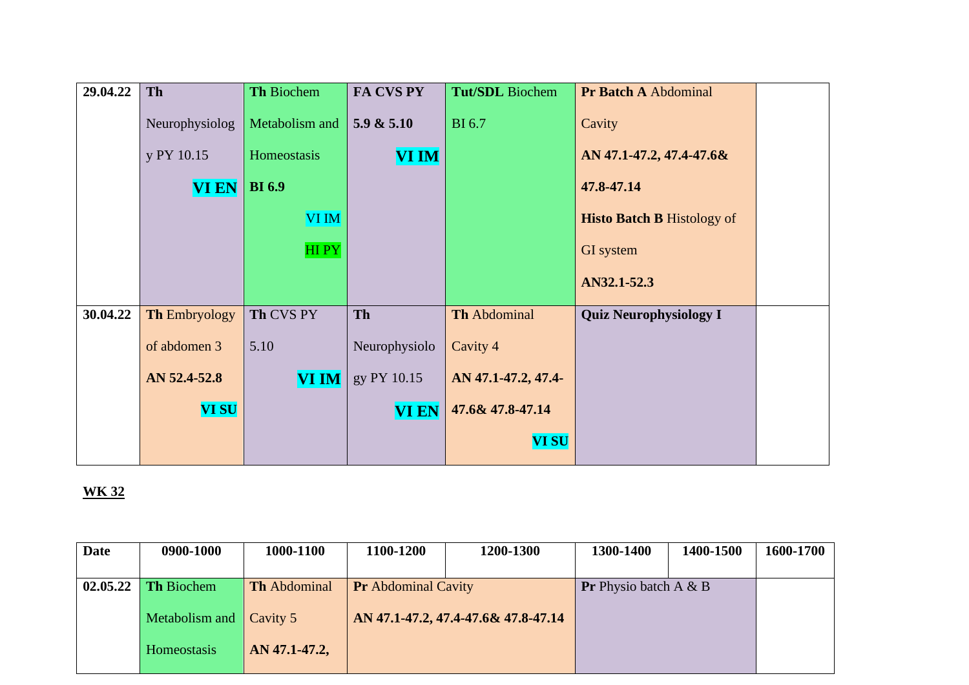| 29.04.22 | Th                   | Th Biochem     | FA CVS PY     | <b>Tut/SDL</b> Biochem | Pr Batch A Abdominal              |  |
|----------|----------------------|----------------|---------------|------------------------|-----------------------------------|--|
|          | Neurophysiolog       | Metabolism and | 5.9 & 5.10    | <b>BI</b> 6.7          | Cavity                            |  |
|          | y PY 10.15           | Homeostasis    | <b>VI IM</b>  |                        | AN 47.1-47.2, 47.4-47.6&          |  |
|          | <b>VI EN</b>         | <b>BI</b> 6.9  |               |                        | 47.8-47.14                        |  |
|          |                      | VI IM          |               |                        | <b>Histo Batch B Histology of</b> |  |
|          |                      | <b>HIPY</b>    |               |                        | GI system                         |  |
|          |                      |                |               |                        | AN32.1-52.3                       |  |
| 30.04.22 | <b>Th Embryology</b> | Th CVS PY      | <b>Th</b>     | <b>Th Abdominal</b>    | <b>Quiz Neurophysiology I</b>     |  |
|          | of abdomen 3         | 5.10           | Neurophysiolo | Cavity 4               |                                   |  |
|          | AN 52.4-52.8         | <b>VI IM</b>   | gy PY 10.15   | AN 47.1-47.2, 47.4-    |                                   |  |
|          | <b>VI SU</b>         |                | <b>VI EN</b>  | 47.6& 47.8-47.14       |                                   |  |
|          |                      |                |               | <b>VI SU</b>           |                                   |  |

| <b>Date</b> | 0900-1000             | 1000-1100           | 1100-1200                  | 1200-1300                           | 1300-1400                       | 1400-1500 | 1600-1700 |
|-------------|-----------------------|---------------------|----------------------------|-------------------------------------|---------------------------------|-----------|-----------|
|             | $02.05.22$ Th Biochem | <b>Th</b> Abdominal | <b>Pr</b> Abdominal Cavity |                                     | <b>Pr</b> Physio batch A $\&$ B |           |           |
|             | Metabolism and        | Cavity 5            |                            | AN 47.1-47.2, 47.4-47.6& 47.8-47.14 |                                 |           |           |
|             | Homeostasis           | AN 47.1-47.2,       |                            |                                     |                                 |           |           |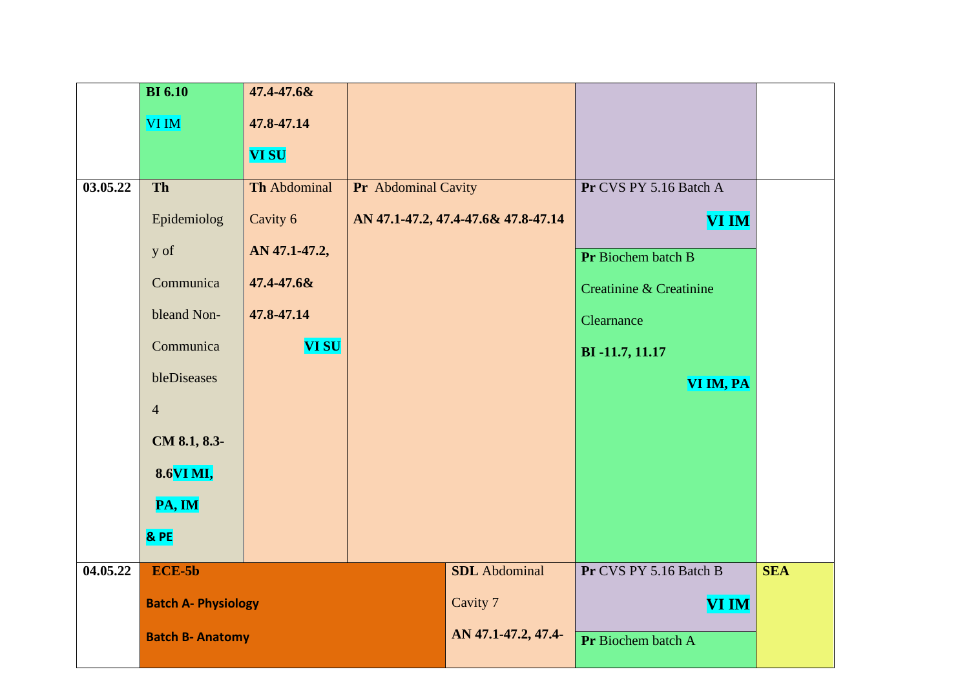|          | <b>BI</b> 6.10             | 47.4-47.6&          |                     |                                     |                         |            |
|----------|----------------------------|---------------------|---------------------|-------------------------------------|-------------------------|------------|
|          | VI IM                      | 47.8-47.14          |                     |                                     |                         |            |
|          |                            | <b>VI SU</b>        |                     |                                     |                         |            |
| 03.05.22 | Th                         | <b>Th Abdominal</b> | Pr Abdominal Cavity |                                     | Pr CVS PY 5.16 Batch A  |            |
|          |                            |                     |                     |                                     |                         |            |
|          | Epidemiolog                | Cavity 6            |                     | AN 47.1-47.2, 47.4-47.6& 47.8-47.14 | VI IM                   |            |
|          | y of                       | AN 47.1-47.2,       |                     |                                     | Pr Biochem batch B      |            |
|          | Communica                  | 47.4-47.6&          |                     |                                     | Creatinine & Creatinine |            |
|          | bleand Non-                | 47.8-47.14          |                     |                                     | Clearnance              |            |
|          | Communica                  | <b>VI SU</b>        |                     |                                     | BI-11.7, 11.17          |            |
|          | bleDiseases                |                     |                     |                                     | VI IM, PA               |            |
|          | $\overline{4}$             |                     |                     |                                     |                         |            |
|          | CM 8.1, 8.3-               |                     |                     |                                     |                         |            |
|          | 8.6VI MI,                  |                     |                     |                                     |                         |            |
|          | PA, IM                     |                     |                     |                                     |                         |            |
|          | & PE                       |                     |                     |                                     |                         |            |
| 04.05.22 | $ECE-5b$                   |                     |                     | <b>SDL</b> Abdominal                | Pr CVS PY 5.16 Batch B  | <b>SEA</b> |
|          | <b>Batch A- Physiology</b> |                     |                     | Cavity 7                            | <b>VI IM</b>            |            |
|          | <b>Batch B- Anatomy</b>    |                     |                     | AN 47.1-47.2, 47.4-                 | Pr Biochem batch A      |            |
|          |                            |                     |                     |                                     |                         |            |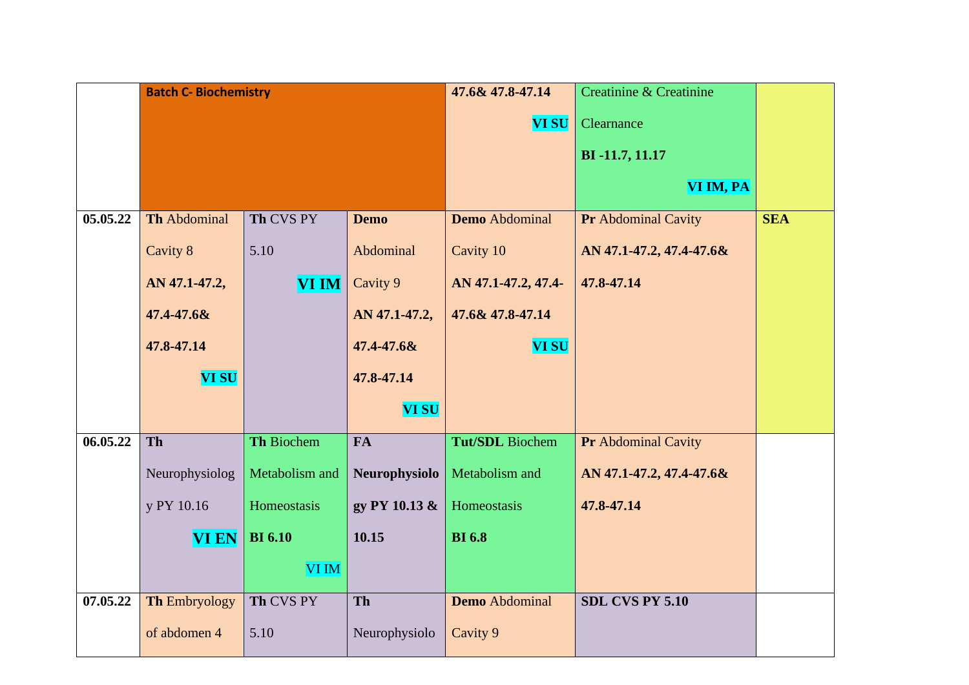|          | <b>Batch C- Biochemistry</b> |                |               | 47.6& 47.8-47.14      | <b>Creatinine &amp; Creatinine</b> |            |
|----------|------------------------------|----------------|---------------|-----------------------|------------------------------------|------------|
|          |                              |                |               | <b>VI SU</b>          | Clearnance                         |            |
|          |                              |                |               |                       | BI-11.7, 11.17                     |            |
|          |                              |                |               |                       |                                    |            |
|          |                              |                |               |                       | VI IM, PA                          |            |
| 05.05.22 | <b>Th Abdominal</b>          | Th CVS PY      | <b>Demo</b>   | <b>Demo</b> Abdominal | <b>Pr</b> Abdominal Cavity         | <b>SEA</b> |
|          | Cavity 8                     | 5.10           | Abdominal     | Cavity 10             | AN 47.1-47.2, 47.4-47.6&           |            |
|          | AN 47.1-47.2,                | <b>VI IM</b>   | Cavity 9      | AN 47.1-47.2, 47.4-   | 47.8-47.14                         |            |
|          | 47.4-47.6&                   |                | AN 47.1-47.2, | 47.6& 47.8-47.14      |                                    |            |
|          | 47.8-47.14                   |                | 47.4-47.6&    | <b>VI SU</b>          |                                    |            |
|          | <b>VI SU</b>                 |                | 47.8-47.14    |                       |                                    |            |
|          |                              |                | <b>VI SU</b>  |                       |                                    |            |
| 06.05.22 | Th                           | Th Biochem     | <b>FA</b>     | Tut/SDL Biochem       | <b>Pr</b> Abdominal Cavity         |            |
|          | Neurophysiolog               | Metabolism and | Neurophysiolo | Metabolism and        | AN 47.1-47.2, 47.4-47.6&           |            |
|          | y PY 10.16                   | Homeostasis    | gy PY 10.13 & | Homeostasis           | 47.8-47.14                         |            |
|          | <b>VI EN</b>                 | <b>BI</b> 6.10 | 10.15         | <b>BI</b> 6.8         |                                    |            |
|          |                              | VI IM          |               |                       |                                    |            |
| 07.05.22 | <b>Th Embryology</b>         | Th CVS PY      | Th            | <b>Demo</b> Abdominal | <b>SDL CVS PY 5.10</b>             |            |
|          | of abdomen 4                 | 5.10           | Neurophysiolo | Cavity 9              |                                    |            |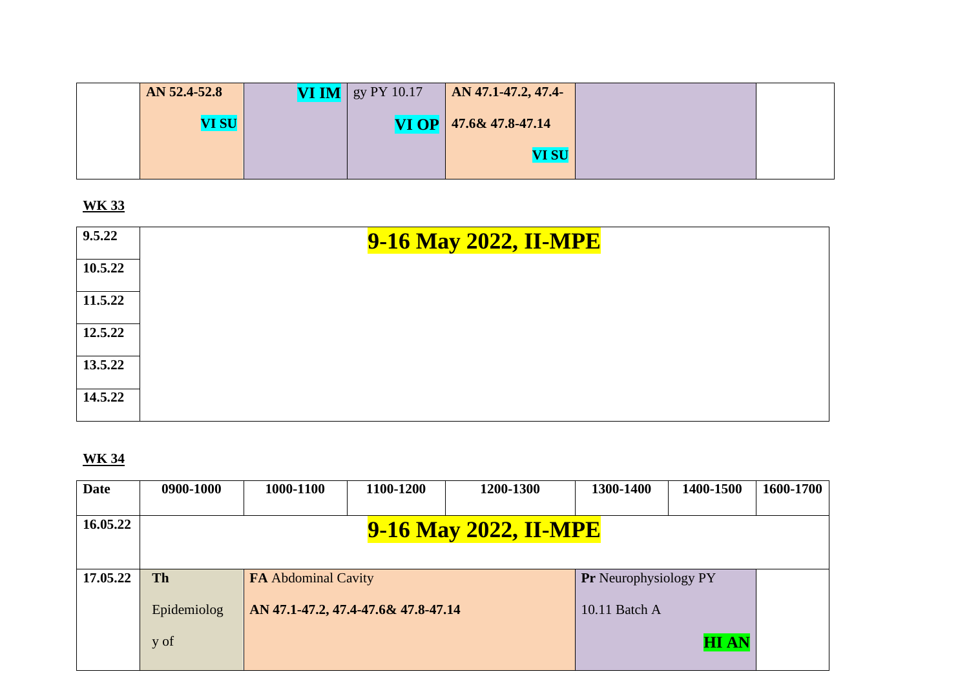| AN 52.4-52.8 | <b>VI IM</b>   gy PY 10.17 | $\overline{AN}$ 47.1-47.2, 47.4- |  |
|--------------|----------------------------|----------------------------------|--|
| <b>VI SU</b> |                            | <b>VI OP</b> $47.6& 47.8-47.14$  |  |
|              |                            | <b>VI SU</b>                     |  |

| 9.5.22  | <b>9-16 May 2022, II-MPE</b> |
|---------|------------------------------|
| 10.5.22 |                              |
| 11.5.22 |                              |
| 12.5.22 |                              |
| 13.5.22 |                              |
| 14.5.22 |                              |

| <b>Date</b> | 0900-1000                    | 1000-1100                  | 1100-1200                           | 1200-1300 | 1300-1400                    | 1400-1500   | 1600-1700 |  |  |  |
|-------------|------------------------------|----------------------------|-------------------------------------|-----------|------------------------------|-------------|-----------|--|--|--|
| 16.05.22    | <b>9-16 May 2022, II-MPE</b> |                            |                                     |           |                              |             |           |  |  |  |
| 17.05.22    | <b>Th</b>                    | <b>FA Abdominal Cavity</b> |                                     |           | <b>Pr</b> Neurophysiology PY |             |           |  |  |  |
|             | Epidemiolog                  |                            | AN 47.1-47.2, 47.4-47.6& 47.8-47.14 |           |                              |             |           |  |  |  |
|             | y of                         |                            |                                     |           |                              | <b>HIAN</b> |           |  |  |  |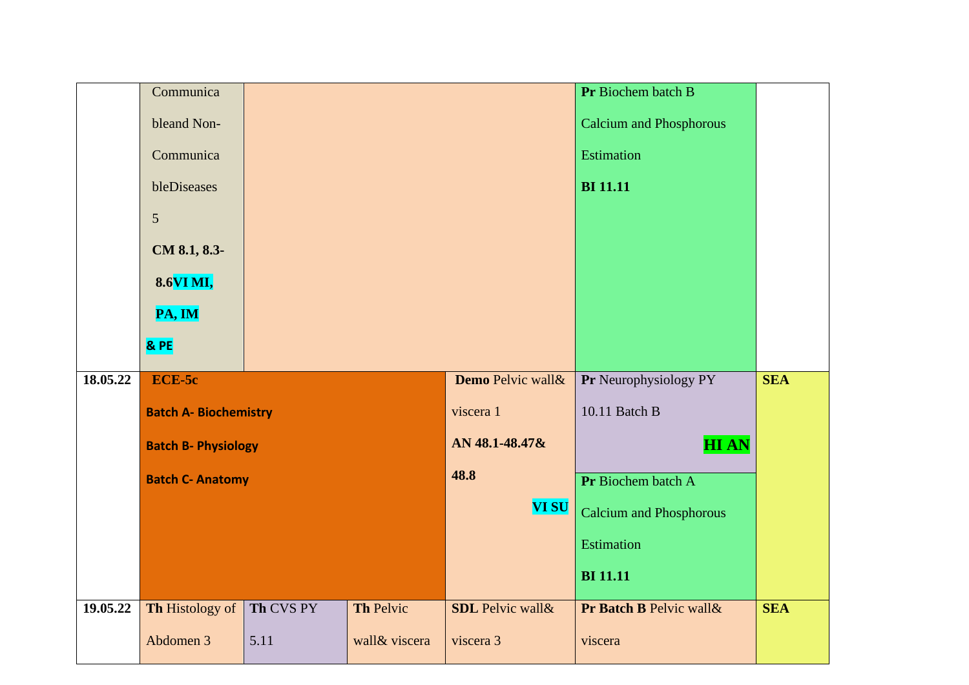|          | Communica                    |           |               |                         | Pr Biochem batch B             |            |
|----------|------------------------------|-----------|---------------|-------------------------|--------------------------------|------------|
|          | bleand Non-                  |           |               |                         | <b>Calcium and Phosphorous</b> |            |
|          | Communica                    |           |               | <b>Estimation</b>       |                                |            |
|          | bleDiseases                  |           |               | <b>BI</b> 11.11         |                                |            |
|          | $\mathfrak{S}$               |           |               |                         |                                |            |
|          | CM 8.1, 8.3-                 |           |               |                         |                                |            |
|          | 8.6VI MI,                    |           |               |                         |                                |            |
|          | PA, IM                       |           |               |                         |                                |            |
|          | & PE                         |           |               |                         |                                |            |
| 18.05.22 | ECE-5c                       |           |               | Demo Pelvic wall&       | Pr Neurophysiology PY          | <b>SEA</b> |
|          | <b>Batch A- Biochemistry</b> |           |               | viscera 1               | 10.11 Batch B                  |            |
|          | <b>Batch B- Physiology</b>   |           |               | AN 48.1-48.47&          | <b>HIAN</b>                    |            |
|          | <b>Batch C- Anatomy</b>      |           |               | 48.8                    | Pr Biochem batch A             |            |
|          |                              |           |               | <b>VI SU</b>            | <b>Calcium and Phosphorous</b> |            |
|          |                              |           |               |                         | <b>Estimation</b>              |            |
|          |                              |           |               |                         | <b>BI</b> 11.11                |            |
| 19.05.22 | Th Histology of              | Th CVS PY | Th Pelvic     | <b>SDL</b> Pelvic wall& | Pr Batch B Pelvic wall&        | <b>SEA</b> |
|          | Abdomen 3                    | 5.11      | wall& viscera | viscera 3               | viscera                        |            |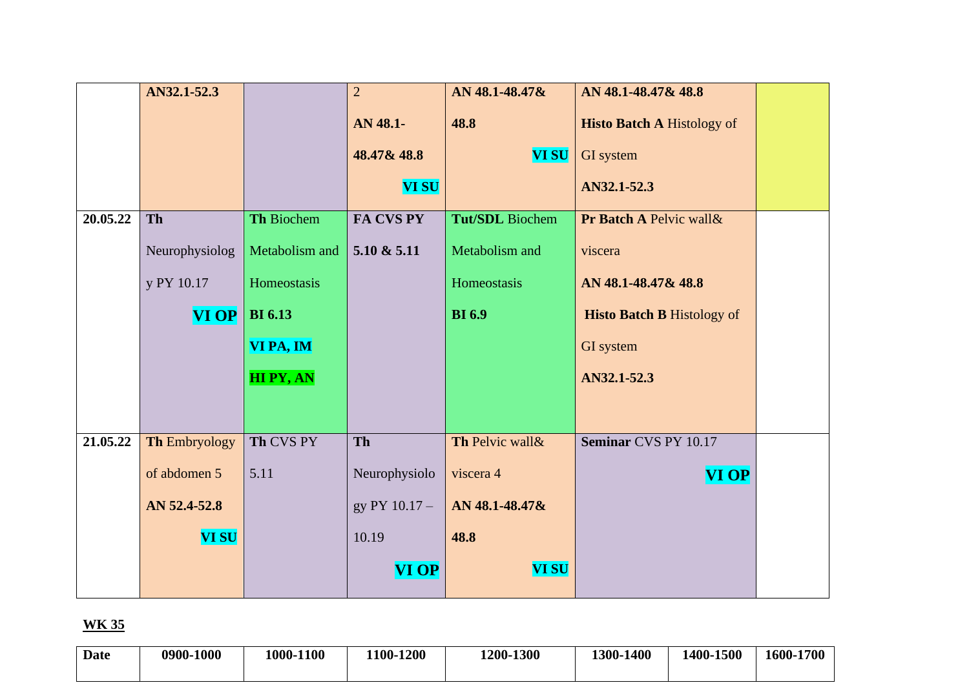|          | AN32.1-52.3    |                 | $\overline{2}$ | AN 48.1-48.47&         | AN 48.1-48.47& 48.8               |  |
|----------|----------------|-----------------|----------------|------------------------|-----------------------------------|--|
|          |                |                 | AN 48.1-       | 48.8                   | <b>Histo Batch A Histology of</b> |  |
|          |                |                 | 48.47& 48.8    | <b>VI SU</b>           | GI system                         |  |
|          |                |                 | <b>VI SU</b>   |                        | AN32.1-52.3                       |  |
| 20.05.22 | Th             | Th Biochem      | FA CVS PY      | <b>Tut/SDL</b> Biochem | Pr Batch A Pelvic wall &          |  |
|          | Neurophysiolog | Metabolism and  | 5.10 & 5.11    | Metabolism and         | viscera                           |  |
|          | y PY 10.17     | Homeostasis     |                | Homeostasis            | AN 48.1-48.47& 48.8               |  |
|          | $VI$ OP $ $    | <b>BI</b> 6.13  |                | <b>BI</b> 6.9          | <b>Histo Batch B Histology of</b> |  |
|          |                | VI PA, IM       |                |                        | GI system                         |  |
|          |                | <b>HIPY, AN</b> |                |                        | AN32.1-52.3                       |  |
|          |                |                 |                |                        |                                   |  |
| 21.05.22 | Th Embryology  | Th CVS PY       | Th             | Th Pelvic wall &       | Seminar CVS PY 10.17              |  |
|          | of abdomen 5   | 5.11            | Neurophysiolo  | viscera 4              | <b>VI OP</b>                      |  |
|          | AN 52.4-52.8   |                 | gy PY 10.17 -  | AN 48.1-48.47&         |                                   |  |
|          | <b>VI SU</b>   |                 | 10.19          | 48.8                   |                                   |  |
|          |                |                 | <b>VI OP</b>   | <b>VI SU</b>           |                                   |  |

| Date | 0900-1000 | 1000-1100 | 1100-1200 | 1200-1300 | 1300-1400 | 1400-1500 | 1600-1700 |
|------|-----------|-----------|-----------|-----------|-----------|-----------|-----------|
|      |           |           |           |           |           |           |           |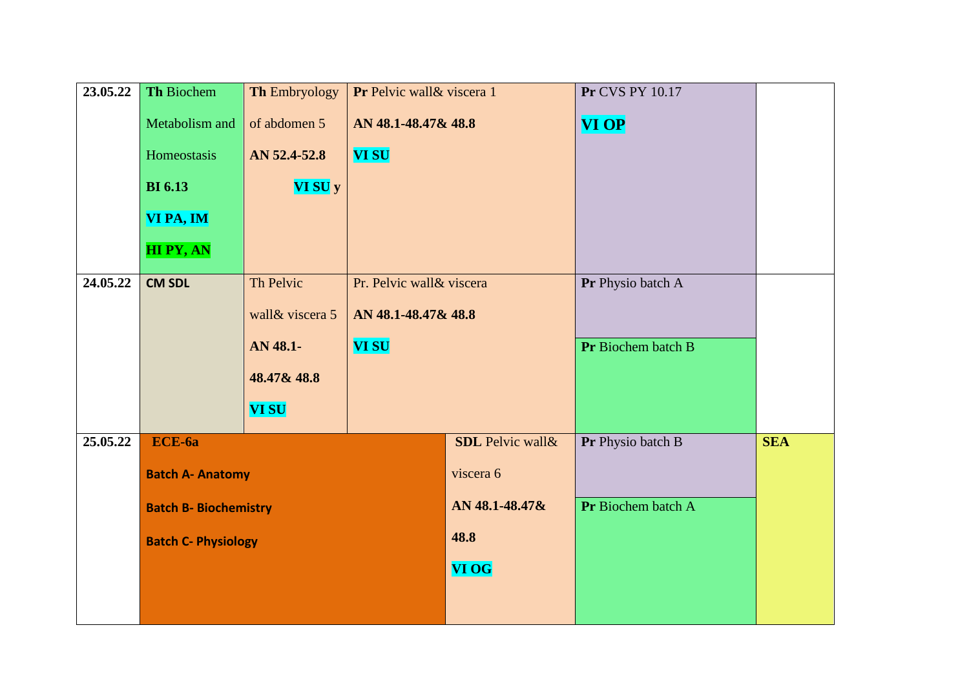| <b>SEA</b> |
|------------|
|            |
|            |
|            |
|            |
|            |
|            |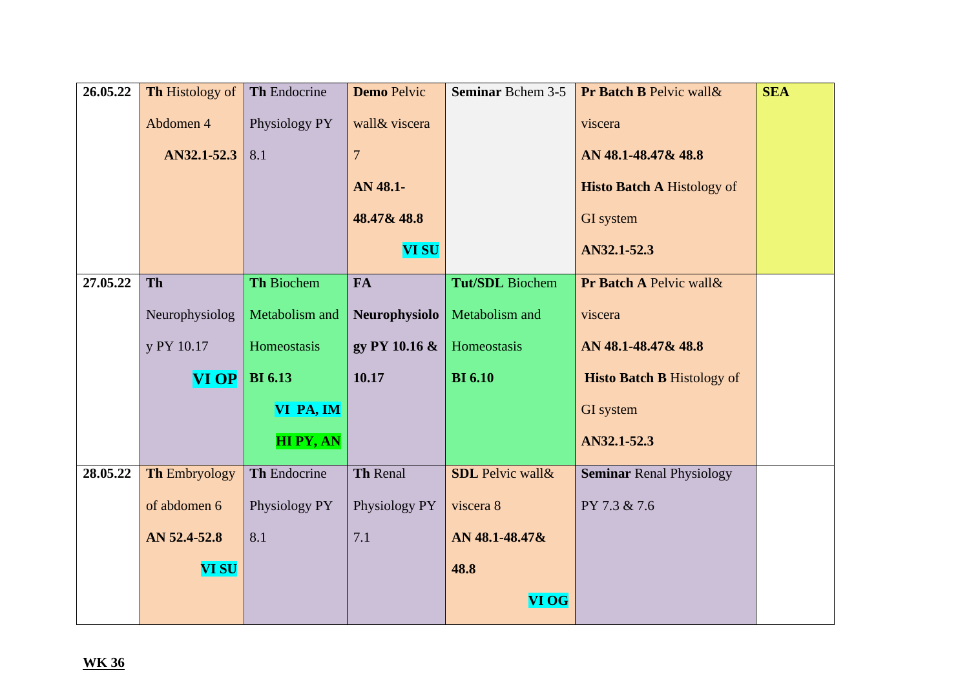| 26.05.22 | Th Histology of      | Th Endocrine      | <b>Demo Pelvic</b> | <b>Seminar Bchem 3-5</b> | Pr Batch B Pelvic wall &          | <b>SEA</b> |
|----------|----------------------|-------------------|--------------------|--------------------------|-----------------------------------|------------|
|          | Abdomen 4            | Physiology PY     | wall& viscera      |                          | viscera                           |            |
|          | AN32.1-52.3          | 8.1               | $\overline{7}$     |                          | AN 48.1-48.47 & 48.8              |            |
|          |                      |                   | AN 48.1-           |                          | <b>Histo Batch A Histology of</b> |            |
|          |                      |                   | 48.47& 48.8        |                          | <b>GI</b> system                  |            |
|          |                      |                   | <b>VI SU</b>       |                          | AN32.1-52.3                       |            |
| 27.05.22 | Th                   | <b>Th Biochem</b> | <b>FA</b>          | <b>Tut/SDL</b> Biochem   | Pr Batch A Pelvic wall &          |            |
|          | Neurophysiolog       | Metabolism and    | Neurophysiolo      | Metabolism and           | viscera                           |            |
|          |                      |                   |                    |                          |                                   |            |
|          | y PY 10.17           | Homeostasis       | gy PY 10.16 &      | Homeostasis              | AN 48.1-48.47& 48.8               |            |
|          | <b>VI OP</b>         | <b>BI</b> 6.13    | 10.17              | <b>BI</b> 6.10           | <b>Histo Batch B Histology of</b> |            |
|          |                      | VI PA, IM         |                    |                          | <b>GI</b> system                  |            |
|          |                      | <b>HI PY, AN</b>  |                    |                          | AN32.1-52.3                       |            |
| 28.05.22 | <b>Th Embryology</b> | Th Endocrine      | Th Renal           | <b>SDL</b> Pelvic wall & | <b>Seminar Renal Physiology</b>   |            |
|          | of abdomen 6         | Physiology PY     | Physiology PY      | viscera 8                | PY 7.3 & 7.6                      |            |
|          | AN 52.4-52.8         | 8.1               | 7.1                | AN 48.1-48.47&           |                                   |            |
|          | <b>VI SU</b>         |                   |                    | 48.8                     |                                   |            |
|          |                      |                   |                    | <b>VI OG</b>             |                                   |            |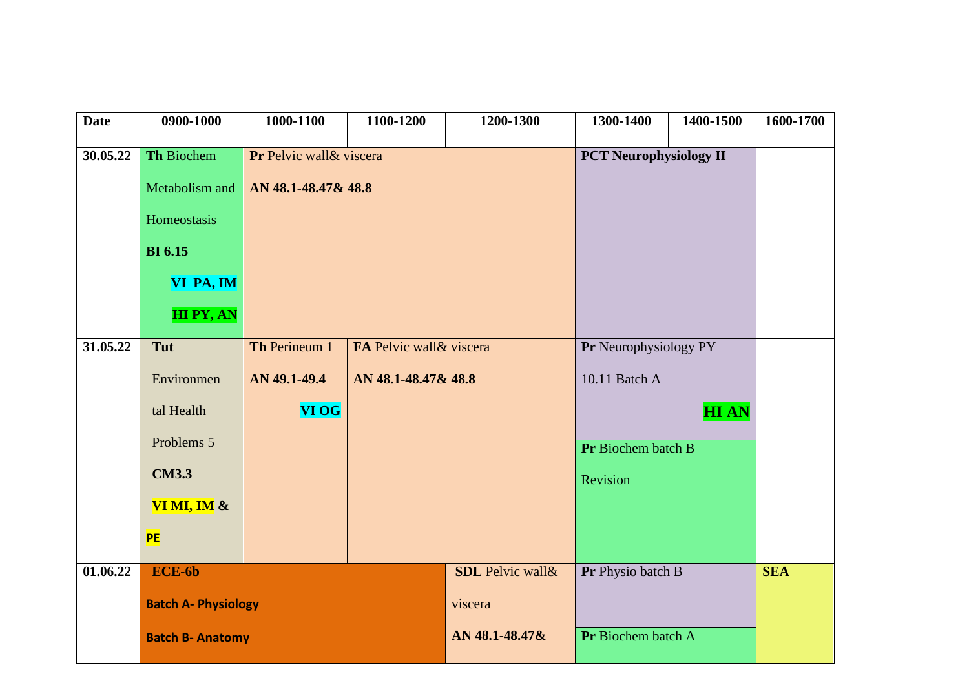| <b>Date</b>           | 0900-1000                  | 1000-1100                | 1100-1200                | 1200-1300               | 1300-1400                     | 1400-1500   | 1600-1700  |
|-----------------------|----------------------------|--------------------------|--------------------------|-------------------------|-------------------------------|-------------|------------|
| 30.05.22              | <b>Th Biochem</b>          | Pr Pelvic wall & viscera |                          |                         | <b>PCT Neurophysiology II</b> |             |            |
|                       | Metabolism and             | AN 48.1-48.47& 48.8      |                          |                         |                               |             |            |
|                       | Homeostasis                |                          |                          |                         |                               |             |            |
|                       |                            |                          |                          |                         |                               |             |            |
|                       | <b>BI</b> 6.15             |                          |                          |                         |                               |             |            |
|                       | VI PA, IM                  |                          |                          |                         |                               |             |            |
|                       | <b>HIPY, AN</b>            |                          |                          |                         |                               |             |            |
| $31.05.\overline{22}$ | Tut                        | Th Perineum 1            | FA Pelvic wall & viscera |                         | Pr Neurophysiology PY         |             |            |
|                       | Environmen                 | AN 49.1-49.4             | AN 48.1-48.47& 48.8      |                         | 10.11 Batch A                 |             |            |
|                       | tal Health                 | <b>VI OG</b>             |                          |                         |                               | <b>HIAN</b> |            |
|                       | Problems 5                 |                          |                          |                         | Pr Biochem batch B            |             |            |
|                       | <b>CM3.3</b>               |                          |                          |                         | Revision                      |             |            |
|                       | VI MI, IM $\&$             |                          |                          |                         |                               |             |            |
|                       | <b>PE</b>                  |                          |                          |                         |                               |             |            |
| 01.06.22              | ECE-6b                     |                          |                          | <b>SDL</b> Pelvic wall& | Pr Physio batch B             |             | <b>SEA</b> |
|                       | <b>Batch A- Physiology</b> |                          |                          | viscera                 |                               |             |            |
|                       | <b>Batch B- Anatomy</b>    |                          |                          | AN 48.1-48.47&          | Pr Biochem batch A            |             |            |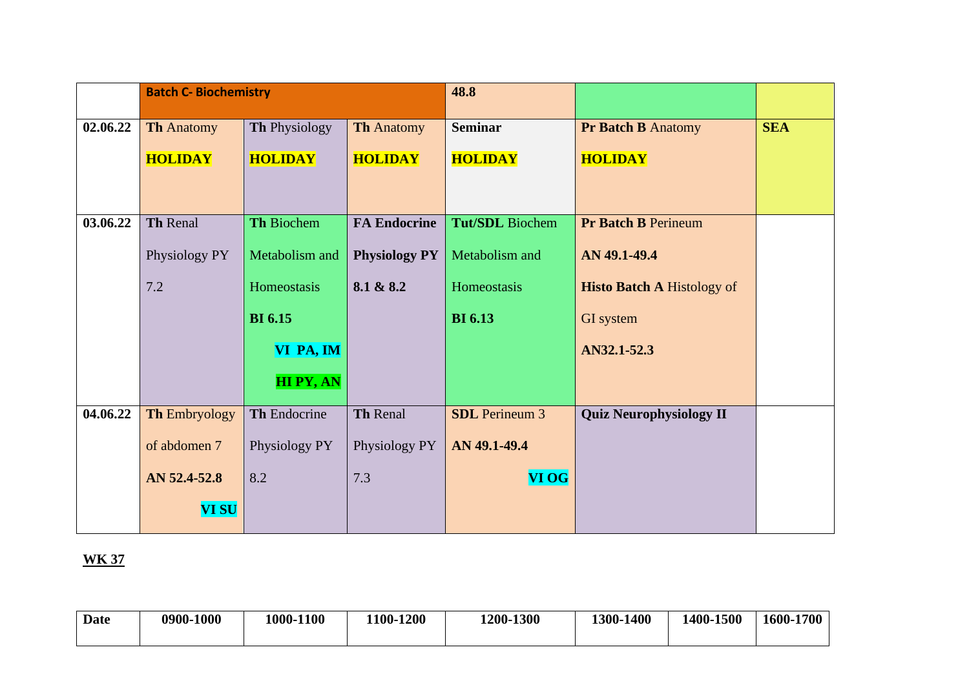|          | <b>Batch C- Biochemistry</b> |                 |                      | 48.8                   |                                   |            |
|----------|------------------------------|-----------------|----------------------|------------------------|-----------------------------------|------------|
| 02.06.22 | <b>Th Anatomy</b>            | Th Physiology   | <b>Th Anatomy</b>    | <b>Seminar</b>         | <b>Pr Batch B Anatomy</b>         | <b>SEA</b> |
|          | <b>HOLIDAY</b>               | <b>HOLIDAY</b>  | <b>HOLIDAY</b>       | <b>HOLIDAY</b>         | <b>HOLIDAY</b>                    |            |
|          |                              |                 |                      |                        |                                   |            |
|          |                              |                 |                      |                        |                                   |            |
| 03.06.22 | Th Renal                     | Th Biochem      | <b>FA Endocrine</b>  | <b>Tut/SDL</b> Biochem | <b>Pr Batch B Perineum</b>        |            |
|          | Physiology PY                | Metabolism and  | <b>Physiology PY</b> | Metabolism and         | AN 49.1-49.4                      |            |
|          | 7.2                          | Homeostasis     | 8.1 & 8.2            | Homeostasis            | <b>Histo Batch A Histology of</b> |            |
|          |                              | <b>BI</b> 6.15  |                      | <b>BI</b> 6.13         | GI system                         |            |
|          |                              | VI PA, IM       |                      |                        | AN32.1-52.3                       |            |
|          |                              | <b>HIPY, AN</b> |                      |                        |                                   |            |
| 04.06.22 | <b>Th Embryology</b>         | Th Endocrine    | Th Renal             | <b>SDL</b> Perineum 3  | <b>Quiz Neurophysiology II</b>    |            |
|          | of abdomen 7                 | Physiology PY   | Physiology PY        | AN 49.1-49.4           |                                   |            |
|          | AN 52.4-52.8                 | 8.2             | 7.3                  | <b>VI OG</b>           |                                   |            |
|          | <b>VI SU</b>                 |                 |                      |                        |                                   |            |

| Date | 0900-1000 | 1000-1100 | <b>1200</b><br>1100 | 1200-1300 | 1300-1400 | 1500<br>400- | 1600-1700 |
|------|-----------|-----------|---------------------|-----------|-----------|--------------|-----------|
|      |           |           |                     |           |           |              |           |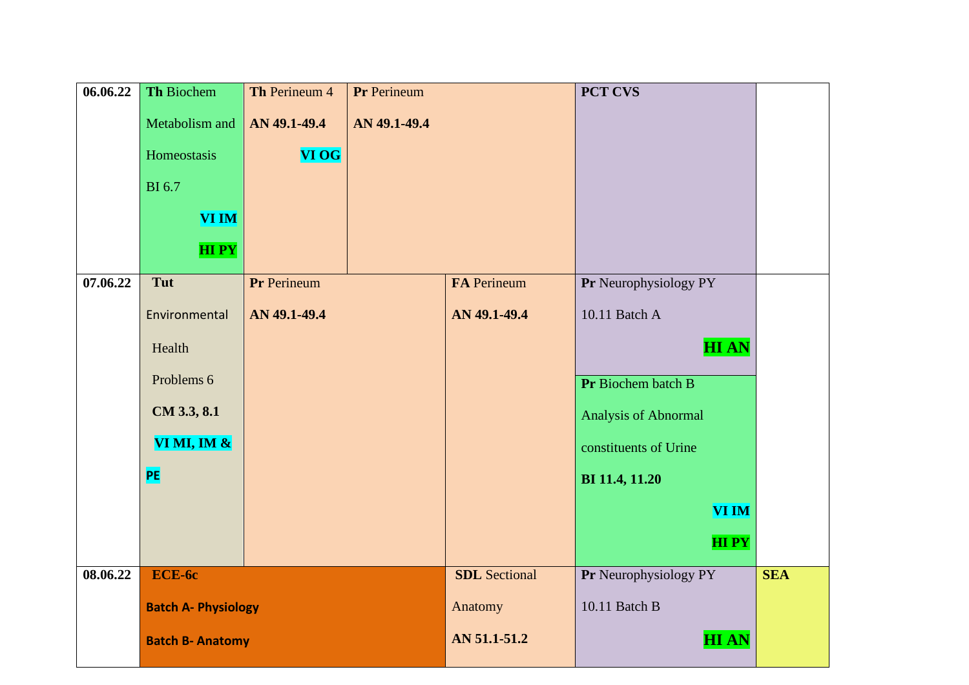| 06.06.22 | Th Biochem                 | Th Perineum 4 | <b>Pr</b> Perineum |                      | <b>PCT CVS</b>        |            |
|----------|----------------------------|---------------|--------------------|----------------------|-----------------------|------------|
|          | Metabolism and             | AN 49.1-49.4  | AN 49.1-49.4       |                      |                       |            |
|          | Homeostasis                | <b>VI OG</b>  |                    |                      |                       |            |
|          | <b>BI</b> 6.7              |               |                    |                      |                       |            |
|          | <b>VI IM</b>               |               |                    |                      |                       |            |
|          |                            |               |                    |                      |                       |            |
|          | <b>HIPY</b>                |               |                    |                      |                       |            |
| 07.06.22 | Tut                        | Pr Perineum   |                    | <b>FA</b> Perineum   | Pr Neurophysiology PY |            |
|          | Environmental              | AN 49.1-49.4  |                    | AN 49.1-49.4         | 10.11 Batch A         |            |
|          | Health                     |               |                    |                      | <b>HIAN</b>           |            |
|          | Problems 6                 |               |                    |                      | Pr Biochem batch B    |            |
|          | CM 3.3, 8.1                |               |                    |                      | Analysis of Abnormal  |            |
|          | VI MI, IM $\&$             |               |                    |                      | constituents of Urine |            |
|          | PE                         |               |                    |                      | BI 11.4, 11.20        |            |
|          |                            |               |                    |                      | <b>VI IM</b>          |            |
|          |                            |               |                    |                      | <b>HIPY</b>           |            |
| 08.06.22 | ECE-6c                     |               |                    | <b>SDL</b> Sectional | Pr Neurophysiology PY | <b>SEA</b> |
|          | <b>Batch A- Physiology</b> |               |                    | Anatomy              | 10.11 Batch B         |            |
|          | <b>Batch B- Anatomy</b>    |               |                    | AN 51.1-51.2         | <b>HIAN</b>           |            |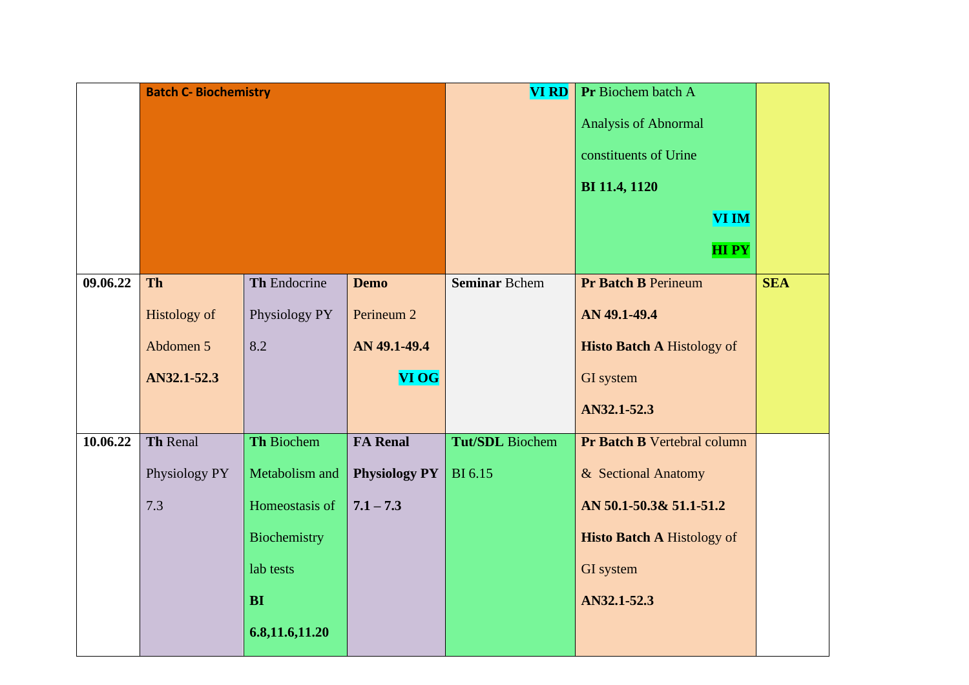|          | <b>Batch C- Biochemistry</b> |                   |                       | <b>VI RD</b>           | Pr Biochem batch A<br>Analysis of Abnormal<br>constituents of Urine<br>BI 11.4, 1120 |            |
|----------|------------------------------|-------------------|-----------------------|------------------------|--------------------------------------------------------------------------------------|------------|
|          |                              |                   |                       |                        | <b>VI IM</b><br><b>HIPY</b>                                                          |            |
| 09.06.22 | Th                           | Th Endocrine      | <b>Demo</b>           | <b>Seminar Bchem</b>   | <b>Pr Batch B Perineum</b>                                                           | <b>SEA</b> |
|          | <b>Histology of</b>          | Physiology PY     | Perineum <sub>2</sub> |                        | AN 49.1-49.4                                                                         |            |
|          | Abdomen 5                    | 8.2               | AN 49.1-49.4          |                        | <b>Histo Batch A Histology of</b>                                                    |            |
|          | AN32.1-52.3                  |                   | <b>VI OG</b>          |                        | GI system                                                                            |            |
|          |                              |                   |                       |                        | AN32.1-52.3                                                                          |            |
| 10.06.22 | Th Renal                     | <b>Th Biochem</b> | <b>FA Renal</b>       | <b>Tut/SDL</b> Biochem | Pr Batch B Vertebral column                                                          |            |
|          | Physiology PY                | Metabolism and    | <b>Physiology PY</b>  | <b>BI</b> 6.15         | & Sectional Anatomy                                                                  |            |
|          | 7.3                          | Homeostasis of    | $7.1 - 7.3$           |                        | AN 50.1-50.3& 51.1-51.2                                                              |            |
|          |                              | Biochemistry      |                       |                        | <b>Histo Batch A Histology of</b>                                                    |            |
|          |                              | lab tests         |                       |                        | GI system                                                                            |            |
|          |                              | <b>BI</b>         |                       |                        | AN32.1-52.3                                                                          |            |
|          |                              | 6.8, 11.6, 11.20  |                       |                        |                                                                                      |            |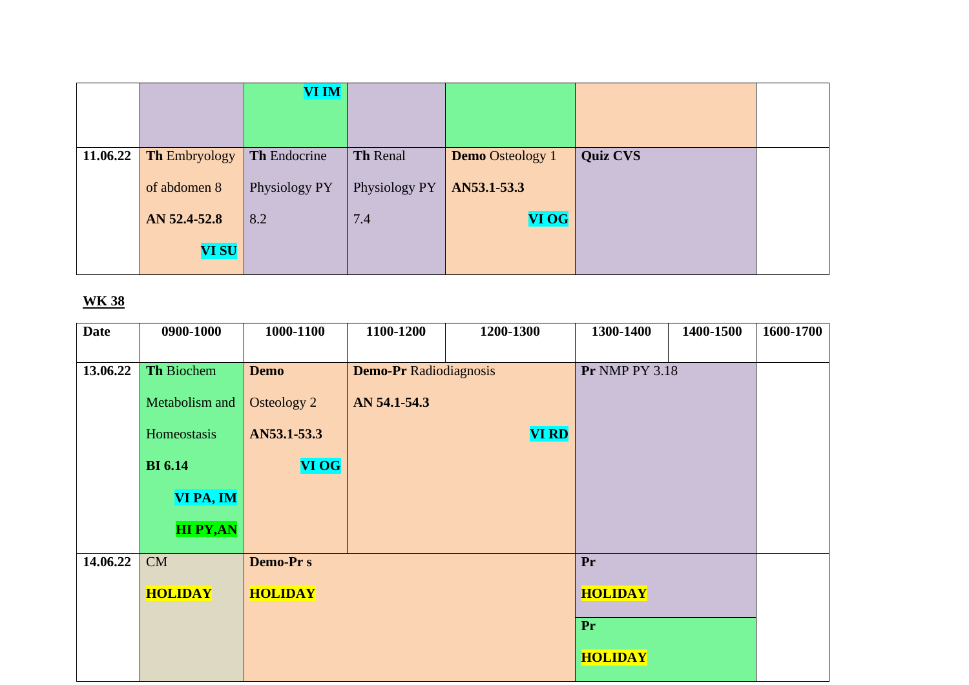|          |                      | VI IM         |               |                         |                 |  |
|----------|----------------------|---------------|---------------|-------------------------|-----------------|--|
|          |                      |               |               |                         |                 |  |
|          |                      |               |               |                         |                 |  |
| 11.06.22 | <b>Th Embryology</b> | Th Endocrine  | Th Renal      | <b>Demo</b> Osteology 1 | <b>Quiz CVS</b> |  |
|          | of abdomen 8         | Physiology PY | Physiology PY | AN53.1-53.3             |                 |  |
|          | AN 52.4-52.8         | 8.2           | 7.4           | <b>VI OG</b>            |                 |  |
|          | <b>VI SU</b>         |               |               |                         |                 |  |
|          |                      |               |               |                         |                 |  |

| <b>Date</b> | 0900-1000       | 1000-1100       | 1100-1200                     | 1200-1300    | 1300-1400             | 1400-1500 | 1600-1700 |
|-------------|-----------------|-----------------|-------------------------------|--------------|-----------------------|-----------|-----------|
|             |                 |                 |                               |              |                       |           |           |
| 13.06.22    | Th Biochem      | <b>Demo</b>     | <b>Demo-Pr Radiodiagnosis</b> |              | <b>Pr NMP PY 3.18</b> |           |           |
|             | Metabolism and  | Osteology 2     | AN 54.1-54.3                  |              |                       |           |           |
|             | Homeostasis     | AN53.1-53.3     |                               | <b>VI RD</b> |                       |           |           |
|             | <b>BI</b> 6.14  | <b>VI OG</b>    |                               |              |                       |           |           |
|             | VI PA, IM       |                 |                               |              |                       |           |           |
|             | <b>HI PY,AN</b> |                 |                               |              |                       |           |           |
| 14.06.22    | CM              | <b>Demo-Prs</b> |                               |              | Pr                    |           |           |
|             | <b>HOLIDAY</b>  | <b>HOLIDAY</b>  |                               |              | <b>HOLIDAY</b>        |           |           |
|             |                 |                 |                               |              | Pr                    |           |           |
|             |                 |                 |                               |              | <b>HOLIDAY</b>        |           |           |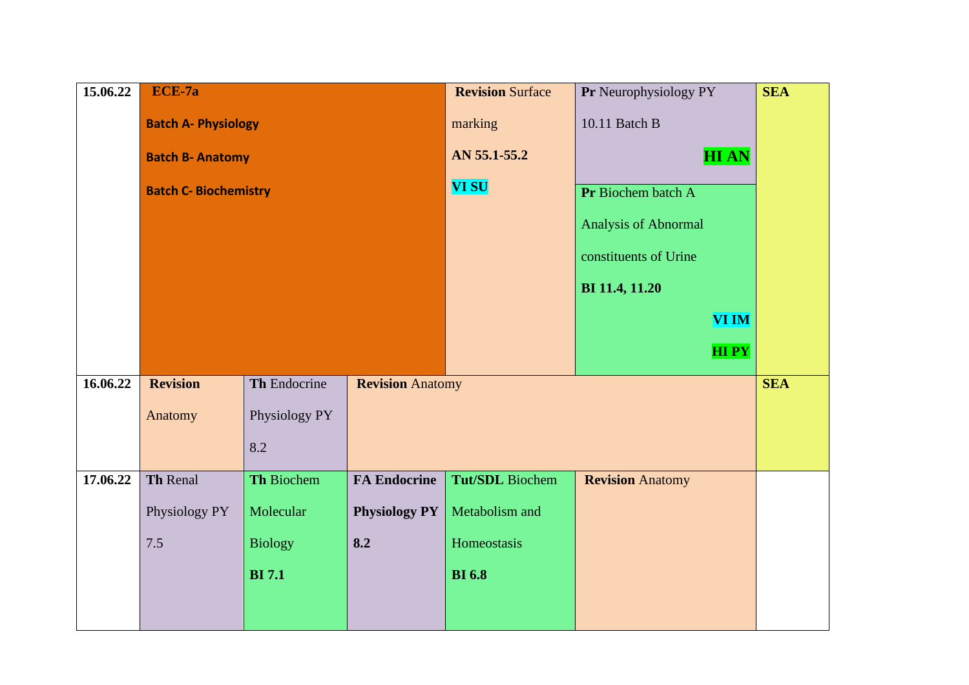| 15.06.22 | ECE-7a                       |                |                         | <b>Revision Surface</b> | Pr Neurophysiology PY   | <b>SEA</b> |
|----------|------------------------------|----------------|-------------------------|-------------------------|-------------------------|------------|
|          | <b>Batch A- Physiology</b>   |                |                         | marking                 | 10.11 Batch B           |            |
|          | <b>Batch B- Anatomy</b>      |                |                         | AN 55.1-55.2            | <b>HIAN</b>             |            |
|          | <b>Batch C- Biochemistry</b> |                |                         | <b>VI SU</b>            | Pr Biochem batch A      |            |
|          |                              |                |                         |                         | Analysis of Abnormal    |            |
|          |                              |                |                         |                         | constituents of Urine   |            |
|          |                              |                |                         |                         | BI 11.4, 11.20          |            |
|          |                              |                |                         |                         | <b>VI IM</b>            |            |
|          |                              |                |                         |                         | <b>HIPY</b>             |            |
| 16.06.22 | <b>Revision</b>              | Th Endocrine   | <b>Revision Anatomy</b> |                         |                         | <b>SEA</b> |
|          | Anatomy                      | Physiology PY  |                         |                         |                         |            |
|          |                              | 8.2            |                         |                         |                         |            |
| 17.06.22 | Th Renal                     | Th Biochem     | <b>FA Endocrine</b>     | Tut/SDL Biochem         | <b>Revision Anatomy</b> |            |
|          | Physiology PY                | Molecular      | <b>Physiology PY</b>    | Metabolism and          |                         |            |
|          | 7.5                          | <b>Biology</b> | 8.2                     | Homeostasis             |                         |            |
|          |                              | <b>BI</b> 7.1  |                         | <b>BI</b> 6.8           |                         |            |
|          |                              |                |                         |                         |                         |            |
|          |                              |                |                         |                         |                         |            |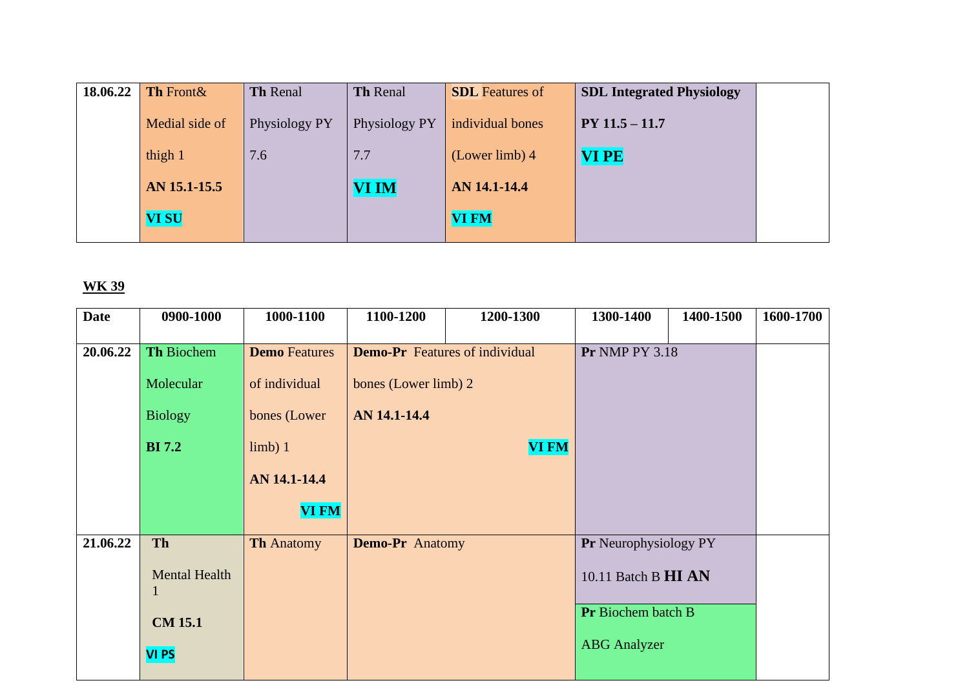| <b>SDL Integrated Physiology</b> | <b>SDL</b> Features of | Th Renal      | <b>Th Renal</b> | Th Front &     | 18.06.22 |
|----------------------------------|------------------------|---------------|-----------------|----------------|----------|
| $PY 11.5 - 11.7$                 | individual bones       | Physiology PY | Physiology PY   | Medial side of |          |
| <b>VIPE</b>                      | $(Lower limb)$ 4       | 7.7           | 7.6             | thigh 1        |          |
|                                  | AN 14.1-14.4           | <b>VI IM</b>  |                 | AN 15.1-15.5   |          |
|                                  | <b>VI FM</b>           |               |                 | <b>VI SU</b>   |          |
|                                  |                        |               |                 |                |          |

| <b>Date</b> | 0900-1000                        | 1000-1100            | 1100-1200                             | 1200-1300    | 1300-1400             | 1400-1500 | 1600-1700 |
|-------------|----------------------------------|----------------------|---------------------------------------|--------------|-----------------------|-----------|-----------|
| 20.06.22    | Th Biochem                       | <b>Demo</b> Features | <b>Demo-Pr</b> Features of individual |              | <b>Pr NMP PY 3.18</b> |           |           |
|             |                                  |                      |                                       |              |                       |           |           |
|             | Molecular                        | of individual        | bones (Lower limb) 2                  |              |                       |           |           |
|             | <b>Biology</b>                   | bones (Lower         | AN 14.1-14.4                          |              |                       |           |           |
|             |                                  |                      |                                       |              |                       |           |           |
|             | <b>BI</b> 7.2                    | limb) 1              |                                       | <b>VI FM</b> |                       |           |           |
|             |                                  | AN 14.1-14.4         |                                       |              |                       |           |           |
|             |                                  | <b>VI FM</b>         |                                       |              |                       |           |           |
| 21.06.22    | Th                               | <b>Th Anatomy</b>    | Demo-Pr Anatomy                       |              | Pr Neurophysiology PY |           |           |
|             | <b>Mental Health</b><br>$\bf{l}$ |                      |                                       |              | 10.11 Batch B HI AN   |           |           |
|             | <b>CM 15.1</b>                   |                      |                                       |              | Pr Biochem batch B    |           |           |
|             | <b>VI PS</b>                     |                      |                                       |              | <b>ABG</b> Analyzer   |           |           |
|             |                                  |                      |                                       |              |                       |           |           |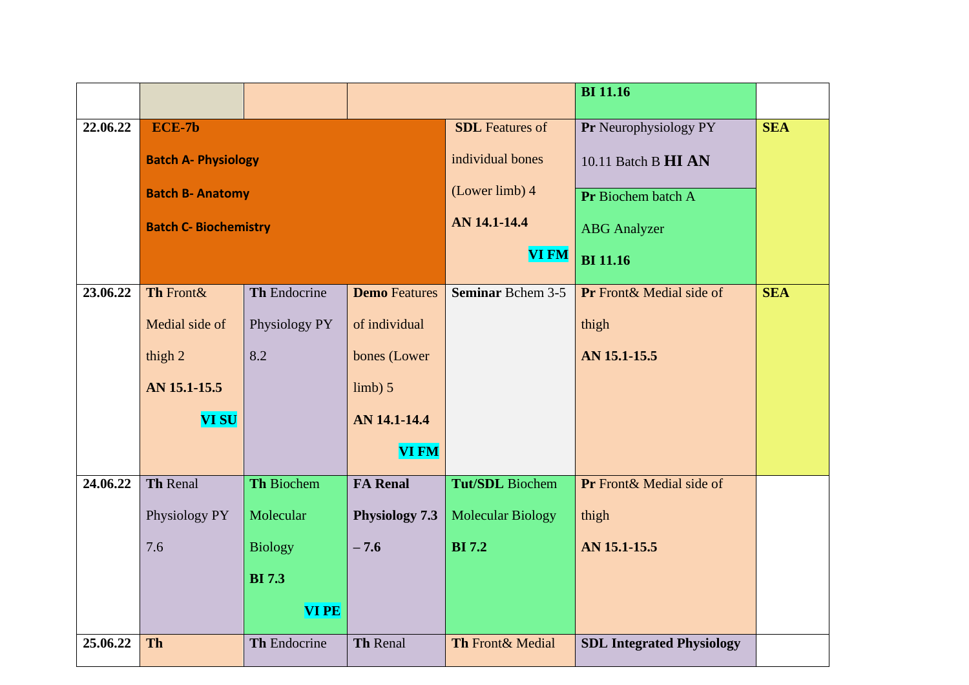|          |                              |                |                      |                          | <b>BI</b> 11.16                  |            |
|----------|------------------------------|----------------|----------------------|--------------------------|----------------------------------|------------|
| 22.06.22 | ECE-7b                       |                |                      | <b>SDL</b> Features of   | Pr Neurophysiology PY            | <b>SEA</b> |
|          | <b>Batch A- Physiology</b>   |                |                      | individual bones         | 10.11 Batch B HI AN              |            |
|          | <b>Batch B- Anatomy</b>      |                |                      | (Lower limb) 4           | Pr Biochem batch A               |            |
|          | <b>Batch C- Biochemistry</b> |                |                      | AN 14.1-14.4             | <b>ABG</b> Analyzer              |            |
|          |                              |                |                      | <b>VI FM</b>             | <b>BI</b> 11.16                  |            |
| 23.06.22 | Th Front&                    | Th Endocrine   | <b>Demo</b> Features | <b>Seminar Bchem 3-5</b> | Pr Front & Medial side of        | <b>SEA</b> |
|          | Medial side of               | Physiology PY  | of individual        |                          | thigh                            |            |
|          | thigh 2                      | 8.2            | bones (Lower         |                          | AN 15.1-15.5                     |            |
|          | AN 15.1-15.5                 |                | limb) 5              |                          |                                  |            |
|          | <b>VI SU</b>                 |                | AN 14.1-14.4         |                          |                                  |            |
|          |                              |                | <b>VI FM</b>         |                          |                                  |            |
| 24.06.22 | <b>Th Renal</b>              | Th Biochem     | <b>FA Renal</b>      | <b>Tut/SDL</b> Biochem   | Pr Front & Medial side of        |            |
|          | Physiology PY                | Molecular      | Physiology 7.3       | <b>Molecular Biology</b> | thigh                            |            |
|          | 7.6                          | <b>Biology</b> | $-7.6$               | <b>BI</b> 7.2            | AN 15.1-15.5                     |            |
|          |                              | <b>BI</b> 7.3  |                      |                          |                                  |            |
|          |                              | <b>VIPE</b>    |                      |                          |                                  |            |
| 25.06.22 | <b>Th</b>                    | Th Endocrine   | <b>Th Renal</b>      | Th Front& Medial         | <b>SDL Integrated Physiology</b> |            |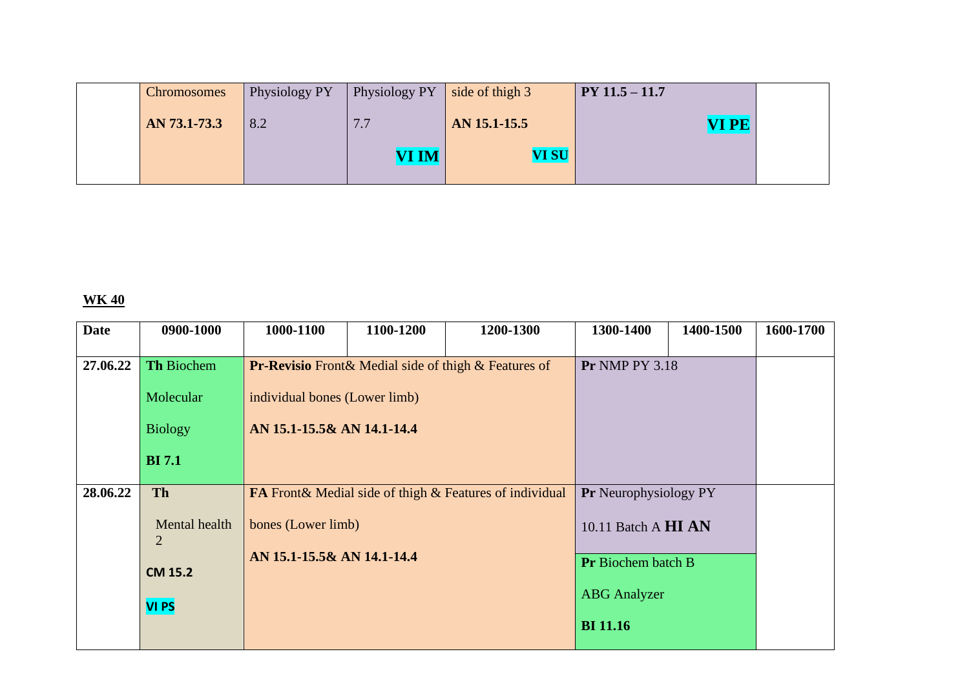| <b>Chromosomes</b> | Physiology PY | <b>Physiology PY</b> | $\vert$ side of thigh 3 | $PY 11.5 - 11.7$ |  |
|--------------------|---------------|----------------------|-------------------------|------------------|--|
| AN 73.1-73.3       | 8.2           | 7.7                  | AN 15.1-15.5            | VI PE            |  |
|                    |               | <b>VI IM</b>         | <b>VI SU</b>            |                  |  |
|                    |               |                      |                         |                  |  |

| <b>Date</b> | 0900-1000                       | 1000-1100                     | 1100-1200                  | 1200-1300                                                      | 1300-1400                    | 1400-1500                 | 1600-1700 |
|-------------|---------------------------------|-------------------------------|----------------------------|----------------------------------------------------------------|------------------------------|---------------------------|-----------|
|             |                                 |                               |                            |                                                                |                              |                           |           |
| 27.06.22    | <b>Th Biochem</b>               |                               |                            | <b>Pr-Revisio</b> Front & Medial side of thigh & Features of   | <b>Pr NMP PY 3.18</b>        |                           |           |
|             | Molecular                       | individual bones (Lower limb) |                            |                                                                |                              |                           |           |
|             | <b>Biology</b>                  | AN 15.1-15.5& AN 14.1-14.4    |                            |                                                                |                              |                           |           |
|             | <b>BI</b> 7.1                   |                               |                            |                                                                |                              |                           |           |
| 28.06.22    | Th                              |                               |                            | <b>FA</b> Front& Medial side of thigh & Features of individual | <b>Pr</b> Neurophysiology PY |                           |           |
|             | Mental health<br>$\overline{2}$ | bones (Lower limb)            |                            |                                                                | 10.11 Batch A HI AN          |                           |           |
|             | <b>CM 15.2</b>                  |                               | AN 15.1-15.5& AN 14.1-14.4 |                                                                |                              | <b>Pr</b> Biochem batch B |           |
|             | VI <sub>PS</sub>                |                               |                            |                                                                | <b>ABG</b> Analyzer          |                           |           |
|             |                                 |                               |                            |                                                                | <b>BI</b> 11.16              |                           |           |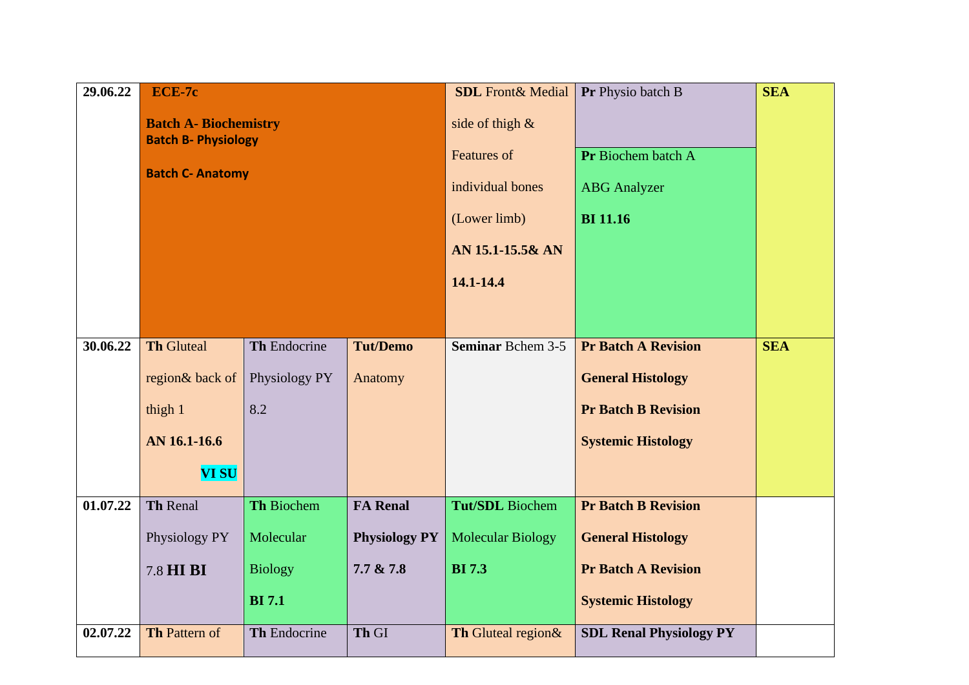| 29.06.22 | ECE-7c                       |               |                      | <b>SDL</b> Front& Medial | Pr Physio batch B              | <b>SEA</b> |
|----------|------------------------------|---------------|----------------------|--------------------------|--------------------------------|------------|
|          | <b>Batch A- Biochemistry</b> |               |                      | side of thigh $\&$       |                                |            |
|          | <b>Batch B- Physiology</b>   |               |                      | <b>Features of</b>       | Pr Biochem batch A             |            |
|          | <b>Batch C- Anatomy</b>      |               |                      | individual bones         | <b>ABG</b> Analyzer            |            |
|          |                              |               |                      |                          |                                |            |
|          |                              |               |                      | (Lower limb)             | <b>BI</b> 11.16                |            |
|          |                              |               |                      | AN 15.1-15.5& AN         |                                |            |
|          |                              |               |                      | 14.1-14.4                |                                |            |
|          |                              |               |                      |                          |                                |            |
| 30.06.22 | <b>Th Gluteal</b>            | Th Endocrine  | <b>Tut/Demo</b>      | <b>Seminar Bchem 3-5</b> | <b>Pr Batch A Revision</b>     | <b>SEA</b> |
|          | region& back of              | Physiology PY | Anatomy              |                          | <b>General Histology</b>       |            |
|          |                              |               |                      |                          |                                |            |
|          | thigh 1                      | 8.2           |                      |                          | <b>Pr Batch B Revision</b>     |            |
|          | AN 16.1-16.6                 |               |                      |                          | <b>Systemic Histology</b>      |            |
|          | <b>VI SU</b>                 |               |                      |                          |                                |            |
| 01.07.22 | Th Renal                     | Th Biochem    | <b>FA Renal</b>      | <b>Tut/SDL</b> Biochem   | <b>Pr Batch B Revision</b>     |            |
|          | Physiology PY                | Molecular     | <b>Physiology PY</b> | <b>Molecular Biology</b> | <b>General Histology</b>       |            |
|          | 7.8 HI BI<br><b>Biology</b>  |               | 7.7 & 7.8            | <b>BI</b> 7.3            | <b>Pr Batch A Revision</b>     |            |
|          | <b>BI</b> 7.1                |               |                      |                          | <b>Systemic Histology</b>      |            |
|          |                              |               |                      |                          |                                |            |
| 02.07.22 | <b>Th Pattern of</b>         | Th Endocrine  | Th GI                | Th Gluteal region&       | <b>SDL Renal Physiology PY</b> |            |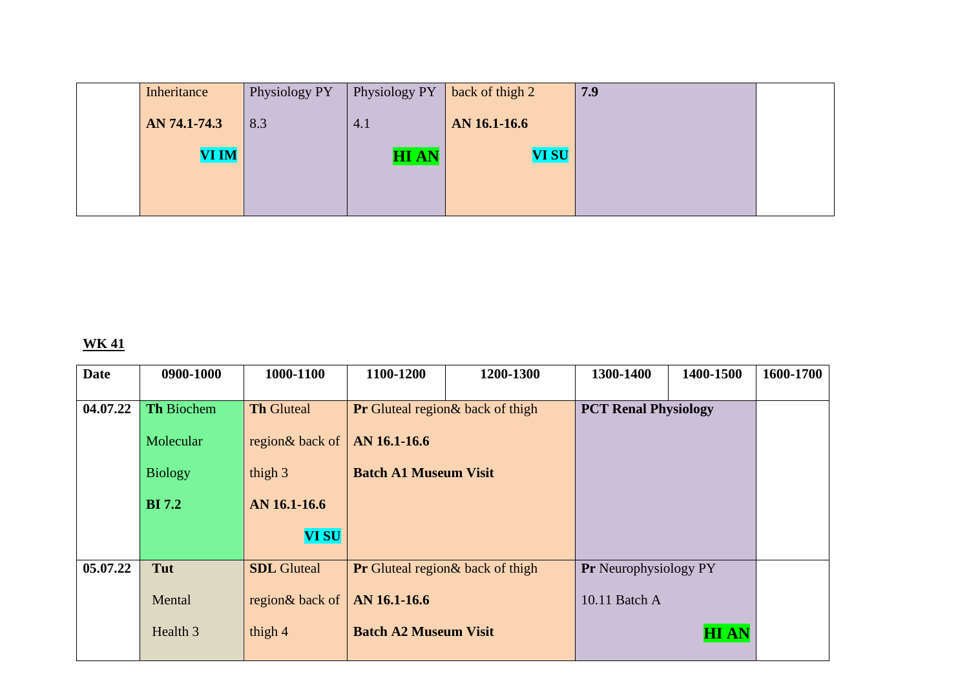| Inheritance  | Physiology PY | Physiology PY | back of thigh 2 | 7.9 |  |
|--------------|---------------|---------------|-----------------|-----|--|
| AN 74.1-74.3 | 8.3           | 4.1           | AN 16.1-16.6    |     |  |
| <b>VI IM</b> |               | <b>HIAN</b>   | <b>VI SU</b>    |     |  |
|              |               |               |                 |     |  |
|              |               |               |                 |     |  |

| <b>Date</b> | 0900-1000         | 1000-1100          | 1100-1200                                | 1200-1300                                | 1300-1400                    | 1400-1500   | 1600-1700 |
|-------------|-------------------|--------------------|------------------------------------------|------------------------------------------|------------------------------|-------------|-----------|
|             |                   |                    |                                          |                                          |                              |             |           |
| 04.07.22    | <b>Th Biochem</b> | <b>Th Gluteal</b>  | <b>Pr</b> Gluteal region & back of thigh |                                          | <b>PCT Renal Physiology</b>  |             |           |
|             | Molecular         | region& back of    | AN 16.1-16.6                             |                                          |                              |             |           |
|             | <b>Biology</b>    | thigh 3            |                                          | <b>Batch A1 Museum Visit</b>             |                              |             |           |
|             | <b>BI</b> 7.2     | AN 16.1-16.6       |                                          |                                          |                              |             |           |
|             |                   | <b>VI SU</b>       |                                          |                                          |                              |             |           |
| 05.07.22    | Tut               | <b>SDL</b> Gluteal |                                          | <b>Pr</b> Gluteal region & back of thigh | <b>Pr</b> Neurophysiology PY |             |           |
|             | Mental            | region& back of    | AN 16.1-16.6                             |                                          | 10.11 Batch A                |             |           |
|             | Health 3          | thigh 4            | <b>Batch A2 Museum Visit</b>             |                                          |                              | <b>HIAN</b> |           |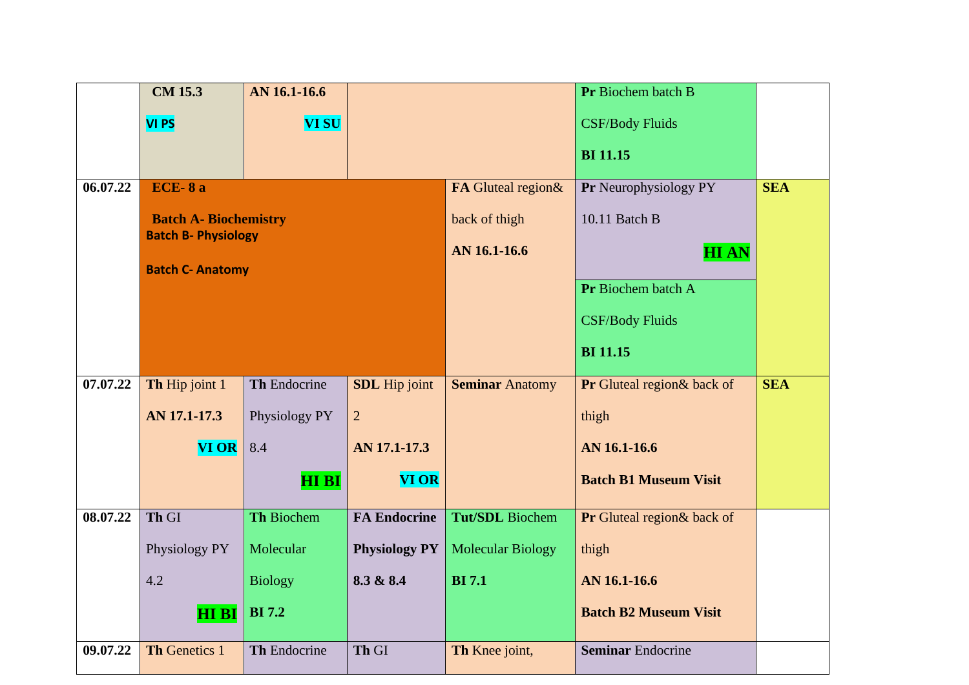|          | <b>CM 15.3</b>             | AN 16.1-16.6                 |                      |                          | Pr Biochem batch B           |            |
|----------|----------------------------|------------------------------|----------------------|--------------------------|------------------------------|------------|
|          | <b>VI PS</b>               | <b>VI SU</b>                 |                      |                          | <b>CSF/Body Fluids</b>       |            |
|          |                            |                              |                      |                          | <b>BI</b> 11.15              |            |
| 06.07.22 | <b>ECE-8a</b>              |                              |                      | FA Gluteal region&       | Pr Neurophysiology PY        | <b>SEA</b> |
|          |                            | <b>Batch A- Biochemistry</b> |                      |                          | 10.11 Batch B                |            |
|          | <b>Batch B- Physiology</b> |                              |                      | AN 16.1-16.6             | <b>HIAN</b>                  |            |
|          | <b>Batch C- Anatomy</b>    |                              |                      | Pr Biochem batch A       |                              |            |
|          |                            |                              |                      |                          |                              |            |
|          |                            |                              |                      |                          | <b>CSF/Body Fluids</b>       |            |
|          |                            |                              |                      |                          | <b>BI</b> 11.15              |            |
| 07.07.22 | Th Hip joint 1             | Th Endocrine                 | <b>SDL</b> Hip joint | <b>Seminar Anatomy</b>   | Pr Gluteal region & back of  | <b>SEA</b> |
|          | AN 17.1-17.3               | Physiology PY                | $\overline{2}$       |                          | thigh                        |            |
|          | <b>VI OR</b>               | 8.4                          | AN 17.1-17.3         |                          | AN 16.1-16.6                 |            |
|          |                            | <b>HIBI</b>                  | <b>VI OR</b>         |                          | <b>Batch B1 Museum Visit</b> |            |
| 08.07.22 | Th GI                      | <b>Th Biochem</b>            | <b>FA Endocrine</b>  | <b>Tut/SDL</b> Biochem   | Pr Gluteal region& back of   |            |
|          | Physiology PY              | Molecular                    | <b>Physiology PY</b> | <b>Molecular Biology</b> | thigh                        |            |
|          | 4.2                        | <b>Biology</b>               | 8.3 & 8.4            | <b>BI</b> 7.1            | AN 16.1-16.6                 |            |
|          | <b>HI BI</b>               | <b>BI</b> 7.2                |                      |                          | <b>Batch B2 Museum Visit</b> |            |
| 09.07.22 | <b>Th Genetics 1</b>       | Th Endocrine                 | Th GI                | Th Knee joint,           | <b>Seminar Endocrine</b>     |            |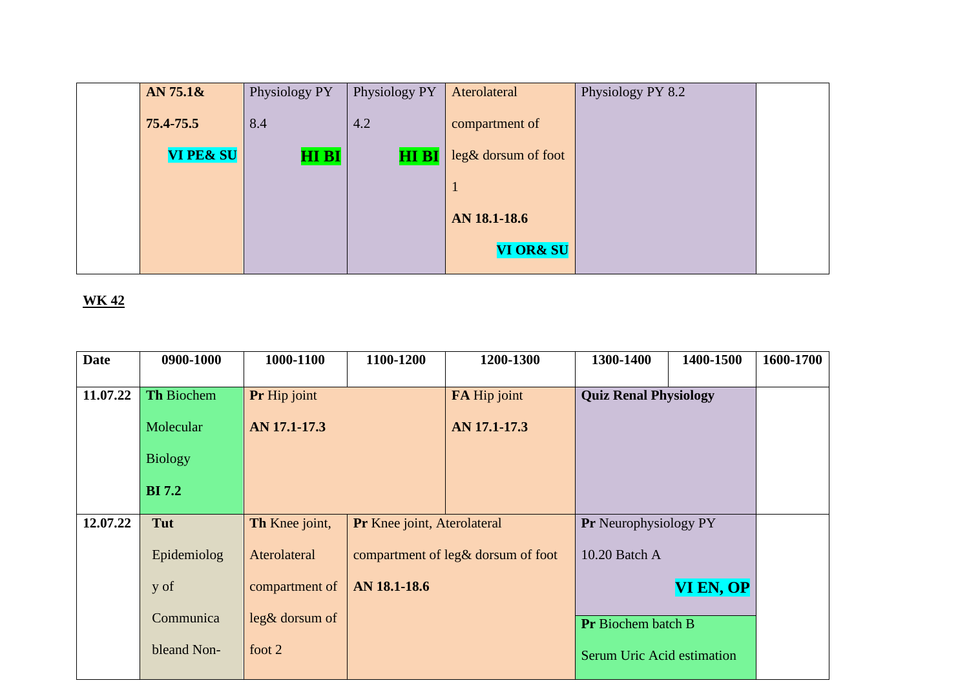| AN 75.18             | Physiology PY | Physiology PY | Aterolateral         | Physiology PY 8.2 |  |
|----------------------|---------------|---------------|----------------------|-------------------|--|
| 75.4-75.5            | 8.4           | 4.2           | compartment of       |                   |  |
| <b>VI PE&amp; SU</b> | <b>HI BI</b>  | <b>HIBI</b>   | leg& dorsum of foot  |                   |  |
|                      |               |               |                      |                   |  |
|                      |               |               | AN 18.1-18.6         |                   |  |
|                      |               |               | <b>VI OR&amp; SU</b> |                   |  |

| <b>Date</b> | 0900-1000         | 1000-1100                                     | 1100-1200    | 1200-1300                          | 1300-1400                    | 1400-1500 | 1600-1700 |
|-------------|-------------------|-----------------------------------------------|--------------|------------------------------------|------------------------------|-----------|-----------|
| 11.07.22    | <b>Th Biochem</b> | Pr Hip joint                                  |              | FA Hip joint                       | <b>Quiz Renal Physiology</b> |           |           |
|             | Molecular         | AN 17.1-17.3                                  |              | AN 17.1-17.3                       |                              |           |           |
|             | <b>Biology</b>    |                                               |              |                                    |                              |           |           |
|             | <b>BI</b> 7.2     |                                               |              |                                    |                              |           |           |
| 12.07.22    | Tut               | Th Knee joint,<br>Pr Knee joint, Aterolateral |              |                                    | Pr Neurophysiology PY        |           |           |
|             | Epidemiolog       | Aterolateral                                  |              | compartment of leg& dorsum of foot |                              |           |           |
|             | y of              | compartment of                                | AN 18.1-18.6 |                                    |                              | VI EN, OP |           |
|             | Communica         | $leg&\text{dorsum of}$                        |              |                                    | <b>Pr</b> Biochem batch B    |           |           |
|             | bleand Non-       | foot 2                                        |              |                                    | Serum Uric Acid estimation   |           |           |
|             |                   |                                               |              |                                    |                              |           |           |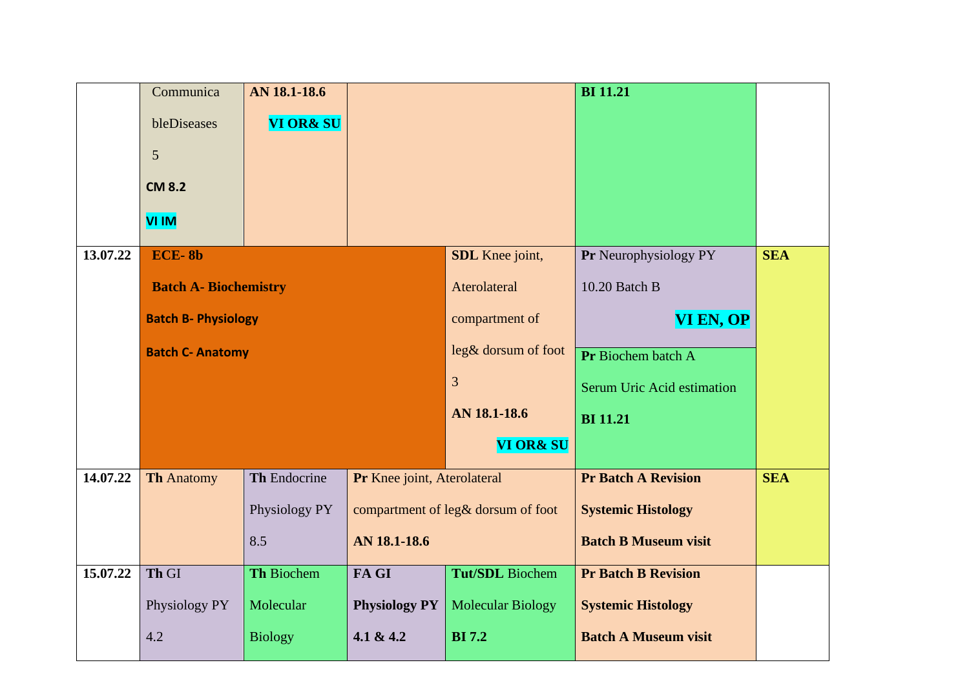|          | Communica                    | AN 18.1-18.6         |                             |                                    | <b>BI</b> 11.21             |            |
|----------|------------------------------|----------------------|-----------------------------|------------------------------------|-----------------------------|------------|
|          | bleDiseases                  | <b>VI OR&amp; SU</b> |                             |                                    |                             |            |
|          | 5                            |                      |                             |                                    |                             |            |
|          | <b>CM 8.2</b>                |                      |                             |                                    |                             |            |
|          |                              |                      |                             |                                    |                             |            |
|          | VI IM                        |                      |                             |                                    |                             |            |
| 13.07.22 | <b>ECE-8b</b>                |                      |                             | SDL Knee joint,                    | Pr Neurophysiology PY       | <b>SEA</b> |
|          | <b>Batch A- Biochemistry</b> |                      |                             | Aterolateral                       | 10.20 Batch B               |            |
|          | <b>Batch B- Physiology</b>   |                      |                             | compartment of                     | VI EN, OP                   |            |
|          | <b>Batch C- Anatomy</b>      |                      |                             | leg& dorsum of foot                | Pr Biochem batch A          |            |
|          |                              |                      |                             | 3                                  | Serum Uric Acid estimation  |            |
|          |                              |                      |                             | AN 18.1-18.6                       | <b>BI</b> 11.21             |            |
|          |                              |                      |                             | <b>VI OR&amp; SU</b>               |                             |            |
| 14.07.22 | <b>Th Anatomy</b>            | Th Endocrine         | Pr Knee joint, Aterolateral |                                    | <b>Pr Batch A Revision</b>  | <b>SEA</b> |
|          |                              | Physiology PY        |                             | compartment of leg& dorsum of foot | <b>Systemic Histology</b>   |            |
|          |                              | 8.5                  | AN 18.1-18.6                |                                    | <b>Batch B Museum visit</b> |            |
| 15.07.22 | Th GI                        | Th Biochem           | FA GI                       | <b>Tut/SDL</b> Biochem             | <b>Pr Batch B Revision</b>  |            |
|          | Physiology PY                | Molecular            | <b>Physiology PY</b>        | <b>Molecular Biology</b>           | <b>Systemic Histology</b>   |            |
|          | 4.2                          | <b>Biology</b>       | 4.1 & 4.2                   | <b>BI</b> 7.2                      | <b>Batch A Museum visit</b> |            |
|          |                              |                      |                             |                                    |                             |            |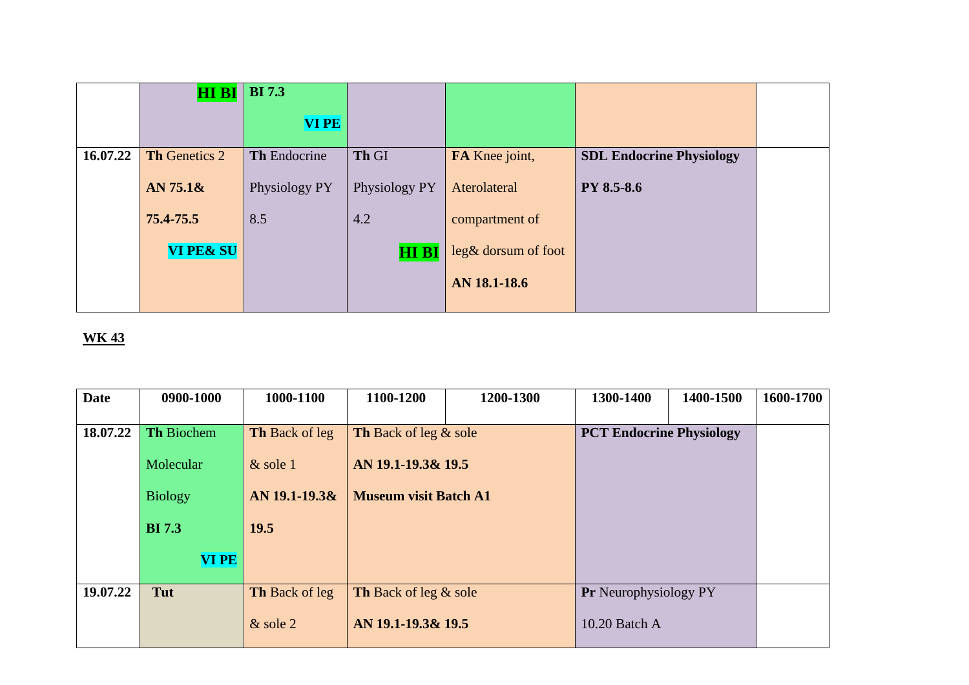|          | <b>HI BI</b>         | <b>BI</b> 7.3 |               |                     |                                 |  |
|----------|----------------------|---------------|---------------|---------------------|---------------------------------|--|
|          |                      | <b>VIPE</b>   |               |                     |                                 |  |
| 16.07.22 | Th Genetics 2        | Th Endocrine  | Th GI         | FA Knee joint,      | <b>SDL Endocrine Physiology</b> |  |
|          | AN $75.18$           | Physiology PY | Physiology PY | Aterolateral        | <b>PY 8.5-8.6</b>               |  |
|          | 75.4-75.5            | 8.5           | 4.2           | compartment of      |                                 |  |
|          | <b>VI PE&amp; SU</b> |               | <b>HI BI</b>  | leg& dorsum of foot |                                 |  |
|          |                      |               |               | AN 18.1-18.6        |                                 |  |
|          |                      |               |               |                     |                                 |  |

| <b>Date</b> | 0900-1000         | 1000-1100             | 1100-1200                    | 1200-1300 | 1300-1400                       | 1400-1500 | 1600-1700 |
|-------------|-------------------|-----------------------|------------------------------|-----------|---------------------------------|-----------|-----------|
|             |                   |                       |                              |           |                                 |           |           |
| 18.07.22    | <b>Th Biochem</b> | <b>Th Back of leg</b> | <b>Th</b> Back of leg & sole |           | <b>PCT Endocrine Physiology</b> |           |           |
|             | Molecular         | $&$ sole 1            | AN 19.1-19.3& 19.5           |           |                                 |           |           |
|             | <b>Biology</b>    | AN 19.1-19.3&         | <b>Museum visit Batch A1</b> |           |                                 |           |           |
|             | <b>BI</b> 7.3     | 19.5                  |                              |           |                                 |           |           |
|             | <b>VI PE</b>      |                       |                              |           |                                 |           |           |
| 19.07.22    | Tut               | <b>Th Back of leg</b> | <b>Th</b> Back of leg & sole |           | <b>Pr</b> Neurophysiology PY    |           |           |
|             |                   | $&$ sole 2            | AN 19.1-19.3& 19.5           |           | 10.20 Batch A                   |           |           |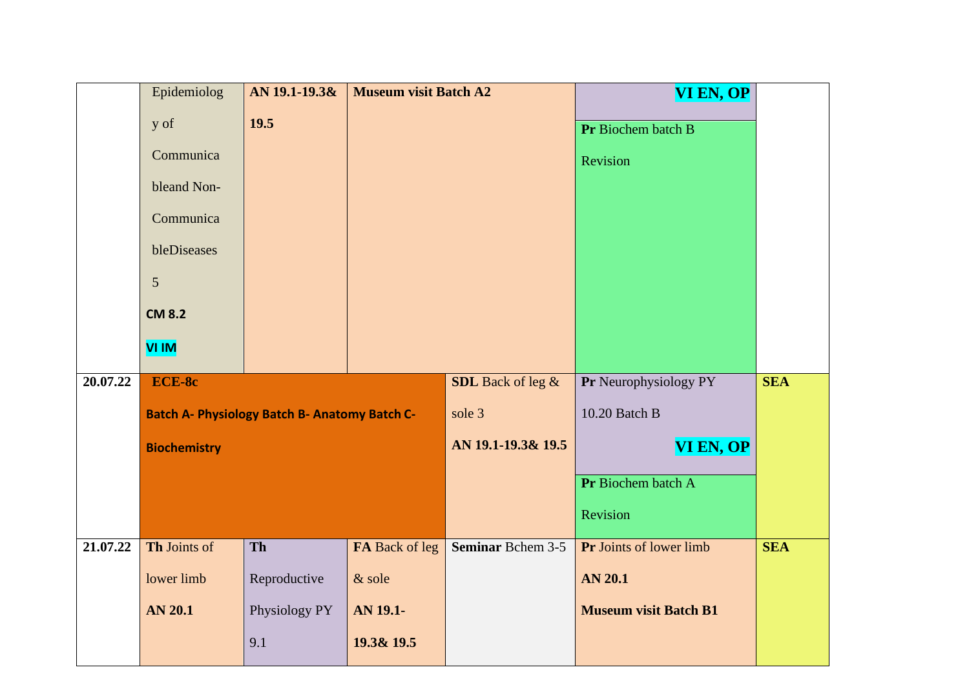|          | Epidemiolog         | AN 19.1-19.3&                                        | <b>Museum visit Batch A2</b> |                    | VI EN, OP                    |            |
|----------|---------------------|------------------------------------------------------|------------------------------|--------------------|------------------------------|------------|
|          | y of                | 19.5                                                 |                              |                    | Pr Biochem batch B           |            |
|          | Communica           |                                                      |                              |                    | Revision                     |            |
|          | bleand Non-         |                                                      |                              |                    |                              |            |
|          |                     |                                                      |                              |                    |                              |            |
|          | Communica           |                                                      |                              |                    |                              |            |
|          | bleDiseases         |                                                      |                              |                    |                              |            |
|          | $\mathfrak{S}$      |                                                      |                              |                    |                              |            |
|          | <b>CM 8.2</b>       |                                                      |                              |                    |                              |            |
|          | <b>VI IM</b>        |                                                      |                              |                    |                              |            |
|          |                     |                                                      |                              |                    |                              |            |
| 20.07.22 | ECE-8c              |                                                      |                              | SDL Back of leg &  | Pr Neurophysiology PY        | <b>SEA</b> |
|          |                     | <b>Batch A- Physiology Batch B- Anatomy Batch C-</b> |                              | sole 3             | 10.20 Batch B                |            |
|          | <b>Biochemistry</b> |                                                      |                              | AN 19.1-19.3& 19.5 | <b>VI EN, OP</b>             |            |
|          |                     |                                                      |                              |                    | Pr Biochem batch A           |            |
|          |                     |                                                      |                              |                    |                              |            |
|          |                     |                                                      |                              |                    | Revision                     |            |
| 21,07.22 | Th Joints of        | Th                                                   | FA Back of leg               | Seminar Bchem 3-5  | Pr Joints of lower limb      | <b>SEA</b> |
|          | lower limb          | Reproductive                                         | & sole                       |                    | <b>AN 20.1</b>               |            |
|          | <b>AN 20.1</b>      | Physiology PY                                        | AN 19.1-                     |                    | <b>Museum visit Batch B1</b> |            |
|          |                     | 9.1                                                  | 19.3& 19.5                   |                    |                              |            |
|          |                     |                                                      |                              |                    |                              |            |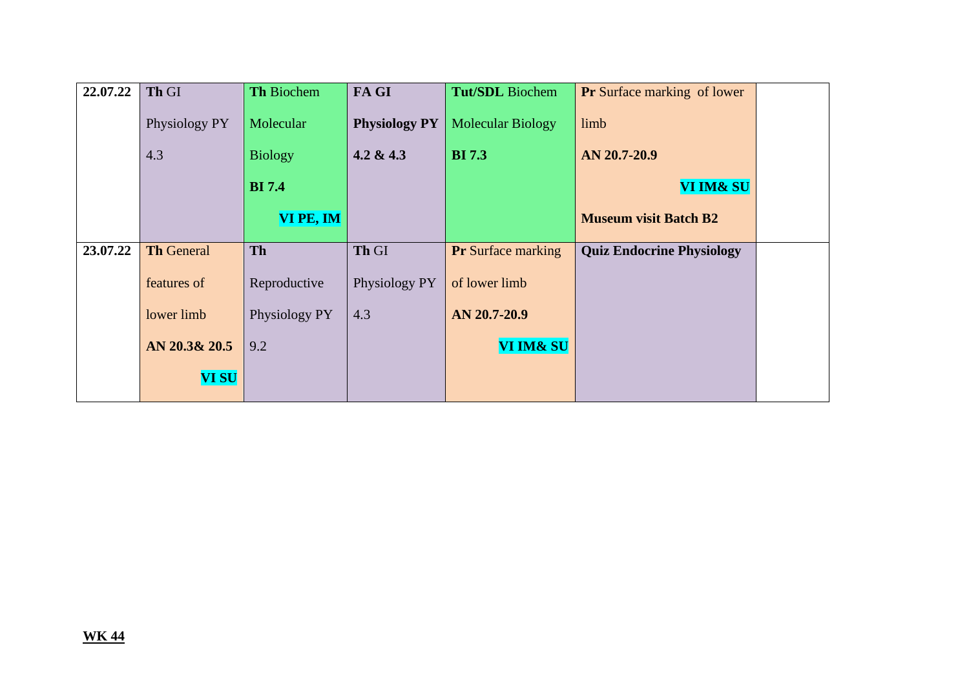| 22.07.22 | Th GI             | <b>Th Biochem</b> | FA GI                | <b>Tut/SDL</b> Biochem    | <b>Pr</b> Surface marking of lower |  |
|----------|-------------------|-------------------|----------------------|---------------------------|------------------------------------|--|
|          | Physiology PY     | Molecular         | <b>Physiology PY</b> | <b>Molecular Biology</b>  | limb                               |  |
|          | 4.3               | <b>Biology</b>    | 4.2 & 4.3            | <b>BI</b> 7.3             | AN 20.7-20.9                       |  |
|          |                   | <b>BI</b> 7.4     |                      |                           | VI IM& SU                          |  |
|          |                   | VI PE, IM         |                      |                           | <b>Museum visit Batch B2</b>       |  |
| 23.07.22 | <b>Th General</b> | <b>Th</b>         | Th GI                | <b>Pr</b> Surface marking | <b>Quiz Endocrine Physiology</b>   |  |
|          | features of       | Reproductive      | Physiology PY        | of lower limb             |                                    |  |
|          | lower limb        | Physiology PY     | 4.3                  | AN 20.7-20.9              |                                    |  |
|          | AN 20.3& 20.5     | 9.2               |                      | VI IM& SU                 |                                    |  |
|          | <b>VI SU</b>      |                   |                      |                           |                                    |  |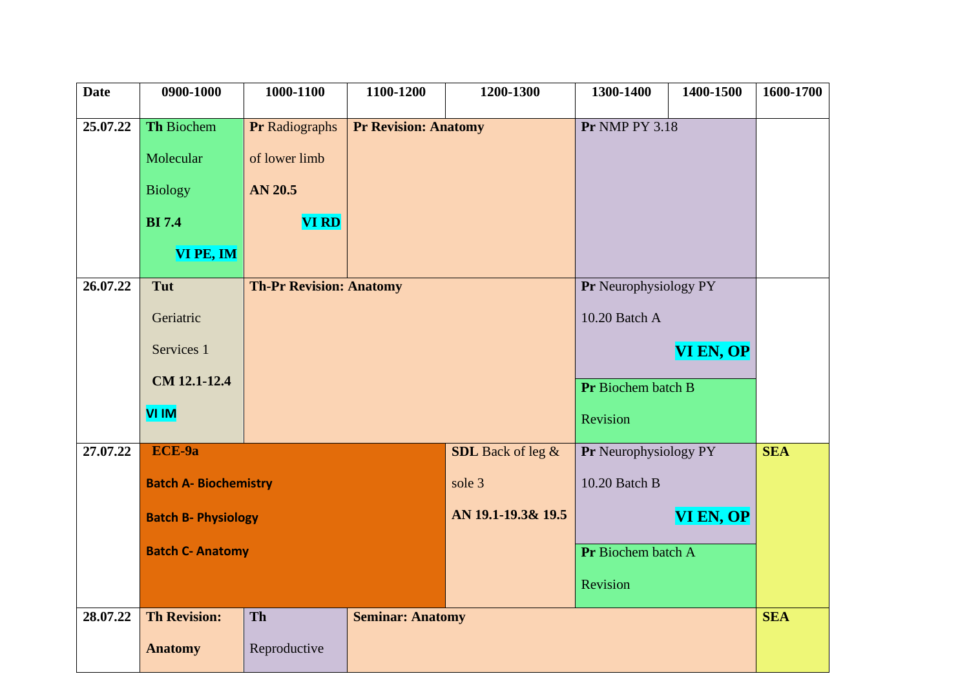| <b>Date</b> | 0900-1000                    | 1000-1100             | 1100-1200                      | 1200-1300                | 1300-1400             | 1400-1500             | 1600-1700  |
|-------------|------------------------------|-----------------------|--------------------------------|--------------------------|-----------------------|-----------------------|------------|
| 25.07.22    | Th Biochem                   | <b>Pr Radiographs</b> | <b>Pr Revision: Anatomy</b>    |                          | <b>Pr NMP PY 3.18</b> |                       |            |
|             | Molecular                    | of lower limb         |                                |                          |                       |                       |            |
|             | <b>Biology</b>               | <b>AN 20.5</b>        |                                |                          |                       |                       |            |
|             | <b>BI</b> 7.4                | <b>VI RD</b>          |                                |                          |                       |                       |            |
|             | VI PE, IM                    |                       |                                |                          |                       |                       |            |
| 26.07.22    | Tut                          |                       | <b>Th-Pr Revision: Anatomy</b> |                          |                       | Pr Neurophysiology PY |            |
|             | Geriatric                    |                       |                                |                          |                       |                       |            |
|             | Services 1                   |                       |                                |                          |                       | VI EN, OP             |            |
|             | CM 12.1-12.4                 |                       |                                |                          |                       | Pr Biochem batch B    |            |
|             | <b>VI IM</b>                 |                       |                                |                          | Revision              |                       |            |
| 27.07.22    | ECE-9a                       |                       |                                | <b>SDL</b> Back of leg & | Pr Neurophysiology PY |                       | <b>SEA</b> |
|             | <b>Batch A- Biochemistry</b> |                       |                                | sole 3                   | 10.20 Batch B         |                       |            |
|             | <b>Batch B- Physiology</b>   |                       |                                | AN 19.1-19.3& 19.5       |                       | VI EN, OP             |            |
|             | <b>Batch C- Anatomy</b>      |                       |                                |                          | Pr Biochem batch A    |                       |            |
|             |                              |                       |                                |                          | Revision              |                       |            |
| 28.07.22    | <b>Th Revision:</b>          | Th                    | <b>Seminar: Anatomy</b>        |                          |                       |                       | <b>SEA</b> |
|             | <b>Anatomy</b>               | Reproductive          |                                |                          |                       |                       |            |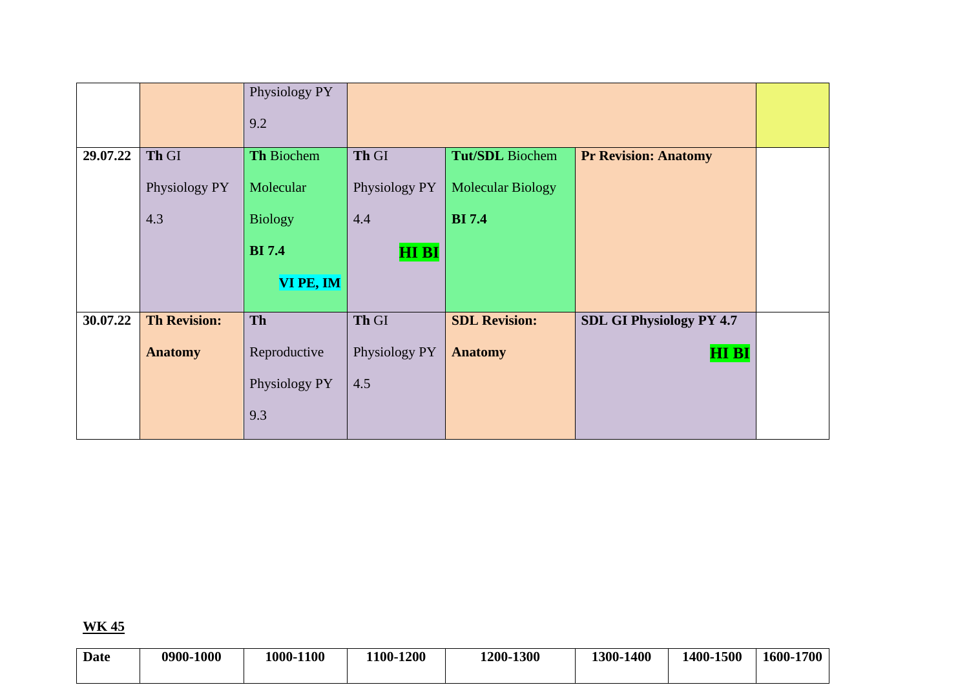|          |                     | Physiology PY  |               |                          |                                 |  |
|----------|---------------------|----------------|---------------|--------------------------|---------------------------------|--|
|          |                     | 9.2            |               |                          |                                 |  |
| 29.07.22 | Th GI               | Th Biochem     | Th GI         | <b>Tut/SDL</b> Biochem   | <b>Pr Revision: Anatomy</b>     |  |
|          | Physiology PY       | Molecular      | Physiology PY | <b>Molecular Biology</b> |                                 |  |
|          | 4.3                 | <b>Biology</b> | 4.4           | <b>BI</b> 7.4            |                                 |  |
|          |                     | <b>BI</b> 7.4  | <b>HI BI</b>  |                          |                                 |  |
|          |                     | VI PE, IM      |               |                          |                                 |  |
| 30.07.22 | <b>Th Revision:</b> | Th             | Th GI         | <b>SDL Revision:</b>     | <b>SDL GI Physiology PY 4.7</b> |  |
|          | <b>Anatomy</b>      | Reproductive   | Physiology PY | <b>Anatomy</b>           | <b>HIBI</b>                     |  |
|          |                     | Physiology PY  | 4.5           |                          |                                 |  |
|          |                     | 9.3            |               |                          |                                 |  |

| <b>Date</b> | 0900-1000 | 1000-1100 | 1100-1200 | 1200-1300 | 1300-1400 | 1400-1500 | 1600-1700 |
|-------------|-----------|-----------|-----------|-----------|-----------|-----------|-----------|
|             |           |           |           |           |           |           |           |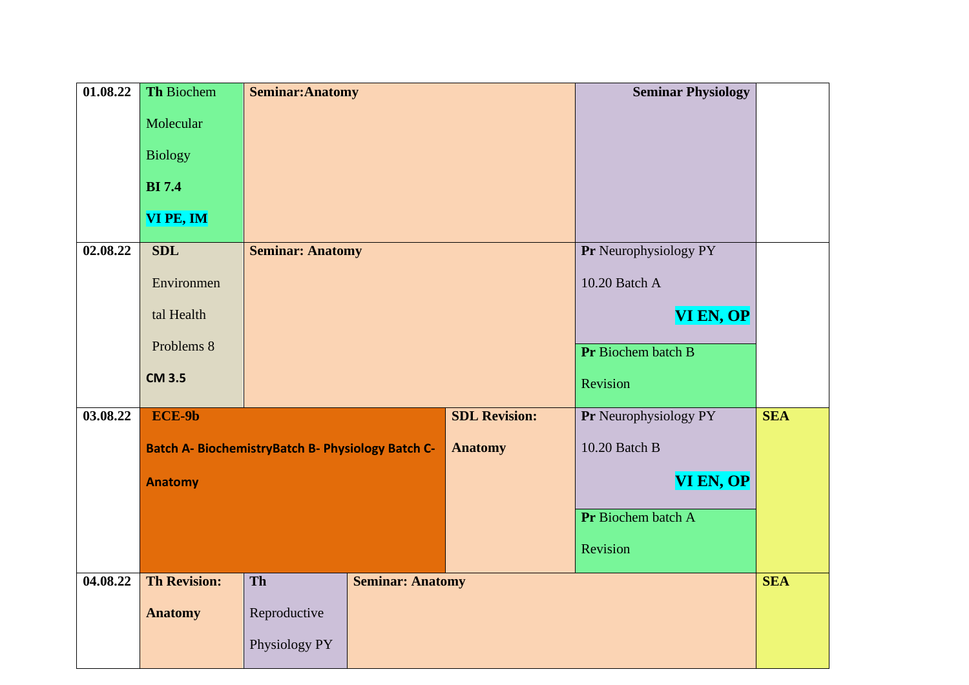| 01.08.22 | <b>Th Biochem</b>   | <b>Seminar: Anatomy</b>                                  |                         |                      | <b>Seminar Physiology</b> |            |
|----------|---------------------|----------------------------------------------------------|-------------------------|----------------------|---------------------------|------------|
|          | Molecular           |                                                          |                         |                      |                           |            |
|          | <b>Biology</b>      |                                                          |                         |                      |                           |            |
|          |                     |                                                          |                         |                      |                           |            |
|          | <b>BI</b> 7.4       |                                                          |                         |                      |                           |            |
|          | VI PE, IM           |                                                          |                         |                      |                           |            |
| 02.08.22 | <b>SDL</b>          | <b>Seminar: Anatomy</b>                                  |                         |                      | Pr Neurophysiology PY     |            |
|          | Environmen          |                                                          |                         | 10.20 Batch A        |                           |            |
|          | tal Health          |                                                          |                         |                      | VI EN, OP                 |            |
|          |                     |                                                          |                         |                      |                           |            |
|          | Problems 8          |                                                          |                         |                      | Pr Biochem batch B        |            |
|          | <b>CM 3.5</b>       |                                                          |                         |                      | Revision                  |            |
| 03.08.22 | ECE-9b              |                                                          |                         | <b>SDL Revision:</b> | Pr Neurophysiology PY     | <b>SEA</b> |
|          |                     | <b>Batch A- BiochemistryBatch B- Physiology Batch C-</b> |                         | <b>Anatomy</b>       | 10.20 Batch B             |            |
|          |                     |                                                          |                         |                      |                           |            |
|          | <b>Anatomy</b>      |                                                          |                         |                      | VI EN, OP                 |            |
|          |                     |                                                          |                         |                      | Pr Biochem batch A        |            |
|          |                     |                                                          |                         |                      | Revision                  |            |
| 04.08.22 | <b>Th Revision:</b> | Th                                                       | <b>Seminar: Anatomy</b> |                      |                           | <b>SEA</b> |
|          | <b>Anatomy</b>      | Reproductive                                             |                         |                      |                           |            |
|          |                     | Physiology PY                                            |                         |                      |                           |            |
|          |                     |                                                          |                         |                      |                           |            |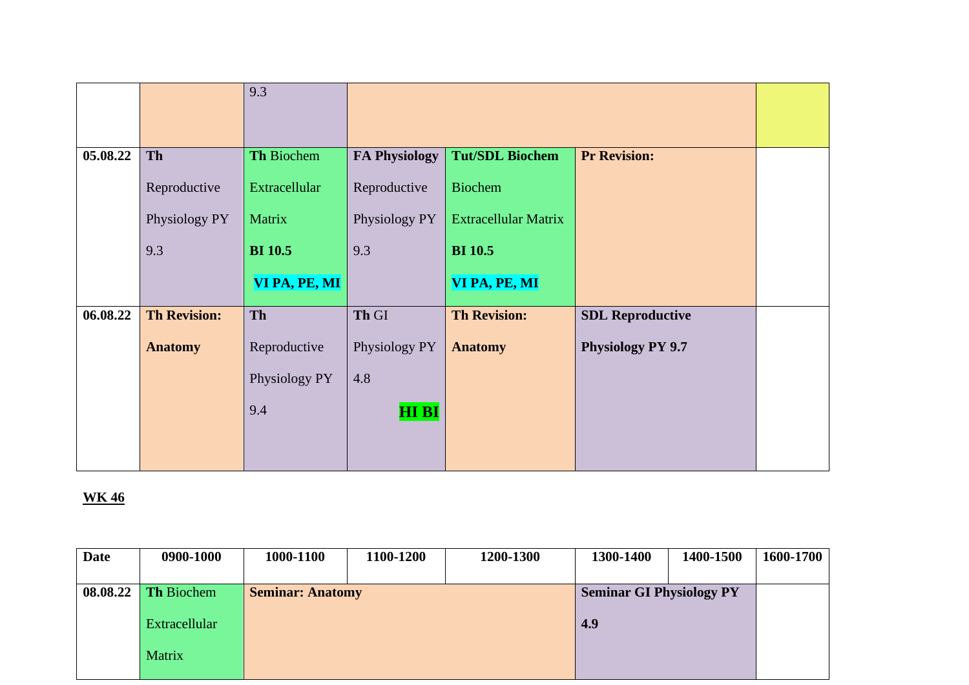|          |                     | 9.3            |                      |                        |                          |  |
|----------|---------------------|----------------|----------------------|------------------------|--------------------------|--|
|          |                     |                |                      |                        |                          |  |
|          |                     |                |                      |                        |                          |  |
| 05.08.22 | Th                  | Th Biochem     | <b>FA Physiology</b> | <b>Tut/SDL Biochem</b> | <b>Pr Revision:</b>      |  |
|          | Reproductive        | Extracellular  | Reproductive         | <b>Biochem</b>         |                          |  |
|          | Physiology PY       | Matrix         | Physiology PY        | Extracellular Matrix   |                          |  |
|          | 9.3                 | <b>BI</b> 10.5 | 9.3                  | <b>BI</b> 10.5         |                          |  |
|          |                     | VI PA, PE, MI  |                      | VI PA, PE, MI          |                          |  |
| 06.08.22 | <b>Th Revision:</b> | Th             | Th GI                | <b>Th Revision:</b>    | <b>SDL Reproductive</b>  |  |
|          | <b>Anatomy</b>      | Reproductive   | Physiology PY        | <b>Anatomy</b>         | <b>Physiology PY 9.7</b> |  |
|          |                     | Physiology PY  | 4.8                  |                        |                          |  |
|          |                     | 9.4            | <b>HIBI</b>          |                        |                          |  |
|          |                     |                |                      |                        |                          |  |
|          |                     |                |                      |                        |                          |  |

| <b>Date</b> | 0900-1000            | 1000-1100               | 1100-1200 | 1200-1300                       | 1300-1400 | 1400-1500 | 1600-1700 |
|-------------|----------------------|-------------------------|-----------|---------------------------------|-----------|-----------|-----------|
|             |                      |                         |           |                                 |           |           |           |
| 08.08.22    | Th Biochem           | <b>Seminar: Anatomy</b> |           | <b>Seminar GI Physiology PY</b> |           |           |           |
|             | <b>Extracellular</b> |                         |           |                                 | 4.9       |           |           |
|             | Matrix               |                         |           |                                 |           |           |           |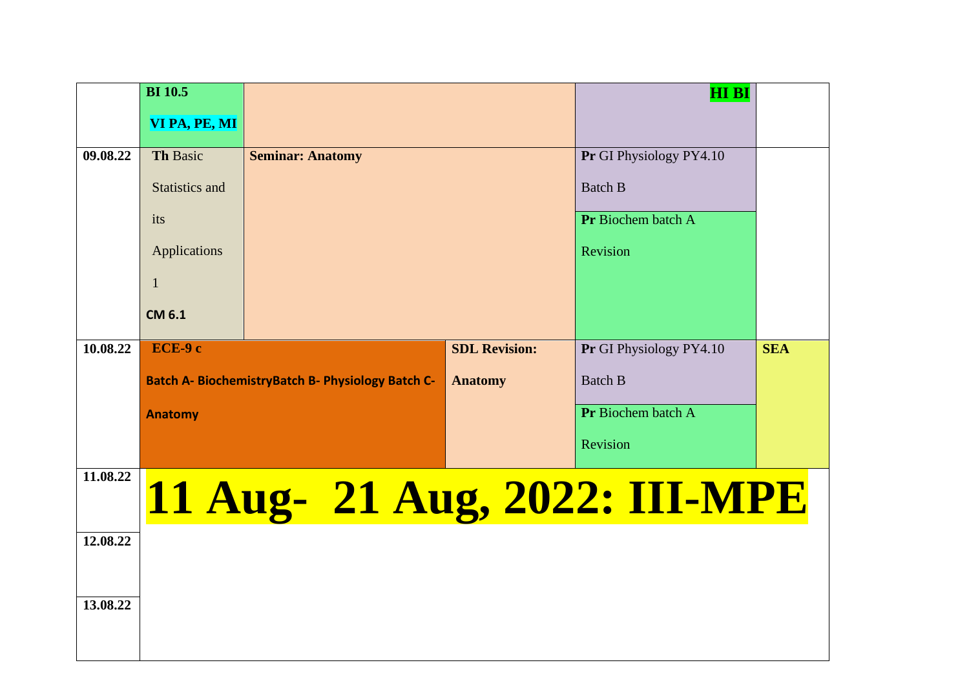|          | <b>BI</b> 10.5        |                                                          |                      | <b>HI BI</b>            |            |
|----------|-----------------------|----------------------------------------------------------|----------------------|-------------------------|------------|
|          | VI PA, PE, MI         |                                                          |                      |                         |            |
| 09.08.22 | Th Basic              | <b>Seminar: Anatomy</b>                                  |                      | Pr GI Physiology PY4.10 |            |
|          | <b>Statistics and</b> |                                                          | <b>Batch B</b>       |                         |            |
|          | its                   |                                                          | Pr Biochem batch A   |                         |            |
|          | Applications          |                                                          |                      | Revision                |            |
|          | $\mathbf{1}$          |                                                          |                      |                         |            |
|          | <b>CM 6.1</b>         |                                                          |                      |                         |            |
| 10.08.22 | ECE-9 c               |                                                          | <b>SDL Revision:</b> | Pr GI Physiology PY4.10 | <b>SEA</b> |
|          |                       | <b>Batch A- BiochemistryBatch B- Physiology Batch C-</b> | <b>Anatomy</b>       | <b>Batch B</b>          |            |
|          | <b>Anatomy</b>        |                                                          |                      | Pr Biochem batch A      |            |
|          |                       |                                                          |                      | Revision                |            |
| 11.08.22 |                       | 11 Aug- 21 Aug, 2022: III-MPE                            |                      |                         |            |
| 12.08.22 |                       |                                                          |                      |                         |            |
|          |                       |                                                          |                      |                         |            |
| 13.08.22 |                       |                                                          |                      |                         |            |
|          |                       |                                                          |                      |                         |            |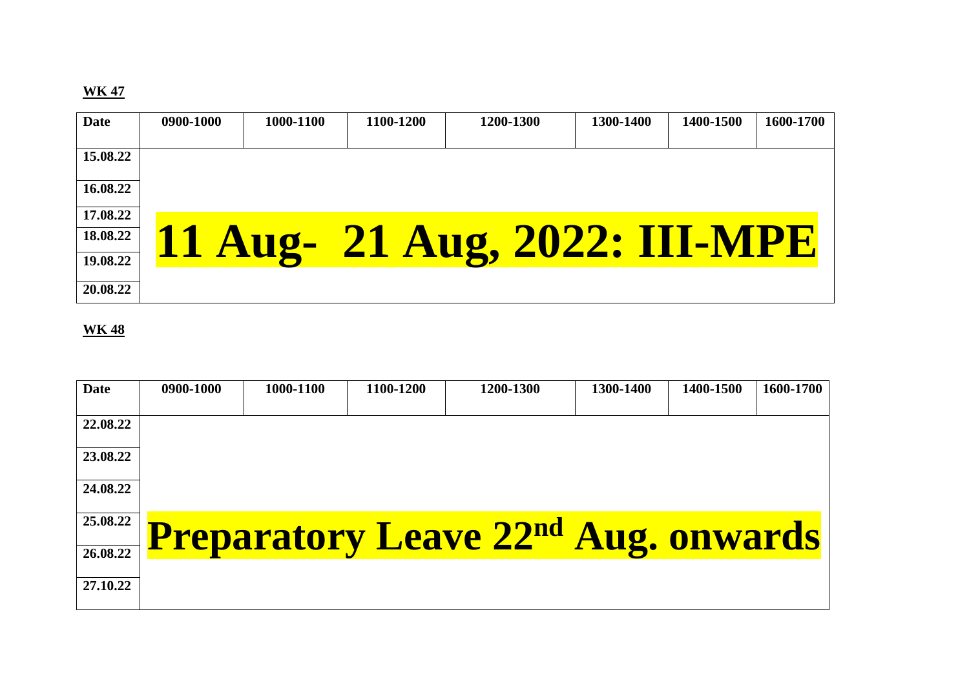| <b>Date</b> | 0900-1000 | 1000-1100 | 1100-1200 | 1200-1300                     | 1300-1400 | 1400-1500 | 1600-1700 |
|-------------|-----------|-----------|-----------|-------------------------------|-----------|-----------|-----------|
|             |           |           |           |                               |           |           |           |
| 15.08.22    |           |           |           |                               |           |           |           |
| 16.08.22    |           |           |           |                               |           |           |           |
| 17.08.22    |           |           |           |                               |           |           |           |
| 18.08.22    |           |           |           | 11 Aug- 21 Aug, 2022: III-MPE |           |           |           |
| 19.08.22    |           |           |           |                               |           |           |           |
| 20.08.22    |           |           |           |                               |           |           |           |

| <b>Date</b> | 0900-1000 | 1000-1100 | 1100-1200 | 1200-1300                                             | 1300-1400 | 1400-1500 | 1600-1700 |
|-------------|-----------|-----------|-----------|-------------------------------------------------------|-----------|-----------|-----------|
| 22.08.22    |           |           |           |                                                       |           |           |           |
| 23.08.22    |           |           |           |                                                       |           |           |           |
| 24.08.22    |           |           |           |                                                       |           |           |           |
| 25.08.22    |           |           |           | <b>Preparatory Leave 22<sup>nd</sup> Aug. onwards</b> |           |           |           |
| 26.08.22    |           |           |           |                                                       |           |           |           |
| 27.10.22    |           |           |           |                                                       |           |           |           |